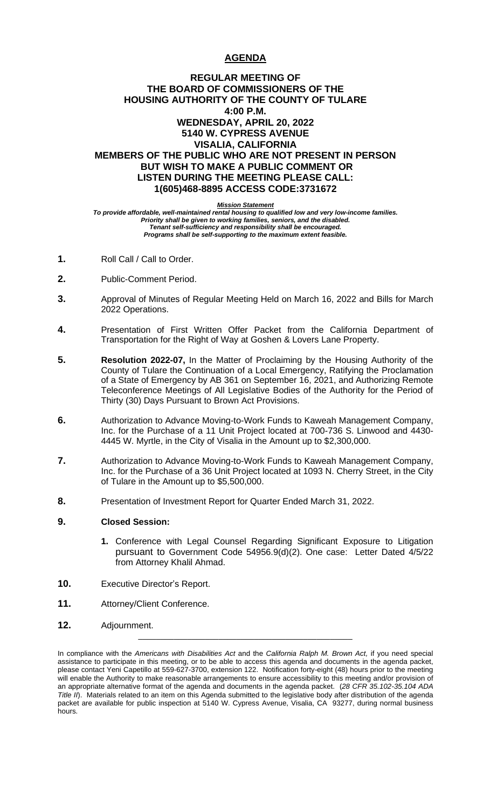# **AGENDA**

## **REGULAR MEETING OF THE BOARD OF COMMISSIONERS OF THE HOUSING AUTHORITY OF THE COUNTY OF TULARE 4:00 P.M. WEDNESDAY, APRIL 20, 2022 5140 W. CYPRESS AVENUE VISALIA, CALIFORNIA MEMBERS OF THE PUBLIC WHO ARE NOT PRESENT IN PERSON BUT WISH TO MAKE A PUBLIC COMMENT OR LISTEN DURING THE MEETING PLEASE CALL: 1(605)468-8895 ACCESS CODE:3731672**

*Mission Statement*

*To provide affordable, well-maintained rental housing to qualified low and very low-income families. Priority shall be given to working families, seniors, and the disabled. Tenant self-sufficiency and responsibility shall be encouraged. Programs shall be self-supporting to the maximum extent feasible.*

- **1.** Roll Call / Call to Order.
- **2.** Public-Comment Period.
- **3.** Approval of Minutes of Regular Meeting Held on March 16, 2022 and Bills for March 2022 Operations.
- **4.** Presentation of First Written Offer Packet from the California Department of Transportation for the Right of Way at Goshen & Lovers Lane Property.
- **5. Resolution 2022-07,** In the Matter of Proclaiming by the Housing Authority of the County of Tulare the Continuation of a Local Emergency, Ratifying the Proclamation of a State of Emergency by AB 361 on September 16, 2021, and Authorizing Remote Teleconference Meetings of All Legislative Bodies of the Authority for the Period of Thirty (30) Days Pursuant to Brown Act Provisions.
- **6.** Authorization to Advance Moving-to-Work Funds to Kaweah Management Company, Inc. for the Purchase of a 11 Unit Project located at 700-736 S. Linwood and 4430- 4445 W. Myrtle, in the City of Visalia in the Amount up to \$2,300,000.
- **7.** Authorization to Advance Moving-to-Work Funds to Kaweah Management Company, Inc. for the Purchase of a 36 Unit Project located at 1093 N. Cherry Street, in the City of Tulare in the Amount up to \$5,500,000.
- **8.** Presentation of Investment Report for Quarter Ended March 31, 2022.

## **9. Closed Session:**

- **1.** Conference with Legal Counsel Regarding Significant Exposure to Litigation pursuant to Government Code 54956.9(d)(2). One case: Letter Dated 4/5/22 from Attorney Khalil Ahmad.
- **10.** Executive Director's Report.
- **11.** Attorney/Client Conference.
- **12.** Adjournment.

\_\_\_\_\_\_\_\_\_\_\_\_\_\_\_\_\_\_\_\_\_\_\_\_\_\_\_\_\_\_\_\_\_\_\_\_\_\_\_\_\_\_\_\_\_\_\_\_

In compliance with the *Americans with Disabilities Act* and the *California Ralph M. Brown Act,* if you need special assistance to participate in this meeting, or to be able to access this agenda and documents in the agenda packet, please contact Yeni Capetillo at 559-627-3700, extension 122. Notification forty-eight (48) hours prior to the meeting will enable the Authority to make reasonable arrangements to ensure accessibility to this meeting and/or provision of an appropriate alternative format of the agenda and documents in the agenda packet. (*28 CFR 35.102-35.104 ADA Title II*). Materials related to an item on this Agenda submitted to the legislative body after distribution of the agenda packet are available for public inspection at 5140 W. Cypress Avenue, Visalia, CA 93277, during normal business hours.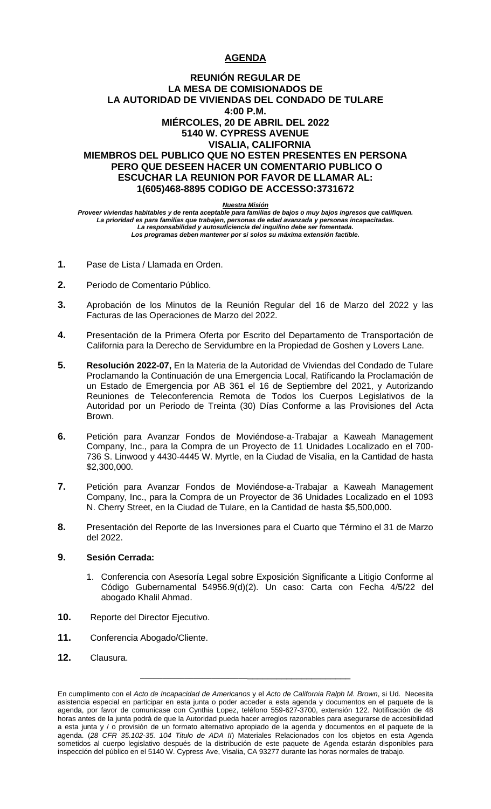# **AGENDA**

## **REUNIÓN REGULAR DE LA MESA DE COMISIONADOS DE LA AUTORIDAD DE VIVIENDAS DEL CONDADO DE TULARE 4:00 P.M. MIÉRCOLES, 20 DE ABRIL DEL 2022 5140 W. CYPRESS AVENUE VISALIA, CALIFORNIA MIEMBROS DEL PUBLICO QUE NO ESTEN PRESENTES EN PERSONA PERO QUE DESEEN HACER UN COMENTARIO PUBLICO O ESCUCHAR LA REUNION POR FAVOR DE LLAMAR AL: 1(605)468-8895 CODIGO DE ACCESSO:3731672**

### *Nuestra Misión*

*Proveer viviendas habitables y de renta aceptable para familias de bajos o muy bajos ingresos que califiquen. La prioridad es para familias que trabajen, personas de edad avanzada y personas incapacitadas. La responsabilidad y autosuficiencia del inquilino debe ser fomentada. Los programas deben mantener por si solos su máxima extensión factible.*

- **1.** Pase de Lista / Llamada en Orden.
- **2.** Periodo de Comentario Público.
- **3.** Aprobación de los Minutos de la Reunión Regular del 16 de Marzo del 2022 y las Facturas de las Operaciones de Marzo del 2022.
- **4.** Presentación de la Primera Oferta por Escrito del Departamento de Transportación de California para la Derecho de Servidumbre en la Propiedad de Goshen y Lovers Lane.
- **5. Resolución 2022-07,** En la Materia de la Autoridad de Viviendas del Condado de Tulare Proclamando la Continuación de una Emergencia Local, Ratificando la Proclamación de un Estado de Emergencia por AB 361 el 16 de Septiembre del 2021, y Autorizando Reuniones de Teleconferencia Remota de Todos los Cuerpos Legislativos de la Autoridad por un Periodo de Treinta (30) Días Conforme a las Provisiones del Acta Brown.
- **6.** Petición para Avanzar Fondos de Moviéndose-a-Trabajar a Kaweah Management Company, Inc., para la Compra de un Proyecto de 11 Unidades Localizado en el 700- 736 S. Linwood y 4430-4445 W. Myrtle, en la Ciudad de Visalia, en la Cantidad de hasta \$2,300,000.
- **7.** Petición para Avanzar Fondos de Moviéndose-a-Trabajar a Kaweah Management Company, Inc., para la Compra de un Proyector de 36 Unidades Localizado en el 1093 N. Cherry Street, en la Ciudad de Tulare, en la Cantidad de hasta \$5,500,000.
- **8.** Presentación del Reporte de las Inversiones para el Cuarto que Término el 31 de Marzo del 2022.

## **9. Sesión Cerrada:**

- 1. Conferencia con Asesoría Legal sobre Exposición Significante a Litigio Conforme al Código Gubernamental 54956.9(d)(2). Un caso: Carta con Fecha 4/5/22 del abogado Khalil Ahmad.
- **10.** Reporte del Director Ejecutivo.
- **11.** Conferencia Abogado/Cliente.
- **12.** Clausura.

\_\_\_\_\_\_\_\_\_\_\_\_\_\_\_\_\_\_\_\_\_\_\_\_\_\_\_\_\_\_\_\_\_\_\_\_\_\_\_\_\_\_\_\_\_

En cumplimento con el *Acto de Incapacidad de Americanos* y el *Acto de California Ralph M. Brown*, si Ud. Necesita asistencia especial en participar en esta junta o poder acceder a esta agenda y documentos en el paquete de la agenda, por favor de comunicase con Cynthia Lopez, teléfono 559-627-3700, extensión 122. Notificación de 48 horas antes de la junta podrá de que la Autoridad pueda hacer arreglos razonables para asegurarse de accesibilidad a esta junta y / o provisión de un formato alternativo apropiado de la agenda y documentos en el paquete de la agenda. (*28 CFR 35.102-35. 104 Titulo de ADA II*) Materiales Relacionados con los objetos en esta Agenda sometidos al cuerpo legislativo después de la distribución de este paquete de Agenda estarán disponibles para inspección del público en el 5140 W. Cypress Ave, Visalia, CA 93277 durante las horas normales de trabajo.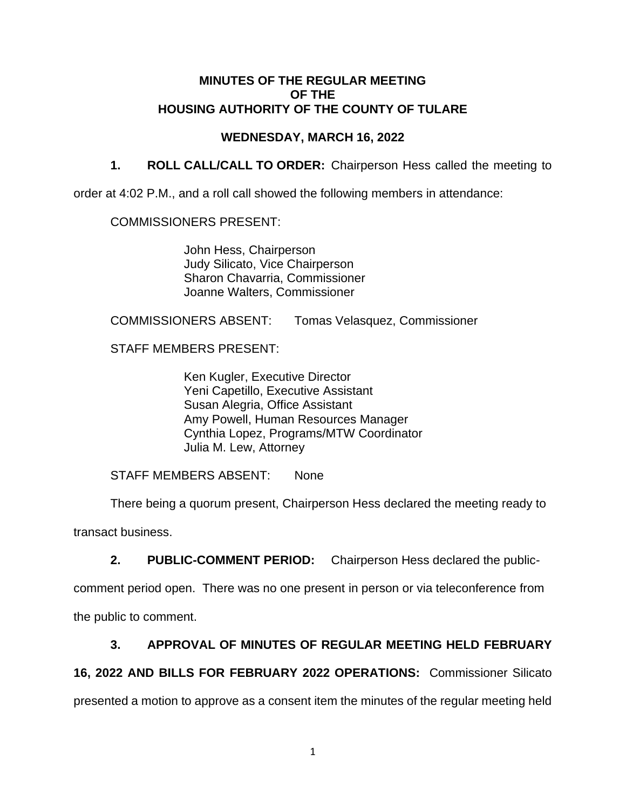# **MINUTES OF THE REGULAR MEETING OF THE HOUSING AUTHORITY OF THE COUNTY OF TULARE**

# **WEDNESDAY, MARCH 16, 2022**

**1. ROLL CALL/CALL TO ORDER:** Chairperson Hess called the meeting to

order at 4:02 P.M., and a roll call showed the following members in attendance:

## COMMISSIONERS PRESENT:

John Hess, Chairperson Judy Silicato, Vice Chairperson Sharon Chavarria, Commissioner Joanne Walters, Commissioner

COMMISSIONERS ABSENT: Tomas Velasquez, Commissioner

STAFF MEMBERS PRESENT:

Ken Kugler, Executive Director Yeni Capetillo, Executive Assistant Susan Alegria, Office Assistant Amy Powell, Human Resources Manager Cynthia Lopez, Programs/MTW Coordinator Julia M. Lew, Attorney

STAFF MEMBERS ABSENT: None

There being a quorum present, Chairperson Hess declared the meeting ready to

transact business.

**2. PUBLIC-COMMENT PERIOD:** Chairperson Hess declared the public-

comment period open. There was no one present in person or via teleconference from the public to comment.

# **3. APPROVAL OF MINUTES OF REGULAR MEETING HELD FEBRUARY**

# **16, 2022 AND BILLS FOR FEBRUARY 2022 OPERATIONS:** Commissioner Silicato

presented a motion to approve as a consent item the minutes of the regular meeting held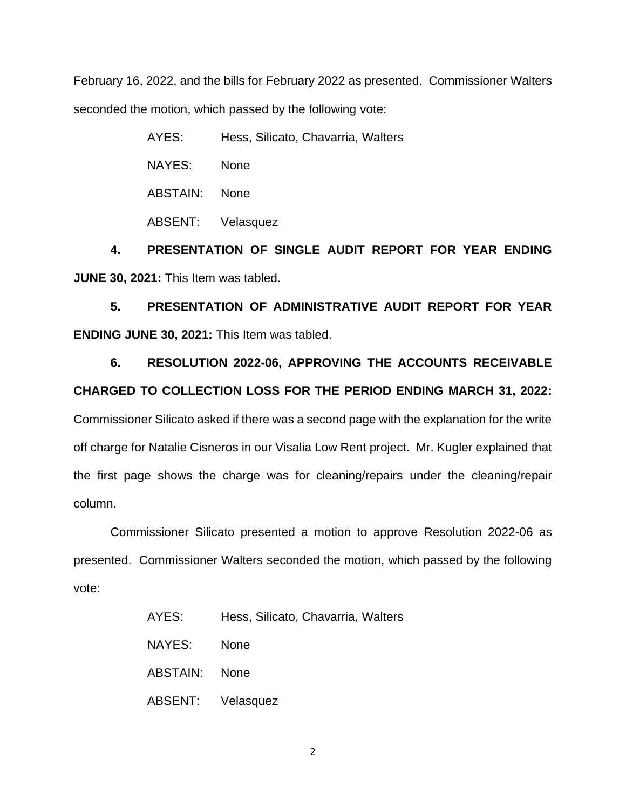February 16, 2022, and the bills for February 2022 as presented. Commissioner Walters seconded the motion, which passed by the following vote:

> AYES: Hess, Silicato, Chavarria, Walters NAYES: None ABSTAIN: None ABSENT: Velasquez

**4. PRESENTATION OF SINGLE AUDIT REPORT FOR YEAR ENDING JUNE 30, 2021:** This Item was tabled.

**5. PRESENTATION OF ADMINISTRATIVE AUDIT REPORT FOR YEAR ENDING JUNE 30, 2021:** This Item was tabled.

**6. RESOLUTION 2022-06, APPROVING THE ACCOUNTS RECEIVABLE CHARGED TO COLLECTION LOSS FOR THE PERIOD ENDING MARCH 31, 2022:**  Commissioner Silicato asked if there was a second page with the explanation for the write off charge for Natalie Cisneros in our Visalia Low Rent project. Mr. Kugler explained that the first page shows the charge was for cleaning/repairs under the cleaning/repair column.

Commissioner Silicato presented a motion to approve Resolution 2022-06 as presented. Commissioner Walters seconded the motion, which passed by the following vote:

| AYES:             | Hess, Silicato, Chavarria, Walters |
|-------------------|------------------------------------|
| NAYES:            | <b>None</b>                        |
| ABSTAIN: None     |                                    |
| ABSENT: Velasquez |                                    |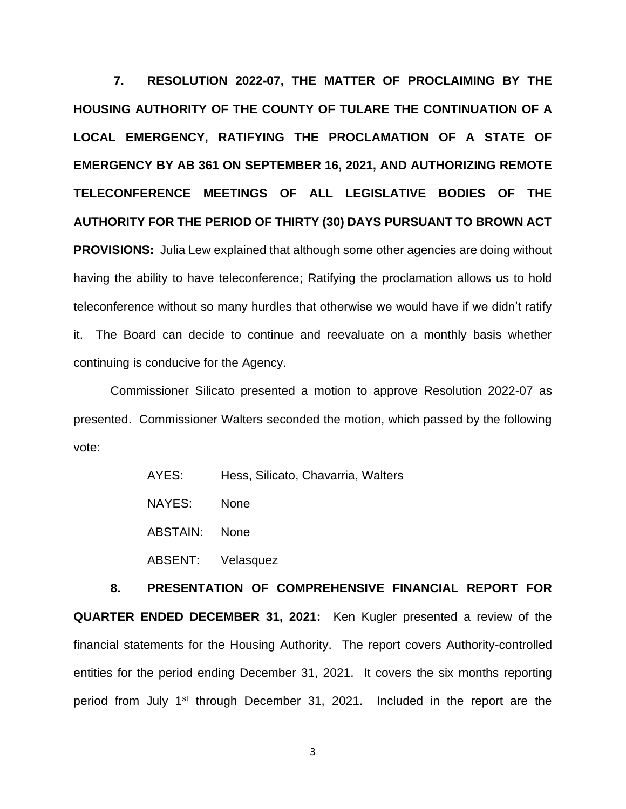**7. RESOLUTION 2022-07, THE MATTER OF PROCLAIMING BY THE HOUSING AUTHORITY OF THE COUNTY OF TULARE THE CONTINUATION OF A LOCAL EMERGENCY, RATIFYING THE PROCLAMATION OF A STATE OF EMERGENCY BY AB 361 ON SEPTEMBER 16, 2021, AND AUTHORIZING REMOTE TELECONFERENCE MEETINGS OF ALL LEGISLATIVE BODIES OF THE AUTHORITY FOR THE PERIOD OF THIRTY (30) DAYS PURSUANT TO BROWN ACT PROVISIONS:** Julia Lew explained that although some other agencies are doing without having the ability to have teleconference; Ratifying the proclamation allows us to hold teleconference without so many hurdles that otherwise we would have if we didn't ratify it. The Board can decide to continue and reevaluate on a monthly basis whether continuing is conducive for the Agency.

Commissioner Silicato presented a motion to approve Resolution 2022-07 as presented. Commissioner Walters seconded the motion, which passed by the following vote:

> AYES: Hess, Silicato, Chavarria, Walters NAYES: None ABSTAIN: None ABSENT: Velasquez

**8. PRESENTATION OF COMPREHENSIVE FINANCIAL REPORT FOR QUARTER ENDED DECEMBER 31, 2021:** Ken Kugler presented a review of the financial statements for the Housing Authority. The report covers Authority-controlled entities for the period ending December 31, 2021. It covers the six months reporting period from July 1<sup>st</sup> through December 31, 2021. Included in the report are the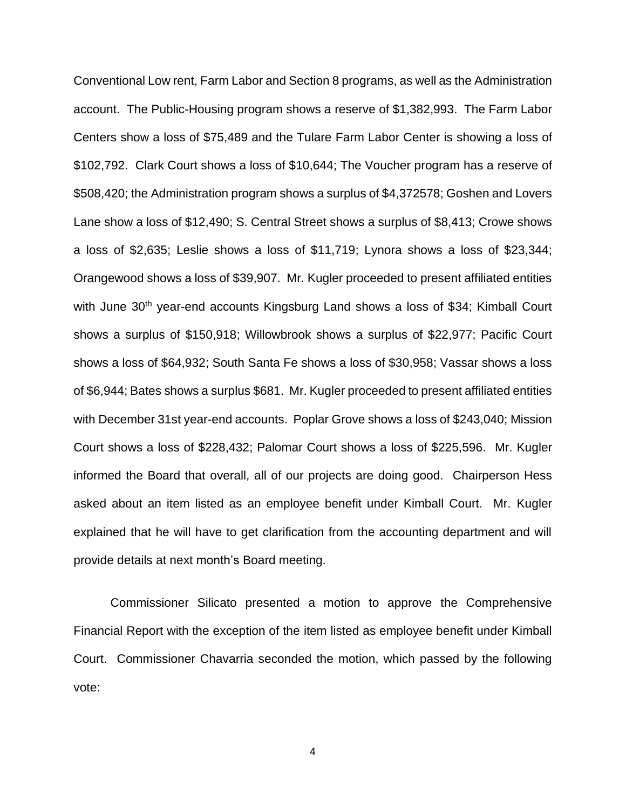Conventional Low rent, Farm Labor and Section 8 programs, as well as the Administration account. The Public-Housing program shows a reserve of \$1,382,993. The Farm Labor Centers show a loss of \$75,489 and the Tulare Farm Labor Center is showing a loss of \$102,792. Clark Court shows a loss of \$10,644; The Voucher program has a reserve of \$508,420; the Administration program shows a surplus of \$4,372578; Goshen and Lovers Lane show a loss of \$12,490; S. Central Street shows a surplus of \$8,413; Crowe shows a loss of \$2,635; Leslie shows a loss of \$11,719; Lynora shows a loss of \$23,344; Orangewood shows a loss of \$39,907. Mr. Kugler proceeded to present affiliated entities with June 30<sup>th</sup> year-end accounts Kingsburg Land shows a loss of \$34; Kimball Court shows a surplus of \$150,918; Willowbrook shows a surplus of \$22,977; Pacific Court shows a loss of \$64,932; South Santa Fe shows a loss of \$30,958; Vassar shows a loss of \$6,944; Bates shows a surplus \$681. Mr. Kugler proceeded to present affiliated entities with December 31st year-end accounts. Poplar Grove shows a loss of \$243,040; Mission Court shows a loss of \$228,432; Palomar Court shows a loss of \$225,596. Mr. Kugler informed the Board that overall, all of our projects are doing good. Chairperson Hess asked about an item listed as an employee benefit under Kimball Court. Mr. Kugler explained that he will have to get clarification from the accounting department and will provide details at next month's Board meeting.

Commissioner Silicato presented a motion to approve the Comprehensive Financial Report with the exception of the item listed as employee benefit under Kimball Court. Commissioner Chavarria seconded the motion, which passed by the following vote: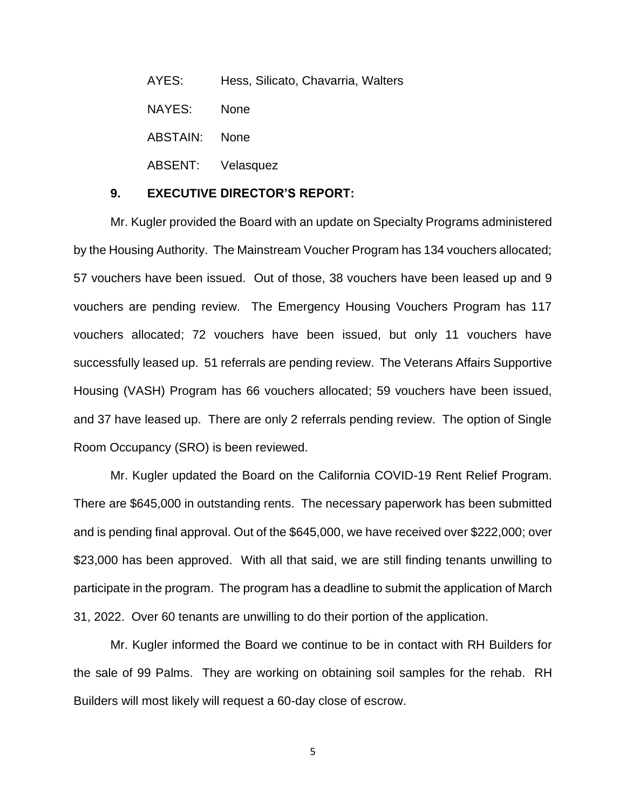AYES: Hess, Silicato, Chavarria, Walters NAYES: None ABSTAIN: None ABSENT: Velasquez

## **9. EXECUTIVE DIRECTOR'S REPORT:**

Mr. Kugler provided the Board with an update on Specialty Programs administered by the Housing Authority. The Mainstream Voucher Program has 134 vouchers allocated; 57 vouchers have been issued. Out of those, 38 vouchers have been leased up and 9 vouchers are pending review. The Emergency Housing Vouchers Program has 117 vouchers allocated; 72 vouchers have been issued, but only 11 vouchers have successfully leased up. 51 referrals are pending review. The Veterans Affairs Supportive Housing (VASH) Program has 66 vouchers allocated; 59 vouchers have been issued, and 37 have leased up. There are only 2 referrals pending review. The option of Single Room Occupancy (SRO) is been reviewed.

Mr. Kugler updated the Board on the California COVID-19 Rent Relief Program. There are \$645,000 in outstanding rents. The necessary paperwork has been submitted and is pending final approval. Out of the \$645,000, we have received over \$222,000; over \$23,000 has been approved. With all that said, we are still finding tenants unwilling to participate in the program. The program has a deadline to submit the application of March 31, 2022. Over 60 tenants are unwilling to do their portion of the application.

Mr. Kugler informed the Board we continue to be in contact with RH Builders for the sale of 99 Palms. They are working on obtaining soil samples for the rehab. RH Builders will most likely will request a 60-day close of escrow.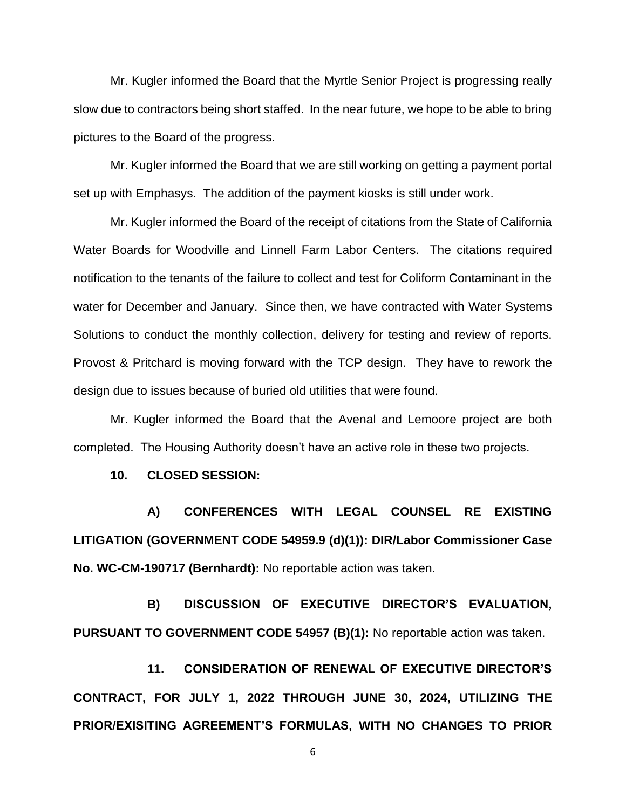Mr. Kugler informed the Board that the Myrtle Senior Project is progressing really slow due to contractors being short staffed. In the near future, we hope to be able to bring pictures to the Board of the progress.

Mr. Kugler informed the Board that we are still working on getting a payment portal set up with Emphasys. The addition of the payment kiosks is still under work.

Mr. Kugler informed the Board of the receipt of citations from the State of California Water Boards for Woodville and Linnell Farm Labor Centers. The citations required notification to the tenants of the failure to collect and test for Coliform Contaminant in the water for December and January. Since then, we have contracted with Water Systems Solutions to conduct the monthly collection, delivery for testing and review of reports. Provost & Pritchard is moving forward with the TCP design. They have to rework the design due to issues because of buried old utilities that were found.

Mr. Kugler informed the Board that the Avenal and Lemoore project are both completed. The Housing Authority doesn't have an active role in these two projects.

**10. CLOSED SESSION:** 

**A) CONFERENCES WITH LEGAL COUNSEL RE EXISTING LITIGATION (GOVERNMENT CODE 54959.9 (d)(1)): DIR/Labor Commissioner Case No. WC-CM-190717 (Bernhardt):** No reportable action was taken.

**B) DISCUSSION OF EXECUTIVE DIRECTOR'S EVALUATION, PURSUANT TO GOVERNMENT CODE 54957 (B)(1):** No reportable action was taken.

**11. CONSIDERATION OF RENEWAL OF EXECUTIVE DIRECTOR'S CONTRACT, FOR JULY 1, 2022 THROUGH JUNE 30, 2024, UTILIZING THE PRIOR/EXISITING AGREEMENT'S FORMULAS, WITH NO CHANGES TO PRIOR**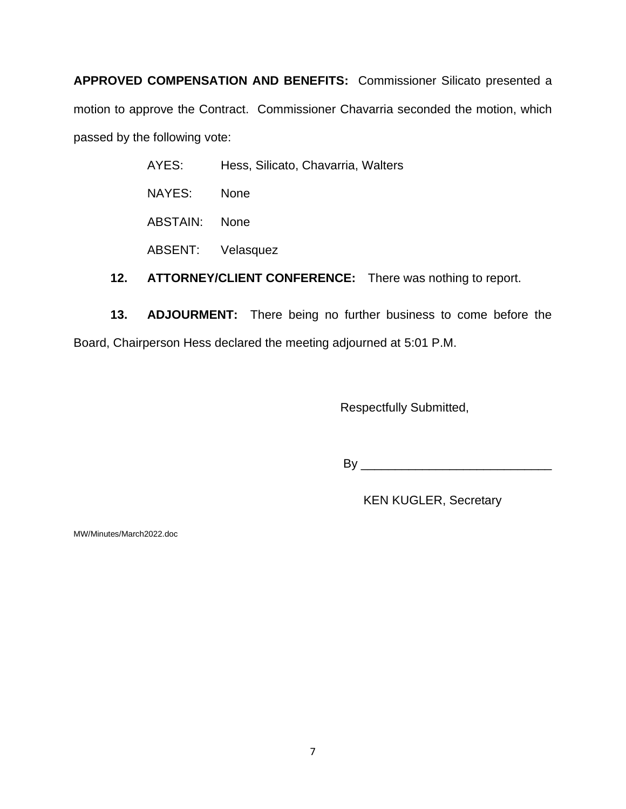**APPROVED COMPENSATION AND BENEFITS:** Commissioner Silicato presented a motion to approve the Contract. Commissioner Chavarria seconded the motion, which passed by the following vote:

| AYES:         | Hess, Silicato, Chavarria, Walters |
|---------------|------------------------------------|
| NAYES:        | <b>None</b>                        |
| ABSTAIN: None |                                    |
|               | ABSENT: Velasquez                  |
|               |                                    |

**12. ATTORNEY/CLIENT CONFERENCE:** There was nothing to report.

**13. ADJOURMENT:** There being no further business to come before the Board, Chairperson Hess declared the meeting adjourned at 5:01 P.M.

Respectfully Submitted,

By \_\_\_\_\_\_\_\_\_\_\_\_\_\_\_\_\_\_\_\_\_\_\_\_\_\_\_\_

KEN KUGLER, Secretary

MW/Minutes/March2022.doc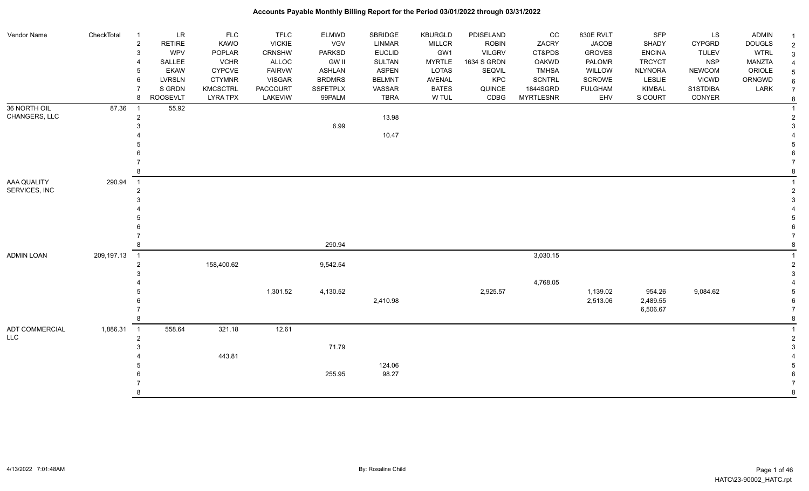| Vendor Name       | CheckTotal | $\overline{1}$ | LR              | <b>FLC</b>      | <b>TFLC</b>     | <b>ELMWD</b>    | SBRIDGE       | KBURGLD       | PDISELAND     | cc               | 830E RVLT      | <b>SFP</b>     | LS            | ADMIN         |                |
|-------------------|------------|----------------|-----------------|-----------------|-----------------|-----------------|---------------|---------------|---------------|------------------|----------------|----------------|---------------|---------------|----------------|
|                   |            | $\sqrt{2}$     | <b>RETIRE</b>   | KAWO            | <b>VICKIE</b>   | <b>VGV</b>      | <b>LINMAR</b> | MILLCR        | <b>ROBIN</b>  | ZACRY            | <b>JACOB</b>   | SHADY          | <b>CYPGRD</b> | <b>DOUGLS</b> | $\overline{2}$ |
|                   |            | 3              | WPV             | POPLAR          | <b>CRNSHW</b>   | <b>PARKSD</b>   | <b>EUCLID</b> | GW1           | <b>VILGRV</b> | CT&PDS           | <b>GROVES</b>  | <b>ENCINA</b>  | <b>TULEV</b>  | <b>WTRL</b>   |                |
|                   |            | $\overline{4}$ | SALLEE          | <b>VCHR</b>     | ALLOC           | <b>GW II</b>    | <b>SULTAN</b> | <b>MYRTLE</b> | 1634 S GRDN   | <b>OAKWD</b>     | PALOMR         | <b>TRCYCT</b>  | <b>NSP</b>    | MANZTA        |                |
|                   |            | 5              | <b>EKAW</b>     | <b>CYPCVE</b>   | <b>FAIRVW</b>   | <b>ASHLAN</b>   | <b>ASPEN</b>  | LOTAS         | SEQVIL        | <b>TMHSA</b>     | WILLOW         | <b>NLYNORA</b> | <b>NEWCOM</b> | ORIOLE        |                |
|                   |            | 6              | <b>LVRSLN</b>   | <b>CTYMNR</b>   | <b>VISGAR</b>   | <b>BRDMRS</b>   | <b>BELMNT</b> | AVENAL        | KPC           | <b>SCNTRL</b>    | <b>SCROWE</b>  | LESLIE         | <b>VICWD</b>  | ORNGWD        |                |
|                   |            | $\overline{7}$ | S GRDN          | <b>KMCSCTRL</b> | <b>PACCOURT</b> | <b>SSFETPLX</b> | VASSAR        | <b>BATES</b>  | QUINCE        | 1844SGRD         | <b>FULGHAM</b> | <b>KIMBAL</b>  | S1STDIBA      | LARK          |                |
|                   |            | 8              | <b>ROOSEVLT</b> | <b>LYRA TPX</b> | LAKEVIW         | 99PALM          | <b>TBRA</b>   | W TUL         | CDBG          | <b>MYRTLESNR</b> | EHV            | S COURT        | CONYER        |               |                |
| 36 NORTH OIL      | 87.36      | $\overline{1}$ | 55.92           |                 |                 |                 |               |               |               |                  |                |                |               |               |                |
| CHANGERS, LLC     |            | $\sqrt{2}$     |                 |                 |                 |                 | 13.98         |               |               |                  |                |                |               |               |                |
|                   |            | 3              |                 |                 |                 | 6.99            |               |               |               |                  |                |                |               |               |                |
|                   |            |                |                 |                 |                 |                 | 10.47         |               |               |                  |                |                |               |               |                |
|                   |            |                |                 |                 |                 |                 |               |               |               |                  |                |                |               |               |                |
|                   |            |                |                 |                 |                 |                 |               |               |               |                  |                |                |               |               |                |
|                   |            |                |                 |                 |                 |                 |               |               |               |                  |                |                |               |               |                |
|                   |            | 8              |                 |                 |                 |                 |               |               |               |                  |                |                |               |               |                |
| AAA QUALITY       | 290.94     | $\overline{1}$ |                 |                 |                 |                 |               |               |               |                  |                |                |               |               |                |
| SERVICES, INC     |            | $\sqrt{2}$     |                 |                 |                 |                 |               |               |               |                  |                |                |               |               |                |
|                   |            | 3              |                 |                 |                 |                 |               |               |               |                  |                |                |               |               |                |
|                   |            |                |                 |                 |                 |                 |               |               |               |                  |                |                |               |               |                |
|                   |            |                |                 |                 |                 |                 |               |               |               |                  |                |                |               |               |                |
|                   |            |                |                 |                 |                 |                 |               |               |               |                  |                |                |               |               |                |
|                   |            |                |                 |                 |                 |                 |               |               |               |                  |                |                |               |               |                |
|                   |            | 8              |                 |                 |                 | 290.94          |               |               |               |                  |                |                |               |               |                |
| <b>ADMIN LOAN</b> | 209,197.13 | $\overline{1}$ |                 |                 |                 |                 |               |               |               | 3,030.15         |                |                |               |               |                |
|                   |            | $\overline{2}$ |                 | 158,400.62      |                 | 9,542.54        |               |               |               |                  |                |                |               |               |                |
|                   |            | 3              |                 |                 |                 |                 |               |               |               |                  |                |                |               |               |                |
|                   |            |                |                 |                 |                 |                 |               |               |               | 4,768.05         |                |                |               |               |                |
|                   |            | 5              |                 |                 | 1,301.52        | 4,130.52        |               |               | 2,925.57      |                  | 1,139.02       | 954.26         | 9,084.62      |               |                |
|                   |            |                |                 |                 |                 |                 | 2,410.98      |               |               |                  | 2,513.06       | 2,489.55       |               |               |                |
|                   |            | $\overline{7}$ |                 |                 |                 |                 |               |               |               |                  |                | 6,506.67       |               |               |                |
|                   |            | 8              |                 |                 |                 |                 |               |               |               |                  |                |                |               |               |                |
| ADT COMMERCIAL    | 1,886.31   | $\overline{1}$ | 558.64          | 321.18          | 12.61           |                 |               |               |               |                  |                |                |               |               |                |
| <b>LLC</b>        |            | $\overline{2}$ |                 |                 |                 |                 |               |               |               |                  |                |                |               |               |                |
|                   |            | 3              |                 |                 |                 | 71.79           |               |               |               |                  |                |                |               |               |                |
|                   |            |                |                 | 443.81          |                 |                 |               |               |               |                  |                |                |               |               |                |
|                   |            |                |                 |                 |                 |                 | 124.06        |               |               |                  |                |                |               |               |                |
|                   |            |                |                 |                 |                 | 255.95          | 98.27         |               |               |                  |                |                |               |               |                |
|                   |            |                |                 |                 |                 |                 |               |               |               |                  |                |                |               |               |                |
|                   |            | 8              |                 |                 |                 |                 |               |               |               |                  |                |                |               |               |                |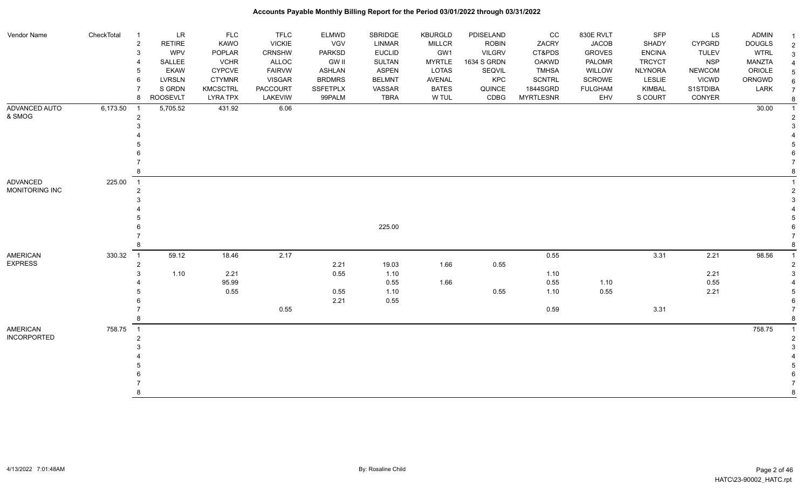| Vendor Name        | CheckTotal | $\overline{1}$           | <b>LR</b>       | <b>FLC</b>      | <b>TFLC</b>     | <b>ELMWD</b>    | SBRIDGE       | <b>KBURGLD</b> | PDISELAND     | CC               | 830E RVLT      | <b>SFP</b>     | LS            | <b>ADMIN</b>  |                     |
|--------------------|------------|--------------------------|-----------------|-----------------|-----------------|-----------------|---------------|----------------|---------------|------------------|----------------|----------------|---------------|---------------|---------------------|
|                    |            | $\overline{2}$           | <b>RETIRE</b>   | <b>KAWO</b>     | <b>VICKIE</b>   | <b>VGV</b>      | <b>LINMAR</b> | <b>MILLCR</b>  | <b>ROBIN</b>  | ZACRY            | <b>JACOB</b>   | SHADY          | <b>CYPGRD</b> | <b>DOUGLS</b> | $\overline{1}$      |
|                    |            | 3                        | <b>WPV</b>      | POPLAR          | <b>CRNSHW</b>   | <b>PARKSD</b>   | <b>EUCLID</b> | GW1            | <b>VILGRV</b> | CT&PDS           | <b>GROVES</b>  | <b>ENCINA</b>  | <b>TULEV</b>  | <b>WTRL</b>   | $\sqrt{2}$          |
|                    |            |                          | SALLEE          | <b>VCHR</b>     | <b>ALLOC</b>    | <b>GW II</b>    | <b>SULTAN</b> | <b>MYRTLE</b>  | 1634 S GRDN   | <b>OAKWD</b>     | PALOMR         | <b>TRCYCT</b>  | <b>NSP</b>    | MANZTA        | $\mathbf{3}$        |
|                    |            | 5                        | <b>EKAW</b>     | <b>CYPCVE</b>   | <b>FAIRVW</b>   | <b>ASHLAN</b>   | <b>ASPEN</b>  | LOTAS          | SEQVIL        | <b>TMHSA</b>     | WILLOW         | <b>NLYNORA</b> | <b>NEWCOM</b> | ORIOLE        | $\overline{4}$      |
|                    |            | 6                        | <b>LVRSLN</b>   | <b>CTYMNR</b>   | <b>VISGAR</b>   | <b>BRDMRS</b>   | <b>BELMNT</b> | <b>AVENAL</b>  | KPC           | <b>SCNTRL</b>    | <b>SCROWE</b>  | LESLIE         | <b>VICWD</b>  | ORNGWD        | 5                   |
|                    |            |                          | S GRDN          | <b>KMCSCTRL</b> | <b>PACCOURT</b> | <b>SSFETPLX</b> | VASSAR        | <b>BATES</b>   | QUINCE        | 1844SGRD         | <b>FULGHAM</b> | <b>KIMBAL</b>  | S1STDIBA      | LARK          | 6<br>$\overline{7}$ |
|                    |            | 8                        | <b>ROOSEVLT</b> | <b>LYRA TPX</b> | LAKEVIW         | 99PALM          | <b>TBRA</b>   | W TUL          | CDBG          | <b>MYRTLESNR</b> | EHV            | S COURT        | CONYER        |               |                     |
| ADVANCED AUTO      | 6,173.50   | $\overline{1}$           | 5,705.52        | 431.92          | 6.06            |                 |               |                |               |                  |                |                |               | 30.00         |                     |
| & SMOG             |            | 2                        |                 |                 |                 |                 |               |                |               |                  |                |                |               |               |                     |
|                    |            | 3                        |                 |                 |                 |                 |               |                |               |                  |                |                |               |               | $\mathcal{R}$       |
|                    |            |                          |                 |                 |                 |                 |               |                |               |                  |                |                |               |               |                     |
|                    |            |                          |                 |                 |                 |                 |               |                |               |                  |                |                |               |               |                     |
|                    |            |                          |                 |                 |                 |                 |               |                |               |                  |                |                |               |               |                     |
|                    |            |                          |                 |                 |                 |                 |               |                |               |                  |                |                |               |               |                     |
|                    |            |                          |                 |                 |                 |                 |               |                |               |                  |                |                |               |               | 8                   |
| <b>ADVANCED</b>    | 225.00     | $\overline{\phantom{1}}$ |                 |                 |                 |                 |               |                |               |                  |                |                |               |               |                     |
| MONITORING INC     |            | $\overline{2}$           |                 |                 |                 |                 |               |                |               |                  |                |                |               |               | $\overline{2}$      |
|                    |            |                          |                 |                 |                 |                 |               |                |               |                  |                |                |               |               | 3                   |
|                    |            |                          |                 |                 |                 |                 |               |                |               |                  |                |                |               |               |                     |
|                    |            |                          |                 |                 |                 |                 | 225.00        |                |               |                  |                |                |               |               | 6                   |
|                    |            |                          |                 |                 |                 |                 |               |                |               |                  |                |                |               |               | $\overline{7}$      |
|                    |            |                          |                 |                 |                 |                 |               |                |               |                  |                |                |               |               | 8                   |
| <b>AMERICAN</b>    | 330.32     | $\overline{1}$           | 59.12           | 18.46           | 2.17            |                 |               |                |               | 0.55             |                | 3.31           | 2.21          | 98.56         | $\overline{1}$      |
| <b>EXPRESS</b>     |            | $\overline{2}$           |                 |                 |                 | 2.21            | 19.03         | 1.66           | 0.55          |                  |                |                |               |               | $\overline{2}$      |
|                    |            | 3                        | 1.10            | 2.21            |                 | 0.55            | 1.10          |                |               | 1.10             |                |                | 2.21          |               | 3                   |
|                    |            |                          |                 | 95.99           |                 |                 | 0.55          | 1.66           |               | 0.55             | 1.10           |                | 0.55          |               |                     |
|                    |            |                          |                 | 0.55            |                 | 0.55            | 1.10          |                | 0.55          | 1.10             | 0.55           |                | 2.21          |               |                     |
|                    |            |                          |                 |                 |                 | 2.21            | 0.55          |                |               |                  |                |                |               |               | 6                   |
|                    |            |                          |                 |                 | 0.55            |                 |               |                |               | 0.59             |                | 3.31           |               |               |                     |
|                    |            |                          |                 |                 |                 |                 |               |                |               |                  |                |                |               |               | $\mathsf{R}$        |
| <b>AMERICAN</b>    | 758.75     | $\overline{1}$           |                 |                 |                 |                 |               |                |               |                  |                |                |               | 758.75        |                     |
| <b>INCORPORTED</b> |            | 2                        |                 |                 |                 |                 |               |                |               |                  |                |                |               |               | $\overline{2}$      |
|                    |            |                          |                 |                 |                 |                 |               |                |               |                  |                |                |               |               | 3                   |
|                    |            |                          |                 |                 |                 |                 |               |                |               |                  |                |                |               |               |                     |
|                    |            |                          |                 |                 |                 |                 |               |                |               |                  |                |                |               |               |                     |
|                    |            |                          |                 |                 |                 |                 |               |                |               |                  |                |                |               |               |                     |
|                    |            |                          |                 |                 |                 |                 |               |                |               |                  |                |                |               |               |                     |
|                    |            | 8                        |                 |                 |                 |                 |               |                |               |                  |                |                |               |               | 8                   |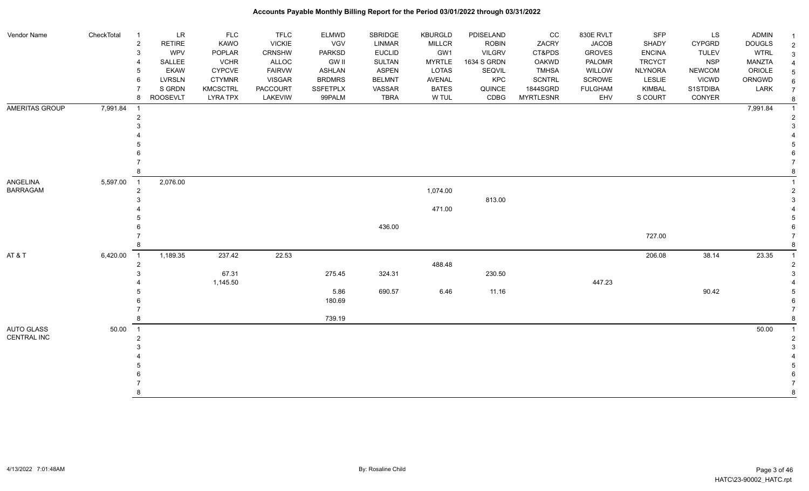| Vendor Name       | CheckTotal | <b>LR</b><br>$\overline{1}$     | <b>FLC</b>      | <b>TFLC</b>     | <b>ELMWD</b>  | <b>SBRIDGE</b> | <b>KBURGLD</b> | PDISELAND     | CC               | 830E RVLT      | <b>SFP</b>     | LS            | <b>ADMIN</b>  | $\overline{\mathbf{1}}$ |
|-------------------|------------|---------------------------------|-----------------|-----------------|---------------|----------------|----------------|---------------|------------------|----------------|----------------|---------------|---------------|-------------------------|
|                   |            | $\overline{2}$<br><b>RETIRE</b> | <b>KAWO</b>     | <b>VICKIE</b>   | VGV           | <b>LINMAR</b>  | MILLCR         | <b>ROBIN</b>  | ZACRY            | <b>JACOB</b>   | SHADY          | CYPGRD        | <b>DOUGLS</b> | $\overline{2}$          |
|                   |            | WPV<br>3                        | POPLAR          | CRNSHW          | PARKSD        | <b>EUCLID</b>  | GW1            | <b>VILGRV</b> | CT&PDS           | <b>GROVES</b>  | <b>ENCINA</b>  | <b>TULEV</b>  | <b>WTRL</b>   | 3                       |
|                   |            | SALLEE                          | <b>VCHR</b>     | ALLOC           | <b>GW II</b>  | SULTAN         | <b>MYRTLE</b>  | 1634 S GRDN   | <b>OAKWD</b>     | PALOMR         | <b>TRCYCT</b>  | <b>NSP</b>    | <b>MANZTA</b> |                         |
|                   |            | <b>EKAW</b>                     | CYPCVE          | <b>FAIRVW</b>   | ASHLAN        | ASPEN          | LOTAS          | SEQVIL        | <b>TMHSA</b>     | WILLOW         | <b>NLYNORA</b> | <b>NEWCOM</b> | ORIOLE        |                         |
|                   |            | <b>LVRSLN</b><br>6              | <b>CTYMNR</b>   | <b>VISGAR</b>   | <b>BRDMRS</b> | <b>BELMNT</b>  | AVENAL         | KPC           | <b>SCNTRL</b>    | <b>SCROWE</b>  | LESLIE         | <b>VICWD</b>  | ORNGWD        | 6                       |
|                   |            | S GRDN                          | <b>KMCSCTRL</b> | <b>PACCOURT</b> | SSFETPLX      | VASSAR         | <b>BATES</b>   | QUINCE        | 1844SGRD         | <b>FULGHAM</b> | KIMBAL         | S1STDIBA      | LARK          | $\overline{7}$          |
|                   |            | <b>ROOSEVLT</b><br>8            | <b>LYRA TPX</b> | LAKEVIW         | 99PALM        | <b>TBRA</b>    | W TUL          | CDBG          | <b>MYRTLESNR</b> | EHV            | S COURT        | CONYER        |               | 8                       |
| AMERITAS GROUP    | 7,991.84   | $\overline{1}$                  |                 |                 |               |                |                |               |                  |                |                |               | 7,991.84      |                         |
|                   |            | $\overline{2}$                  |                 |                 |               |                |                |               |                  |                |                |               |               |                         |
|                   |            |                                 |                 |                 |               |                |                |               |                  |                |                |               |               |                         |
|                   |            |                                 |                 |                 |               |                |                |               |                  |                |                |               |               |                         |
|                   |            |                                 |                 |                 |               |                |                |               |                  |                |                |               |               |                         |
|                   |            |                                 |                 |                 |               |                |                |               |                  |                |                |               |               |                         |
|                   |            |                                 |                 |                 |               |                |                |               |                  |                |                |               |               |                         |
|                   |            |                                 |                 |                 |               |                |                |               |                  |                |                |               |               |                         |
| ANGELINA          | 5,597.00   | 2,076.00<br>$\overline{1}$      |                 |                 |               |                |                |               |                  |                |                |               |               |                         |
| <b>BARRAGAM</b>   |            | $\overline{2}$                  |                 |                 |               |                | 1,074.00       |               |                  |                |                |               |               | $\overline{2}$          |
|                   |            |                                 |                 |                 |               |                |                | 813.00        |                  |                |                |               |               |                         |
|                   |            |                                 |                 |                 |               |                | 471.00         |               |                  |                |                |               |               |                         |
|                   |            |                                 |                 |                 |               |                |                |               |                  |                |                |               |               |                         |
|                   |            |                                 |                 |                 |               | 436.00         |                |               |                  |                |                |               |               |                         |
|                   |            |                                 |                 |                 |               |                |                |               |                  |                | 727.00         |               |               |                         |
|                   |            |                                 |                 |                 |               |                |                |               |                  |                |                |               |               |                         |
| AT&T              | 6,420.00   | 1,189.35<br>$\overline{1}$      | 237.42          | 22.53           |               |                |                |               |                  |                | 206.08         | 38.14         | 23.35         |                         |
|                   |            | $\overline{2}$                  |                 |                 |               |                | 488.48         |               |                  |                |                |               |               |                         |
|                   |            |                                 | 67.31           |                 | 275.45        | 324.31         |                | 230.50        |                  |                |                |               |               |                         |
|                   |            |                                 | 1,145.50        |                 |               |                |                |               |                  | 447.23         |                |               |               |                         |
|                   |            |                                 |                 |                 | 5.86          | 690.57         | 6.46           | 11.16         |                  |                |                | 90.42         |               |                         |
|                   |            |                                 |                 |                 | 180.69        |                |                |               |                  |                |                |               |               |                         |
|                   |            |                                 |                 |                 |               |                |                |               |                  |                |                |               |               |                         |
|                   |            |                                 |                 |                 | 739.19        |                |                |               |                  |                |                |               |               |                         |
| <b>AUTO GLASS</b> | 50.00      | $\overline{1}$                  |                 |                 |               |                |                |               |                  |                |                |               | 50.00         |                         |
| CENTRAL INC       |            | 2                               |                 |                 |               |                |                |               |                  |                |                |               |               |                         |
|                   |            |                                 |                 |                 |               |                |                |               |                  |                |                |               |               |                         |
|                   |            |                                 |                 |                 |               |                |                |               |                  |                |                |               |               |                         |
|                   |            |                                 |                 |                 |               |                |                |               |                  |                |                |               |               |                         |
|                   |            |                                 |                 |                 |               |                |                |               |                  |                |                |               |               |                         |
|                   |            |                                 |                 |                 |               |                |                |               |                  |                |                |               |               |                         |
|                   |            |                                 |                 |                 |               |                |                |               |                  |                |                |               |               | 8                       |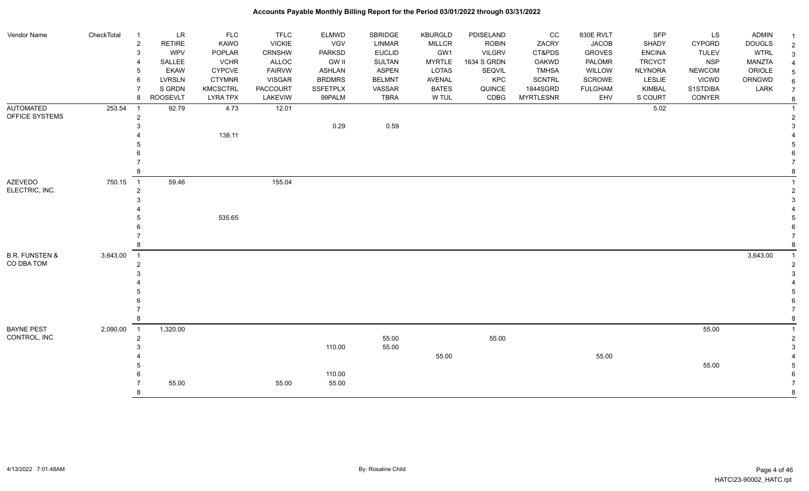| Vendor Name               | CheckTotal | $\overline{1}$<br>$\overline{2}$<br>3 | <b>LR</b><br><b>RETIRE</b><br><b>WPV</b> | <b>FLC</b><br><b>KAWO</b><br>POPLAR | TFLC<br><b>VICKIE</b><br>CRNSHW | <b>ELMWD</b><br>VGV<br><b>PARKSD</b> | SBRIDGE<br><b>LINMAR</b><br><b>EUCLID</b> | <b>KBURGLD</b><br><b>MILLCR</b><br>GW1 | PDISELAND<br><b>ROBIN</b><br><b>VILGRV</b> | cc<br>ZACRY<br>CT&PDS | 830E RVLT<br><b>JACOB</b><br><b>GROVES</b> | <b>SFP</b><br><b>SHADY</b><br><b>ENCINA</b> | LS<br>CYPGRD<br><b>TULEV</b> | <b>ADMIN</b><br><b>DOUGLS</b><br><b>WTRL</b> |
|---------------------------|------------|---------------------------------------|------------------------------------------|-------------------------------------|---------------------------------|--------------------------------------|-------------------------------------------|----------------------------------------|--------------------------------------------|-----------------------|--------------------------------------------|---------------------------------------------|------------------------------|----------------------------------------------|
|                           |            |                                       | SALLEE                                   | <b>VCHR</b>                         | ALLOC                           | <b>GW II</b>                         | <b>SULTAN</b>                             | <b>MYRTLE</b>                          | 1634 S GRDN                                | <b>OAKWD</b>          | PALOMR                                     | <b>TRCYCT</b>                               | <b>NSP</b>                   | <b>MANZTA</b>                                |
|                           |            | 5                                     | <b>EKAW</b>                              | <b>CYPCVE</b>                       | <b>FAIRVW</b>                   | ASHLAN                               | <b>ASPEN</b>                              | <b>LOTAS</b>                           | SEQVIL                                     | <b>TMHSA</b>          | WILLOW                                     | <b>NLYNORA</b>                              | <b>NEWCOM</b>                | ORIOLE                                       |
|                           |            | 6                                     | <b>LVRSLN</b>                            | <b>CTYMNR</b>                       | <b>VISGAR</b>                   | <b>BRDMRS</b>                        | <b>BELMNT</b>                             | AVENAL                                 | KPC                                        | <b>SCNTRL</b>         | SCROWE                                     | LESLIE                                      | <b>VICWD</b>                 | ORNGWD                                       |
|                           |            | $\overline{7}$                        | S GRDN                                   | <b>KMCSCTRL</b>                     | <b>PACCOURT</b>                 | <b>SSFETPLX</b>                      | VASSAR                                    | <b>BATES</b>                           | QUINCE                                     | 1844SGRD              | <b>FULGHAM</b>                             | <b>KIMBAL</b>                               | S1STDIBA                     | LARK                                         |
|                           |            | 8                                     | <b>ROOSEVLT</b>                          | <b>LYRA TPX</b>                     | LAKEVIW                         | 99PALM                               | <b>TBRA</b>                               | W TUL                                  | CDBG                                       | <b>MYRTLESNR</b>      | EHV                                        | S COURT                                     | CONYER                       |                                              |
| <b>AUTOMATED</b>          | 253.54     | - 1                                   | 92.79                                    | 4.73                                | 12.01                           |                                      |                                           |                                        |                                            |                       |                                            | 5.02                                        |                              |                                              |
| OFFICE SYSTEMS            |            | $\overline{2}$                        |                                          |                                     |                                 |                                      |                                           |                                        |                                            |                       |                                            |                                             |                              |                                              |
|                           |            |                                       |                                          |                                     |                                 | 0.29                                 | 0.59                                      |                                        |                                            |                       |                                            |                                             |                              |                                              |
|                           |            |                                       |                                          | 138.11                              |                                 |                                      |                                           |                                        |                                            |                       |                                            |                                             |                              |                                              |
|                           |            |                                       |                                          |                                     |                                 |                                      |                                           |                                        |                                            |                       |                                            |                                             |                              |                                              |
|                           |            |                                       |                                          |                                     |                                 |                                      |                                           |                                        |                                            |                       |                                            |                                             |                              |                                              |
|                           |            |                                       |                                          |                                     |                                 |                                      |                                           |                                        |                                            |                       |                                            |                                             |                              |                                              |
|                           |            | 8                                     |                                          |                                     |                                 |                                      |                                           |                                        |                                            |                       |                                            |                                             |                              |                                              |
| <b>AZEVEDO</b>            | 750.15     | $\overline{\phantom{0}}$ 1            | 59.46                                    |                                     | 155.04                          |                                      |                                           |                                        |                                            |                       |                                            |                                             |                              |                                              |
| ELECTRIC, INC.            |            | $\boldsymbol{2}$                      |                                          |                                     |                                 |                                      |                                           |                                        |                                            |                       |                                            |                                             |                              |                                              |
|                           |            |                                       |                                          |                                     |                                 |                                      |                                           |                                        |                                            |                       |                                            |                                             |                              |                                              |
|                           |            |                                       |                                          |                                     |                                 |                                      |                                           |                                        |                                            |                       |                                            |                                             |                              |                                              |
|                           |            |                                       |                                          | 535.65                              |                                 |                                      |                                           |                                        |                                            |                       |                                            |                                             |                              |                                              |
|                           |            |                                       |                                          |                                     |                                 |                                      |                                           |                                        |                                            |                       |                                            |                                             |                              |                                              |
|                           |            |                                       |                                          |                                     |                                 |                                      |                                           |                                        |                                            |                       |                                            |                                             |                              |                                              |
|                           |            | 8                                     |                                          |                                     |                                 |                                      |                                           |                                        |                                            |                       |                                            |                                             |                              |                                              |
| <b>B.R. FUNSTEN &amp;</b> | 3,643.00   | $\overline{1}$                        |                                          |                                     |                                 |                                      |                                           |                                        |                                            |                       |                                            |                                             |                              | 3,643.00                                     |
| CO DBA TOM                |            | $\overline{2}$                        |                                          |                                     |                                 |                                      |                                           |                                        |                                            |                       |                                            |                                             |                              |                                              |
|                           |            |                                       |                                          |                                     |                                 |                                      |                                           |                                        |                                            |                       |                                            |                                             |                              |                                              |
|                           |            |                                       |                                          |                                     |                                 |                                      |                                           |                                        |                                            |                       |                                            |                                             |                              |                                              |
|                           |            |                                       |                                          |                                     |                                 |                                      |                                           |                                        |                                            |                       |                                            |                                             |                              |                                              |
|                           |            |                                       |                                          |                                     |                                 |                                      |                                           |                                        |                                            |                       |                                            |                                             |                              |                                              |
|                           |            | 8                                     |                                          |                                     |                                 |                                      |                                           |                                        |                                            |                       |                                            |                                             |                              |                                              |
| <b>BAYNE PEST</b>         |            | $\overline{1}$                        | 1,320.00                                 |                                     |                                 |                                      |                                           |                                        |                                            |                       |                                            |                                             | 55.00                        |                                              |
| CONTROL, INC              | 2,090.00   |                                       |                                          |                                     |                                 |                                      | 55.00                                     |                                        | 55.00                                      |                       |                                            |                                             |                              |                                              |
|                           |            | $\overline{2}$                        |                                          |                                     |                                 | 110.00                               | 55.00                                     |                                        |                                            |                       |                                            |                                             |                              |                                              |
|                           |            |                                       |                                          |                                     |                                 |                                      |                                           | 55.00                                  |                                            |                       | 55.00                                      |                                             |                              |                                              |
|                           |            |                                       |                                          |                                     |                                 |                                      |                                           |                                        |                                            |                       |                                            |                                             | 55.00                        |                                              |
|                           |            |                                       |                                          |                                     |                                 | 110.00                               |                                           |                                        |                                            |                       |                                            |                                             |                              |                                              |
|                           |            |                                       | 55.00                                    |                                     | 55.00                           | 55.00                                |                                           |                                        |                                            |                       |                                            |                                             |                              |                                              |
|                           |            | 8                                     |                                          |                                     |                                 |                                      |                                           |                                        |                                            |                       |                                            |                                             |                              |                                              |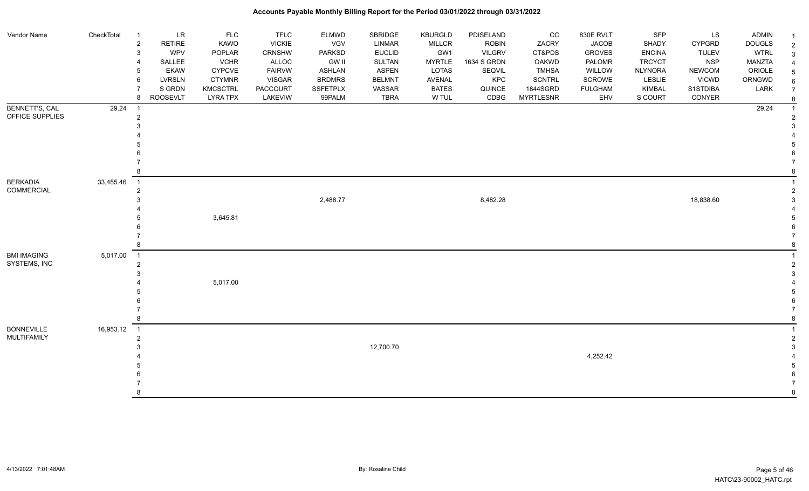#### Vendor Name CheckTotal 1 LR FLC FLC ELMWD SBRIDGE KBURGLD PDISELAND CC 830E RVLT SFP LS ADMIN <sub>1</sub> 2 RETIRE KAWO VICKIE VGV LINMAR MILLCR ROBIN ZACRY JACOB SHADY CYPGRD DOUGLS 2 3 WPV POPLAR CRNSHW PARKSD EUCLID GW1 VILGRV CT&PDS GROVES ENCINA TULEV WTRL 3 4 SALLEE VCHR ALLOC GW II SULTAN MYRTLE 1634 S GRDN OAKWD PALOMR TRCYCT NSP MANZTA 4 5 EKAW CYPCVE FAIRVW ASHLAN ASPEN LOTAS SEQVIL TMHSA WILLOW NLYNORA NEWCOM ORIOLE 5 6 LVRSLN CTYMNR VISGAR BRDMRS BELMNT AVENAL KPC SCNTRL SCROWE LESLIE VICWD ORNGWD  $_{6}$ 7 SIGRDN KMCSCTRL PACCOURT SSFETPLX VASSAR BATES QUINCE 1844SGRD FULGHAM KIMBAL S1STDIBA LARK 7 8 ROOSEVLT LYRA TPX LAKEVIW 99PALM TBRA W TUL CDBG MYRTLESNR EHV S COURT CONYER <sub>8</sub> BENNETT'S, CAL OFFICE SUPPLIES 29.24 1 29.24 1 2 2  $3<sup>3</sup>$  4 4 5 5  $6$  7 7 8 8 BERKADIA COMMERCIAL 33,455.46 1 1 2 2  $2,488.77$   $3,482.28$   $18,838.60$   $3$  4 4  $\,$  5  $\,$  3,645.81  $\,$  5  $\,$  5  $6$  7 7 8 8 BMI IMAGING SYSTEMS, INC 5,017.00 1 1 2 2  $3<sup>3</sup>$  4 5,017.00 4 5 5  $6$  7 7 8 8 BONNEVILLE MULTIFAMILY 16,953.12 1 1 2 2 3 12,700.70 3 4 4,252.42 4 5 5  $6$  7 7 8 8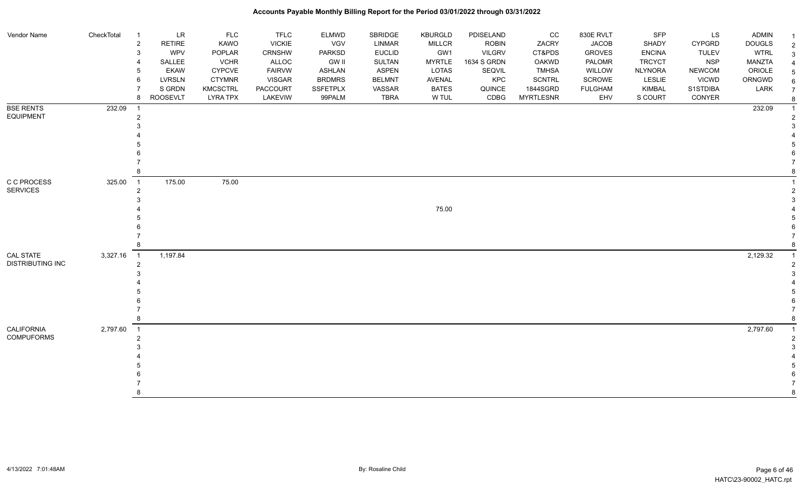| Vendor Name                            | CheckTotal | <b>LR</b><br>$\overline{1}$<br><b>RETIRE</b><br>$\overline{2}$<br>WPV<br>3<br>SALLEE<br><b>EKAW</b><br>LVRSLN<br>6<br>S GRDN<br><b>ROOSEVLT</b><br>8 | <b>FLC</b><br>KAWO<br>POPLAR<br><b>VCHR</b><br><b>CYPCVE</b><br><b>CTYMNR</b><br>KMCSCTRL<br><b>LYRA TPX</b> | <b>TFLC</b><br><b>VICKIE</b><br>CRNSHW<br><b>ALLOC</b><br><b>FAIRVW</b><br><b>VISGAR</b><br><b>PACCOURT</b><br>LAKEVIW | <b>ELMWD</b><br><b>VGV</b><br>PARKSD<br><b>GW II</b><br><b>ASHLAN</b><br><b>BRDMRS</b><br>SSFETPLX<br>99PALM | SBRIDGE<br><b>LINMAR</b><br><b>EUCLID</b><br>SULTAN<br><b>ASPEN</b><br><b>BELMNT</b><br>VASSAR<br><b>TBRA</b> | <b>KBURGLD</b><br>MILLCR<br>GW1<br><b>MYRTLE</b><br>LOTAS<br>AVENAL<br><b>BATES</b><br>W TUL | PDISELAND<br><b>ROBIN</b><br><b>VILGRV</b><br>1634 S GRDN<br>SEQVIL<br>KPC<br>QUINCE<br>CDBG | cc<br>ZACRY<br>CT&PDS<br><b>OAKWD</b><br><b>TMHSA</b><br><b>SCNTRL</b><br>1844SGRD<br><b>MYRTLESNR</b> | 830E RVLT<br><b>JACOB</b><br><b>GROVES</b><br>PALOMR<br>WILLOW<br>SCROWE<br><b>FULGHAM</b><br>EHV | <b>SFP</b><br>SHADY<br><b>ENCINA</b><br><b>TRCYCT</b><br><b>NLYNORA</b><br>LESLIE<br>KIMBAL<br>S COURT | LS<br><b>CYPGRD</b><br><b>TULEV</b><br><b>NSP</b><br><b>NEWCOM</b><br><b>VICWD</b><br>S1STDIBA<br>CONYER | <b>ADMIN</b><br><b>DOUGLS</b><br><b>WTRL</b><br><b>MANZTA</b><br>ORIOLE<br>ORNGWD<br>LARK | -1<br>$\overline{2}$<br>3 |
|----------------------------------------|------------|------------------------------------------------------------------------------------------------------------------------------------------------------|--------------------------------------------------------------------------------------------------------------|------------------------------------------------------------------------------------------------------------------------|--------------------------------------------------------------------------------------------------------------|---------------------------------------------------------------------------------------------------------------|----------------------------------------------------------------------------------------------|----------------------------------------------------------------------------------------------|--------------------------------------------------------------------------------------------------------|---------------------------------------------------------------------------------------------------|--------------------------------------------------------------------------------------------------------|----------------------------------------------------------------------------------------------------------|-------------------------------------------------------------------------------------------|---------------------------|
| <b>BSE RENTS</b><br><b>EQUIPMENT</b>   | 232.09     | $\overline{1}$                                                                                                                                       |                                                                                                              |                                                                                                                        |                                                                                                              |                                                                                                               |                                                                                              |                                                                                              |                                                                                                        |                                                                                                   |                                                                                                        |                                                                                                          | 232.09                                                                                    |                           |
| C C PROCESS<br><b>SERVICES</b>         | 325.00     | 175.00<br>$\overline{1}$<br>$\overline{2}$                                                                                                           | 75.00                                                                                                        |                                                                                                                        |                                                                                                              |                                                                                                               | 75.00                                                                                        |                                                                                              |                                                                                                        |                                                                                                   |                                                                                                        |                                                                                                          |                                                                                           |                           |
| CAL STATE<br><b>DISTRIBUTING INC</b>   | 3,327.16   | 1,197.84<br>$\overline{1}$<br>$\overline{2}$                                                                                                         |                                                                                                              |                                                                                                                        |                                                                                                              |                                                                                                               |                                                                                              |                                                                                              |                                                                                                        |                                                                                                   |                                                                                                        |                                                                                                          | 2,129.32                                                                                  |                           |
| <b>CALIFORNIA</b><br><b>COMPUFORMS</b> | 2,797.60   | $\overline{1}$<br>8                                                                                                                                  |                                                                                                              |                                                                                                                        |                                                                                                              |                                                                                                               |                                                                                              |                                                                                              |                                                                                                        |                                                                                                   |                                                                                                        |                                                                                                          | 2,797.60                                                                                  | 8                         |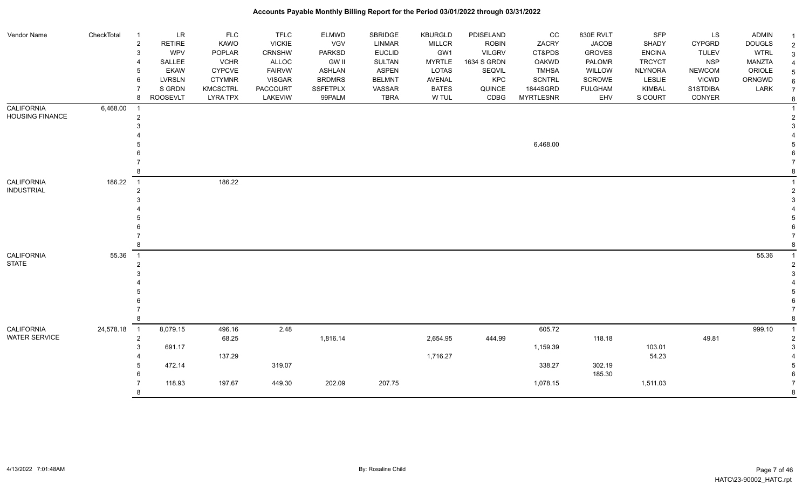| Vendor Name            | CheckTotal | $\overline{1}$ | LR              | <b>FLC</b>      | <b>TFLC</b>     | ELMWD         | SBRIDGE       | <b>KBURGLD</b> | PDISELAND     | CC               | 830E RVLT      | <b>SFP</b>     | LS            | <b>ADMIN</b>  |  |
|------------------------|------------|----------------|-----------------|-----------------|-----------------|---------------|---------------|----------------|---------------|------------------|----------------|----------------|---------------|---------------|--|
|                        |            | $\overline{2}$ | <b>RETIRE</b>   | <b>KAWO</b>     | <b>VICKIE</b>   | VGV           | <b>LINMAR</b> | <b>MILLCR</b>  | <b>ROBIN</b>  | ZACRY            | <b>JACOB</b>   | <b>SHADY</b>   | <b>CYPGRD</b> | <b>DOUGLS</b> |  |
|                        |            | 3              | <b>WPV</b>      | POPLAR          | <b>CRNSHW</b>   | <b>PARKSD</b> | <b>EUCLID</b> | GW1            | <b>VILGRV</b> | CT&PDS           | <b>GROVES</b>  | <b>ENCINA</b>  | <b>TULEV</b>  | <b>WTRL</b>   |  |
|                        |            |                | SALLEE          | <b>VCHR</b>     | ALLOC           | <b>GW II</b>  | <b>SULTAN</b> | <b>MYRTLE</b>  | 1634 S GRDN   | <b>OAKWD</b>     | PALOMR         | <b>TRCYCT</b>  | <b>NSP</b>    | MANZTA        |  |
|                        |            |                | <b>EKAW</b>     | <b>CYPCVE</b>   | <b>FAIRVW</b>   | <b>ASHLAN</b> | <b>ASPEN</b>  | LOTAS          | SEQVIL        | <b>TMHSA</b>     | WILLOW         | <b>NLYNORA</b> | <b>NEWCOM</b> | ORIOLE        |  |
|                        |            |                | <b>LVRSLN</b>   | <b>CTYMNR</b>   | <b>VISGAR</b>   | <b>BRDMRS</b> | <b>BELMNT</b> | AVENAL         | KPC           | <b>SCNTRL</b>    | SCROWE         | LESLIE         | <b>VICWD</b>  | ORNGWD        |  |
|                        |            |                | S GRDN          | <b>KMCSCTRL</b> | <b>PACCOURT</b> | SSFETPLX      | VASSAR        | <b>BATES</b>   | QUINCE        | 1844SGRD         | <b>FULGHAM</b> | KIMBAL         | S1STDIBA      | LARK          |  |
|                        |            | 8              | <b>ROOSEVLT</b> | <b>LYRA TPX</b> | LAKEVIW         | 99PALM        | <b>TBRA</b>   | W TUL          | CDBG          | <b>MYRTLESNR</b> | EHV            | S COURT        | CONYER        |               |  |
| <b>CALIFORNIA</b>      | 6,468.00   |                |                 |                 |                 |               |               |                |               |                  |                |                |               |               |  |
| <b>HOUSING FINANCE</b> |            | $\overline{2}$ |                 |                 |                 |               |               |                |               |                  |                |                |               |               |  |
|                        |            |                |                 |                 |                 |               |               |                |               |                  |                |                |               |               |  |
|                        |            |                |                 |                 |                 |               |               |                |               |                  |                |                |               |               |  |
|                        |            |                |                 |                 |                 |               |               |                |               | 6,468.00         |                |                |               |               |  |
|                        |            |                |                 |                 |                 |               |               |                |               |                  |                |                |               |               |  |
|                        |            |                |                 |                 |                 |               |               |                |               |                  |                |                |               |               |  |
|                        |            |                |                 |                 |                 |               |               |                |               |                  |                |                |               |               |  |
| CALIFORNIA             | 186.22     | $\overline{1}$ |                 | 186.22          |                 |               |               |                |               |                  |                |                |               |               |  |
| <b>INDUSTRIAL</b>      |            | $\overline{2}$ |                 |                 |                 |               |               |                |               |                  |                |                |               |               |  |
|                        |            |                |                 |                 |                 |               |               |                |               |                  |                |                |               |               |  |
|                        |            |                |                 |                 |                 |               |               |                |               |                  |                |                |               |               |  |
|                        |            |                |                 |                 |                 |               |               |                |               |                  |                |                |               |               |  |
|                        |            |                |                 |                 |                 |               |               |                |               |                  |                |                |               |               |  |
|                        |            |                |                 |                 |                 |               |               |                |               |                  |                |                |               |               |  |
|                        |            | 8              |                 |                 |                 |               |               |                |               |                  |                |                |               |               |  |
| CALIFORNIA             | 55.36      | $\overline{1}$ |                 |                 |                 |               |               |                |               |                  |                |                |               | 55.36         |  |
| <b>STATE</b>           |            |                |                 |                 |                 |               |               |                |               |                  |                |                |               |               |  |
|                        |            |                |                 |                 |                 |               |               |                |               |                  |                |                |               |               |  |
|                        |            |                |                 |                 |                 |               |               |                |               |                  |                |                |               |               |  |
|                        |            |                |                 |                 |                 |               |               |                |               |                  |                |                |               |               |  |
|                        |            |                |                 |                 |                 |               |               |                |               |                  |                |                |               |               |  |
|                        |            |                |                 |                 |                 |               |               |                |               |                  |                |                |               |               |  |
|                        |            | 8              |                 |                 |                 |               |               |                |               |                  |                |                |               |               |  |
| <b>CALIFORNIA</b>      | 24,578.18  | $\overline{1}$ | 8,079.15        | 496.16          | 2.48            |               |               |                |               | 605.72           |                |                |               | 999.10        |  |
| <b>WATER SERVICE</b>   |            | $\overline{2}$ |                 | 68.25           |                 | 1,816.14      |               | 2,654.95       | 444.99        |                  | 118.18         |                | 49.81         |               |  |
|                        |            | 3              | 691.17          |                 |                 |               |               |                |               | 1,159.39         |                | 103.01         |               |               |  |
|                        |            |                |                 | 137.29          |                 |               |               | 1,716.27       |               |                  |                | 54.23          |               |               |  |
|                        |            |                | 472.14          |                 | 319.07          |               |               |                |               | 338.27           | 302.19         |                |               |               |  |
|                        |            |                |                 |                 |                 |               |               |                |               |                  | 185.30         |                |               |               |  |
|                        |            |                | 118.93          | 197.67          | 449.30          | 202.09        | 207.75        |                |               | 1,078.15         |                | 1,511.03       |               |               |  |
|                        |            | 8              |                 |                 |                 |               |               |                |               |                  |                |                |               |               |  |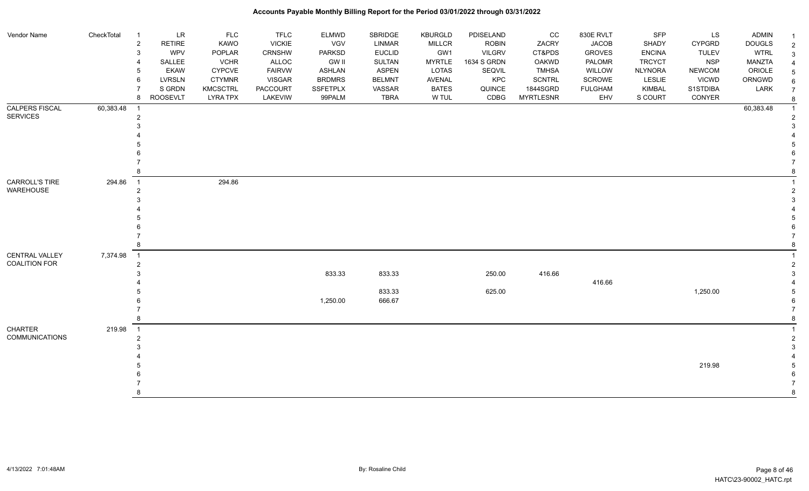| Vendor Name           | CheckTotal | -1                               | LR              | <b>FLC</b>      | <b>TFLC</b>     | <b>ELMWD</b>  | SBRIDGE       | <b>KBURGLD</b> | PDISELAND     | cc               | 830E RVLT      | <b>SFP</b>     | LS            | <b>ADMIN</b>  |  |
|-----------------------|------------|----------------------------------|-----------------|-----------------|-----------------|---------------|---------------|----------------|---------------|------------------|----------------|----------------|---------------|---------------|--|
|                       |            | $\overline{2}$                   | RETIRE          | KAWO            | <b>VICKIE</b>   | VGV           | <b>LINMAR</b> | <b>MILLCR</b>  | <b>ROBIN</b>  | ZACRY            | <b>JACOB</b>   | SHADY          | <b>CYPGRD</b> | <b>DOUGLS</b> |  |
|                       |            | 3                                | WPV             | POPLAR          | <b>CRNSHW</b>   | <b>PARKSD</b> | <b>EUCLID</b> | GW1            | <b>VILGRV</b> | CT&PDS           | <b>GROVES</b>  | <b>ENCINA</b>  | <b>TULEV</b>  | <b>WTRL</b>   |  |
|                       |            |                                  | SALLEE          | <b>VCHR</b>     | ALLOC           | <b>GW II</b>  | <b>SULTAN</b> | <b>MYRTLE</b>  | 1634 S GRDN   | <b>OAKWD</b>     | PALOMR         | <b>TRCYCT</b>  | <b>NSP</b>    | MANZTA        |  |
|                       |            | 5                                | <b>EKAW</b>     | <b>CYPCVE</b>   | <b>FAIRVW</b>   | <b>ASHLAN</b> | <b>ASPEN</b>  | LOTAS          | SEQVIL        | <b>TMHSA</b>     | WILLOW         | <b>NLYNORA</b> | <b>NEWCOM</b> | ORIOLE        |  |
|                       |            | 6                                | <b>LVRSLN</b>   | <b>CTYMNR</b>   | <b>VISGAR</b>   | <b>BRDMRS</b> | <b>BELMNT</b> | AVENAL         | KPC           | <b>SCNTRL</b>    | SCROWE         | LESLIE         | <b>VICWD</b>  | ORNGWD        |  |
|                       |            |                                  | S GRDN          | <b>KMCSCTRL</b> | <b>PACCOURT</b> | SSFETPLX      | VASSAR        | <b>BATES</b>   | QUINCE        | 1844SGRD         | <b>FULGHAM</b> | KIMBAL         | S1STDIBA      | LARK          |  |
|                       |            | 8                                | <b>ROOSEVLT</b> | <b>LYRA TPX</b> | LAKEVIW         | 99PALM        | <b>TBRA</b>   | W TUL          | CDBG          | <b>MYRTLESNR</b> | EHV            | S COURT        | CONYER        |               |  |
| CALPERS FISCAL        | 60,383.48  |                                  |                 |                 |                 |               |               |                |               |                  |                |                |               | 60,383.48     |  |
| <b>SERVICES</b>       |            | $\overline{2}$                   |                 |                 |                 |               |               |                |               |                  |                |                |               |               |  |
|                       |            |                                  |                 |                 |                 |               |               |                |               |                  |                |                |               |               |  |
|                       |            |                                  |                 |                 |                 |               |               |                |               |                  |                |                |               |               |  |
|                       |            |                                  |                 |                 |                 |               |               |                |               |                  |                |                |               |               |  |
|                       |            |                                  |                 |                 |                 |               |               |                |               |                  |                |                |               |               |  |
|                       |            |                                  |                 |                 |                 |               |               |                |               |                  |                |                |               |               |  |
|                       |            | 8                                |                 |                 |                 |               |               |                |               |                  |                |                |               |               |  |
| CARROLL'S TIRE        | 294.86     | $\overline{1}$                   |                 | 294.86          |                 |               |               |                |               |                  |                |                |               |               |  |
| <b>WAREHOUSE</b>      |            | $\overline{2}$                   |                 |                 |                 |               |               |                |               |                  |                |                |               |               |  |
|                       |            |                                  |                 |                 |                 |               |               |                |               |                  |                |                |               |               |  |
|                       |            |                                  |                 |                 |                 |               |               |                |               |                  |                |                |               |               |  |
|                       |            |                                  |                 |                 |                 |               |               |                |               |                  |                |                |               |               |  |
|                       |            |                                  |                 |                 |                 |               |               |                |               |                  |                |                |               |               |  |
|                       |            |                                  |                 |                 |                 |               |               |                |               |                  |                |                |               |               |  |
|                       |            | 8                                |                 |                 |                 |               |               |                |               |                  |                |                |               |               |  |
| CENTRAL VALLEY        | 7,374.98   |                                  |                 |                 |                 |               |               |                |               |                  |                |                |               |               |  |
| <b>COALITION FOR</b>  |            | $\overline{1}$<br>$\overline{2}$ |                 |                 |                 |               |               |                |               |                  |                |                |               |               |  |
|                       |            |                                  |                 |                 |                 | 833.33        |               |                | 250.00        | 416.66           |                |                |               |               |  |
|                       |            |                                  |                 |                 |                 |               | 833.33        |                |               |                  |                |                |               |               |  |
|                       |            |                                  |                 |                 |                 |               |               |                |               |                  | 416.66         |                |               |               |  |
|                       |            |                                  |                 |                 |                 |               | 833.33        |                | 625.00        |                  |                |                | 1,250.00      |               |  |
|                       |            |                                  |                 |                 |                 | 1,250.00      | 666.67        |                |               |                  |                |                |               |               |  |
|                       |            |                                  |                 |                 |                 |               |               |                |               |                  |                |                |               |               |  |
|                       |            | 8                                |                 |                 |                 |               |               |                |               |                  |                |                |               |               |  |
| <b>CHARTER</b>        | 219.98     | $\overline{1}$                   |                 |                 |                 |               |               |                |               |                  |                |                |               |               |  |
| <b>COMMUNICATIONS</b> |            | $\overline{2}$                   |                 |                 |                 |               |               |                |               |                  |                |                |               |               |  |
|                       |            |                                  |                 |                 |                 |               |               |                |               |                  |                |                |               |               |  |
|                       |            |                                  |                 |                 |                 |               |               |                |               |                  |                |                |               |               |  |
|                       |            |                                  |                 |                 |                 |               |               |                |               |                  |                |                | 219.98        |               |  |
|                       |            |                                  |                 |                 |                 |               |               |                |               |                  |                |                |               |               |  |
|                       |            |                                  |                 |                 |                 |               |               |                |               |                  |                |                |               |               |  |
|                       |            | 8                                |                 |                 |                 |               |               |                |               |                  |                |                |               |               |  |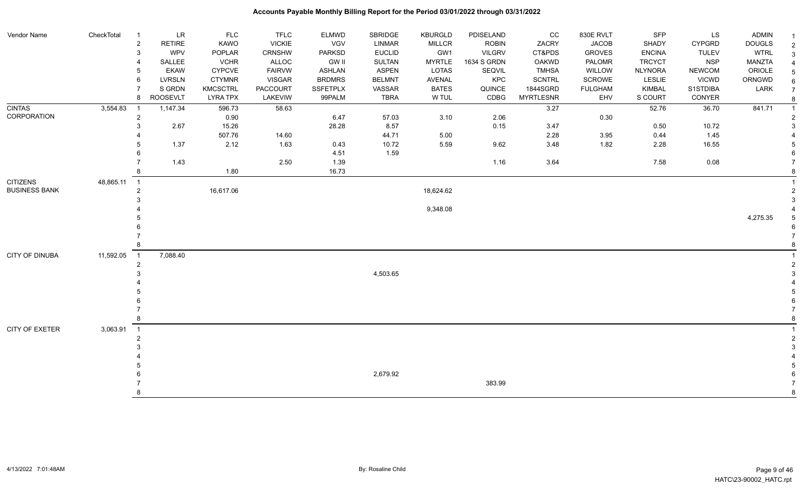| Vendor Name          | CheckTotal | $\overline{1}$ | LR            | <b>FLC</b>      | <b>TFLC</b>     | ELMWD           | SBRIDGE       | <b>KBURGLD</b> | PDISELAND     | CC               | 830E RVLT      | <b>SFP</b>     | LS            | <b>ADMIN</b>  |                |
|----------------------|------------|----------------|---------------|-----------------|-----------------|-----------------|---------------|----------------|---------------|------------------|----------------|----------------|---------------|---------------|----------------|
|                      |            | $\overline{c}$ | <b>RETIRE</b> | <b>KAWO</b>     | <b>VICKIE</b>   | <b>VGV</b>      | LINMAR        | <b>MILLCR</b>  | <b>ROBIN</b>  | ZACRY            | <b>JACOB</b>   | SHADY          | <b>CYPGRD</b> | <b>DOUGLS</b> | $\overline{2}$ |
|                      |            | 3              | <b>WPV</b>    | POPLAR          | <b>CRNSHW</b>   | <b>PARKSD</b>   | <b>EUCLID</b> | GW1            | <b>VILGRV</b> | CT&PDS           | <b>GROVES</b>  | <b>ENCINA</b>  | <b>TULEV</b>  | <b>WTRL</b>   | 3              |
|                      |            |                | SALLEE        | <b>VCHR</b>     | ALLOC           | <b>GW II</b>    | <b>SULTAN</b> | <b>MYRTLE</b>  | 1634 S GRDN   | <b>OAKWD</b>     | PALOMR         | <b>TRCYCT</b>  | <b>NSP</b>    | <b>MANZTA</b> | $\overline{4}$ |
|                      |            |                | <b>EKAW</b>   | <b>CYPCVE</b>   | <b>FAIRVW</b>   | ASHLAN          | <b>ASPEN</b>  | LOTAS          | SEQVIL        | <b>TMHSA</b>     | WILLOW         | <b>NLYNORA</b> | <b>NEWCOM</b> | ORIOLE        | 5              |
|                      |            | 6              | <b>LVRSLN</b> | <b>CTYMNR</b>   | <b>VISGAR</b>   | <b>BRDMRS</b>   | <b>BELMNT</b> | <b>AVENAL</b>  | KPC           | <b>SCNTRL</b>    | SCROWE         | LESLIE         | <b>VICWD</b>  | ORNGWD        |                |
|                      |            |                | S GRDN        | <b>KMCSCTRL</b> | <b>PACCOURT</b> | <b>SSFETPLX</b> | VASSAR        | <b>BATES</b>   | QUINCE        | 1844SGRD         | <b>FULGHAM</b> | <b>KIMBAL</b>  | S1STDIBA      | LARK          |                |
|                      |            | 8              | ROOSEVLT      | <b>LYRA TPX</b> | LAKEVIW         | 99PALM          | <b>TBRA</b>   | W TUL          | CDBG          | <b>MYRTLESNR</b> | EHV            | S COURT        | CONYER        |               |                |
| <b>CINTAS</b>        | 3,554.83   |                | 1,147.34      | 596.73          | 58.63           |                 |               |                |               | 3.27             |                | 52.76          | 36.70         | 841.71        |                |
| CORPORATION          |            | $\mathbf{2}$   |               | 0.90            |                 | 6.47            | 57.03         | 3.10           | 2.06          |                  | 0.30           |                |               |               |                |
|                      |            | 3              | 2.67          | 15.26           |                 | 28.28           | 8.57          |                | 0.15          | 3.47             |                | 0.50           | 10.72         |               | 3              |
|                      |            |                |               | 507.76          | 14.60           |                 | 44.71         | 5.00           |               | 2.28             | 3.95           | 0.44           | 1.45          |               |                |
|                      |            |                | 1.37          | 2.12            | 1.63            | 0.43            | 10.72         | 5.59           | 9.62          | 3.48             | 1.82           | 2.28           | 16.55         |               |                |
|                      |            |                |               |                 |                 | 4.51            | 1.59          |                |               |                  |                |                |               |               |                |
|                      |            |                | 1.43          |                 | 2.50            | 1.39            |               |                | 1.16          | 3.64             |                | 7.58           | 0.08          |               |                |
|                      |            |                |               | 1.80            |                 | 16.73           |               |                |               |                  |                |                |               |               |                |
| <b>CITIZENS</b>      | 48,865.11  | $\overline{1}$ |               |                 |                 |                 |               |                |               |                  |                |                |               |               |                |
| <b>BUSINESS BANK</b> |            | $\mathfrak{p}$ |               | 16,617.06       |                 |                 |               | 18,624.62      |               |                  |                |                |               |               |                |
|                      |            |                |               |                 |                 |                 |               |                |               |                  |                |                |               |               | 3              |
|                      |            |                |               |                 |                 |                 |               | 9,348.08       |               |                  |                |                |               |               |                |
|                      |            |                |               |                 |                 |                 |               |                |               |                  |                |                |               | 4,275.35      | 5              |
|                      |            |                |               |                 |                 |                 |               |                |               |                  |                |                |               |               |                |
|                      |            |                |               |                 |                 |                 |               |                |               |                  |                |                |               |               |                |
|                      |            |                |               |                 |                 |                 |               |                |               |                  |                |                |               |               |                |
| CITY OF DINUBA       | 11,592.05  | $\overline{1}$ | 7,088.40      |                 |                 |                 |               |                |               |                  |                |                |               |               |                |
|                      |            | 2              |               |                 |                 |                 |               |                |               |                  |                |                |               |               |                |
|                      |            |                |               |                 |                 |                 | 4,503.65      |                |               |                  |                |                |               |               | 3              |
|                      |            |                |               |                 |                 |                 |               |                |               |                  |                |                |               |               |                |
|                      |            |                |               |                 |                 |                 |               |                |               |                  |                |                |               |               |                |
|                      |            |                |               |                 |                 |                 |               |                |               |                  |                |                |               |               |                |
|                      |            |                |               |                 |                 |                 |               |                |               |                  |                |                |               |               |                |
|                      |            |                |               |                 |                 |                 |               |                |               |                  |                |                |               |               |                |
| CITY OF EXETER       | 3,063.91   | $\overline{1}$ |               |                 |                 |                 |               |                |               |                  |                |                |               |               |                |
|                      |            |                |               |                 |                 |                 |               |                |               |                  |                |                |               |               | $\overline{2}$ |
|                      |            |                |               |                 |                 |                 |               |                |               |                  |                |                |               |               | $\mathcal{R}$  |
|                      |            |                |               |                 |                 |                 |               |                |               |                  |                |                |               |               |                |
|                      |            |                |               |                 |                 |                 |               |                |               |                  |                |                |               |               |                |
|                      |            |                |               |                 |                 |                 | 2,679.92      |                |               |                  |                |                |               |               |                |
|                      |            |                |               |                 |                 |                 |               |                | 383.99        |                  |                |                |               |               |                |
|                      |            |                |               |                 |                 |                 |               |                |               |                  |                |                |               |               | 8              |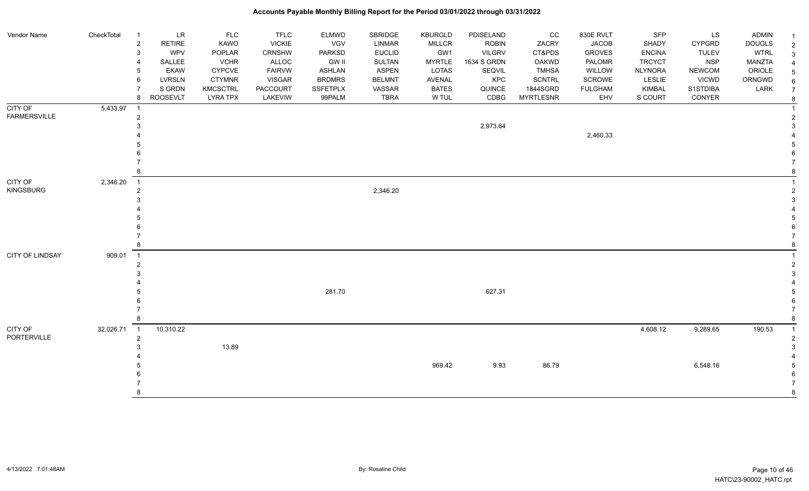### Vendor Name CheckTotal 1 LR FLC FLC ELMWD SBRIDGE KBURGLD PDISELAND CC 830E RVLT SFP LS ADMIN <sub>1</sub> 2 RETIRE KAWO VICKIE VGV LINMAR MILLCR ROBIN ZACRY JACOB SHADY CYPGRD DOUGLS 2 3 WPV POPLAR CRNSHW PARKSD EUCLID GW1 VILGRV CT&PDS GROVES ENCINA TULEV WTRL 3 4 SALLEE VCHR ALLOC GW II SULTAN MYRTLE 1634 S GRDN OAKWD PALOMR TRCYCT NSP MANZTA 4 5 EKAW CYPCVE FAIRVW ASHLAN ASPEN LOTAS SEQVIL TMHSA WILLOW NLYNORA NEWCOM ORIOLE 5 6 LVRSLN CTYMNR VISGAR BRDMRS BELMNT AVENAL KPC SCNTRL SCROWE LESLIE VICWD ORNGWD  $_{6}$ 7 SIGRDN KMCSCTRL PACCOURT SSFETPLX VASSAR BATES QUINCE 1844SGRD FULGHAM KIMBAL S1STDIBA LARK 7 8 ROOSEVLT LYRA TPX LAKEVIW 99PALM TBRA W TUL CDBG MYRTLESNR EHV S COURT CONYER <sub>8</sub> CITY OF FARMERSVILLE 5,433.97 1 1 2 2  $2,973.64$  3 4 2,460.33 4 5 5  $6$  7 7 8 8 CITY OF KINGSBURG 2,346.20 1 1 2 and a set of the set of the set of the set of the set of the set of the set of the set of the set of the set of the set of the set of the set of the set of the set of the set of the set of the set of the set of the set  $3<sup>3</sup>$  4 4 5 5  $6$  7 7 8 8 CITY OF LINDSAY 909.01 1 1 2 2  $3<sup>3</sup>$  4 4 5 281.70 627.31 5  $6$  7 7 8 8 CITY OF PORTERVILLE 32,026.71 1 10,310.22 4,608.12 9,289.65 190.53 1 2 2  $3 \hspace{5cm} 13.89$  4 4 5 969.42 9.93 86.79 6,548.16 5  $6$ 7 7

### **Accounts Payable Monthly Billing Report for the Period 03/01/2022 through 03/31/2022**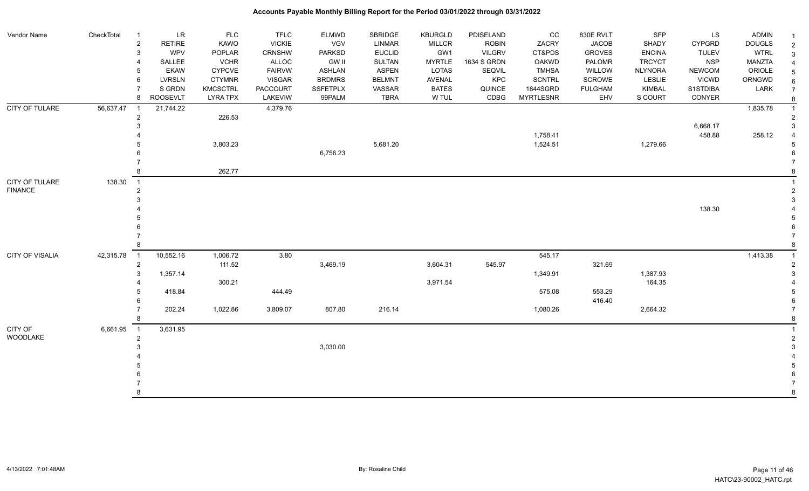| Vendor Name            | CheckTotal | $\overline{1}$ | LR            | <b>FLC</b>      | <b>TFLC</b>     | ELMWD           | SBRIDGE       | <b>KBURGLD</b> | PDISELAND     | cc               | 830E RVLT      | SFP            | LS            | <b>ADMIN</b>  | $\overline{\mathbf{1}}$ |
|------------------------|------------|----------------|---------------|-----------------|-----------------|-----------------|---------------|----------------|---------------|------------------|----------------|----------------|---------------|---------------|-------------------------|
|                        |            | $\mathbf 2$    | <b>RETIRE</b> | KAWO            | <b>VICKIE</b>   | VGV             | <b>LINMAR</b> | <b>MILLCR</b>  | <b>ROBIN</b>  | ZACRY            | <b>JACOB</b>   | SHADY          | <b>CYPGRD</b> | <b>DOUGLS</b> | $\overline{2}$          |
|                        |            | 3              | <b>WPV</b>    | POPLAR          | CRNSHW          | <b>PARKSD</b>   | <b>EUCLID</b> | GW1            | <b>VILGRV</b> | CT&PDS           | <b>GROVES</b>  | <b>ENCINA</b>  | <b>TULEV</b>  | <b>WTRL</b>   | 3                       |
|                        |            | $\overline{4}$ | SALLEE        | <b>VCHR</b>     | ALLOC           | <b>GW II</b>    | SULTAN        | <b>MYRTLE</b>  | 1634 S GRDN   | <b>OAKWD</b>     | PALOMR         | <b>TRCYCT</b>  | <b>NSP</b>    | <b>MANZTA</b> |                         |
|                        |            | 5              | <b>EKAW</b>   | <b>CYPCVE</b>   | <b>FAIRVW</b>   | <b>ASHLAN</b>   | <b>ASPEN</b>  | LOTAS          | SEQVIL        | <b>TMHSA</b>     | WILLOW         | <b>NLYNORA</b> | <b>NEWCOM</b> | ORIOLE        |                         |
|                        |            | 6              | <b>LVRSLN</b> | <b>CTYMNR</b>   | <b>VISGAR</b>   | <b>BRDMRS</b>   | <b>BELMNT</b> | AVENAL         | KPC           | <b>SCNTRL</b>    | <b>SCROWE</b>  | LESLIE         | <b>VICWD</b>  | ORNGWD        |                         |
|                        |            |                | S GRDN        | <b>KMCSCTRL</b> | <b>PACCOURT</b> | <b>SSFETPLX</b> | VASSAR        | <b>BATES</b>   | QUINCE        | 1844SGRD         | <b>FULGHAM</b> | <b>KIMBAL</b>  | S1STDIBA      | LARK          |                         |
|                        |            | 8              | ROOSEVLT      | <b>LYRA TPX</b> | LAKEVIW         | 99PALM          | <b>TBRA</b>   | W TUL          | CDBG          | <b>MYRTLESNR</b> | EHV            | S COURT        | CONYER        |               | 8                       |
| <b>CITY OF TULARE</b>  | 56,637.47  |                | 21,744.22     |                 | 4,379.76        |                 |               |                |               |                  |                |                |               | 1,835.78      |                         |
|                        |            | $\mathbf{2}$   |               | 226.53          |                 |                 |               |                |               |                  |                |                |               |               |                         |
|                        |            | 3              |               |                 |                 |                 |               |                |               |                  |                |                | 6,668.17      |               |                         |
|                        |            |                |               |                 |                 |                 |               |                |               | 1,758.41         |                |                | 458.88        | 258.12        |                         |
|                        |            |                |               | 3,803.23        |                 |                 | 5,681.20      |                |               | 1,524.51         |                | 1,279.66       |               |               |                         |
|                        |            |                |               |                 |                 | 6,756.23        |               |                |               |                  |                |                |               |               |                         |
|                        |            |                |               |                 |                 |                 |               |                |               |                  |                |                |               |               |                         |
|                        |            | 8              |               | 262.77          |                 |                 |               |                |               |                  |                |                |               |               |                         |
| CITY OF TULARE         | 138.30     | $\overline{1}$ |               |                 |                 |                 |               |                |               |                  |                |                |               |               |                         |
| <b>FINANCE</b>         |            | 2              |               |                 |                 |                 |               |                |               |                  |                |                |               |               |                         |
|                        |            |                |               |                 |                 |                 |               |                |               |                  |                |                |               |               |                         |
|                        |            |                |               |                 |                 |                 |               |                |               |                  |                |                | 138.30        |               |                         |
|                        |            |                |               |                 |                 |                 |               |                |               |                  |                |                |               |               |                         |
|                        |            |                |               |                 |                 |                 |               |                |               |                  |                |                |               |               |                         |
|                        |            |                |               |                 |                 |                 |               |                |               |                  |                |                |               |               |                         |
|                        |            |                |               |                 |                 |                 |               |                |               |                  |                |                |               |               |                         |
| <b>CITY OF VISALIA</b> | 42,315.78  | $\overline{1}$ | 10,552.16     | 1,006.72        | 3.80            |                 |               |                |               | 545.17           |                |                |               | 1,413.38      |                         |
|                        |            | $\overline{2}$ |               | 111.52          |                 | 3,469.19        |               | 3,604.31       | 545.97        |                  | 321.69         |                |               |               |                         |
|                        |            | 3              | 1,357.14      |                 |                 |                 |               |                |               | 1,349.91         |                | 1,387.93       |               |               |                         |
|                        |            |                |               | 300.21          |                 |                 |               | 3,971.54       |               |                  |                | 164.35         |               |               |                         |
|                        |            |                | 418.84        |                 | 444.49          |                 |               |                |               | 575.08           | 553.29         |                |               |               |                         |
|                        |            |                |               |                 |                 |                 |               |                |               |                  | 416.40         |                |               |               |                         |
|                        |            |                | 202.24        | 1,022.86        | 3,809.07        | 807.80          | 216.14        |                |               | 1,080.26         |                | 2,664.32       |               |               |                         |
|                        |            |                |               |                 |                 |                 |               |                |               |                  |                |                |               |               |                         |
| CITY OF                | 6,661.95   | $\overline{1}$ | 3,631.95      |                 |                 |                 |               |                |               |                  |                |                |               |               |                         |
| WOODLAKE               |            | $\overline{2}$ |               |                 |                 |                 |               |                |               |                  |                |                |               |               |                         |
|                        |            |                |               |                 |                 | 3,030.00        |               |                |               |                  |                |                |               |               |                         |
|                        |            |                |               |                 |                 |                 |               |                |               |                  |                |                |               |               |                         |
|                        |            |                |               |                 |                 |                 |               |                |               |                  |                |                |               |               |                         |
|                        |            |                |               |                 |                 |                 |               |                |               |                  |                |                |               |               |                         |
|                        |            |                |               |                 |                 |                 |               |                |               |                  |                |                |               |               |                         |
|                        |            |                |               |                 |                 |                 |               |                |               |                  |                |                |               |               | $\mathsf{R}$            |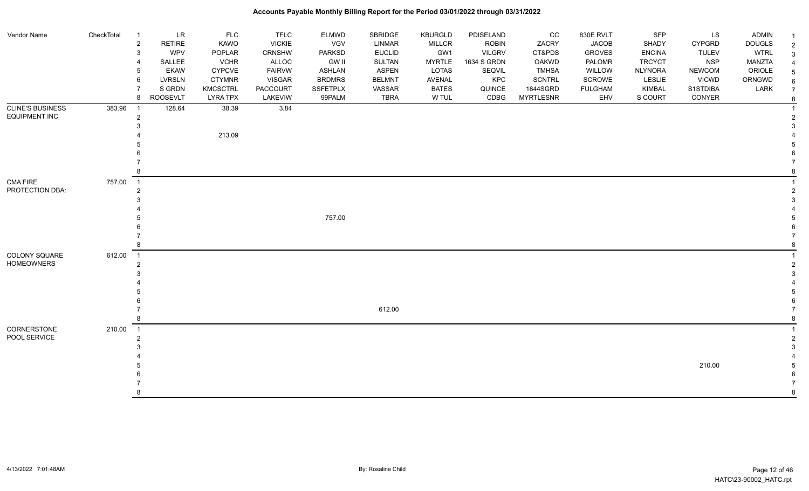| Vendor Name             | CheckTotal | $\overline{1}$             | <b>LR</b>     | <b>FLC</b>      | <b>TFLC</b>     | <b>ELMWD</b>  | SBRIDGE       | <b>KBURGLD</b> | PDISELAND     | CC               | 830E RVLT      | <b>SFP</b>     | LS            | ADMIN         | -1             |
|-------------------------|------------|----------------------------|---------------|-----------------|-----------------|---------------|---------------|----------------|---------------|------------------|----------------|----------------|---------------|---------------|----------------|
|                         |            | $\overline{2}$             | <b>RETIRE</b> | KAWO            | <b>VICKIE</b>   | VGV           | LINMAR        | <b>MILLCR</b>  | <b>ROBIN</b>  | ZACRY            | <b>JACOB</b>   | SHADY          | <b>CYPGRD</b> | <b>DOUGLS</b> | $\overline{c}$ |
|                         |            | 3                          | WPV           | POPLAR          | CRNSHW          | <b>PARKSD</b> | <b>EUCLID</b> | GW1            | <b>VILGRV</b> | CT&PDS           | <b>GROVES</b>  | <b>ENCINA</b>  | <b>TULEV</b>  | <b>WTRL</b>   | $\mathbf{3}$   |
|                         |            | $\overline{4}$             | SALLEE        | <b>VCHR</b>     | ALLOC           | <b>GW II</b>  | SULTAN        | <b>MYRTLE</b>  | 1634 S GRDN   | <b>OAKWD</b>     | PALOMR         | <b>TRCYCT</b>  | <b>NSP</b>    | MANZTA        |                |
|                         |            | 5                          | <b>EKAW</b>   | <b>CYPCVE</b>   | <b>FAIRVW</b>   | ASHLAN        | <b>ASPEN</b>  | LOTAS          | <b>SEQVIL</b> | <b>TMHSA</b>     | WILLOW         | <b>NLYNORA</b> | <b>NEWCOM</b> | ORIOLE        |                |
|                         |            | 6                          | <b>LVRSLN</b> | <b>CTYMNR</b>   | <b>VISGAR</b>   | <b>BRDMRS</b> | <b>BELMNT</b> | AVENAL         | <b>KPC</b>    | <b>SCNTRL</b>    | SCROWE         | LESLIE         | <b>VICWD</b>  | ORNGWD        | 6              |
|                         |            | $\overline{7}$             | S GRDN        | <b>KMCSCTRL</b> | <b>PACCOURT</b> | SSFETPLX      | VASSAR        | <b>BATES</b>   | QUINCE        | 1844SGRD         | <b>FULGHAM</b> | <b>KIMBAL</b>  | S1STDIBA      | LARK          |                |
|                         |            | 8                          | ROOSEVLT      | <b>LYRA TPX</b> | <b>LAKEVIW</b>  | 99PALM        | TBRA          | W TUL          | CDBG          | <b>MYRTLESNR</b> | EHV            | S COURT        | CONYER        |               | 8              |
| <b>CLINE'S BUSINESS</b> | 383.96     | $\overline{1}$             | 128.64        | 38.39           | 3.84            |               |               |                |               |                  |                |                |               |               |                |
| <b>EQUIPMENT INC</b>    |            | $\overline{2}$             |               |                 |                 |               |               |                |               |                  |                |                |               |               | $\mathcal{P}$  |
|                         |            | 3                          |               |                 |                 |               |               |                |               |                  |                |                |               |               | 3              |
|                         |            |                            |               | 213.09          |                 |               |               |                |               |                  |                |                |               |               |                |
|                         |            |                            |               |                 |                 |               |               |                |               |                  |                |                |               |               |                |
|                         |            |                            |               |                 |                 |               |               |                |               |                  |                |                |               |               |                |
|                         |            | 8                          |               |                 |                 |               |               |                |               |                  |                |                |               |               |                |
| <b>CMA FIRE</b>         | 757.00     | $\overline{1}$             |               |                 |                 |               |               |                |               |                  |                |                |               |               |                |
| PROTECTION DBA:         |            | $\overline{2}$             |               |                 |                 |               |               |                |               |                  |                |                |               |               |                |
|                         |            | 3                          |               |                 |                 |               |               |                |               |                  |                |                |               |               | 3              |
|                         |            |                            |               |                 |                 |               |               |                |               |                  |                |                |               |               |                |
|                         |            |                            |               |                 |                 | 757.00        |               |                |               |                  |                |                |               |               |                |
|                         |            |                            |               |                 |                 |               |               |                |               |                  |                |                |               |               |                |
|                         |            |                            |               |                 |                 |               |               |                |               |                  |                |                |               |               |                |
|                         |            | 8                          |               |                 |                 |               |               |                |               |                  |                |                |               |               | 8              |
| COLONY SQUARE           | 612.00     | $\overline{\phantom{0}}$ 1 |               |                 |                 |               |               |                |               |                  |                |                |               |               |                |
| <b>HOMEOWNERS</b>       |            | $\overline{2}$             |               |                 |                 |               |               |                |               |                  |                |                |               |               | $\mathcal{P}$  |
|                         |            | 3                          |               |                 |                 |               |               |                |               |                  |                |                |               |               |                |
|                         |            |                            |               |                 |                 |               |               |                |               |                  |                |                |               |               |                |
|                         |            |                            |               |                 |                 |               |               |                |               |                  |                |                |               |               |                |
|                         |            |                            |               |                 |                 |               |               |                |               |                  |                |                |               |               |                |
|                         |            |                            |               |                 |                 |               | 612.00        |                |               |                  |                |                |               |               |                |
|                         |            | 8                          |               |                 |                 |               |               |                |               |                  |                |                |               |               | 8              |
| CORNERSTONE             | 210.00     | $\overline{1}$             |               |                 |                 |               |               |                |               |                  |                |                |               |               |                |
| POOL SERVICE            |            | $\overline{2}$             |               |                 |                 |               |               |                |               |                  |                |                |               |               | $\overline{2}$ |
|                         |            | 3                          |               |                 |                 |               |               |                |               |                  |                |                |               |               |                |
|                         |            |                            |               |                 |                 |               |               |                |               |                  |                |                |               |               |                |
|                         |            |                            |               |                 |                 |               |               |                |               |                  |                |                | 210.00        |               | .5             |
|                         |            |                            |               |                 |                 |               |               |                |               |                  |                |                |               |               |                |
|                         |            | 8                          |               |                 |                 |               |               |                |               |                  |                |                |               |               | 8              |
|                         |            |                            |               |                 |                 |               |               |                |               |                  |                |                |               |               |                |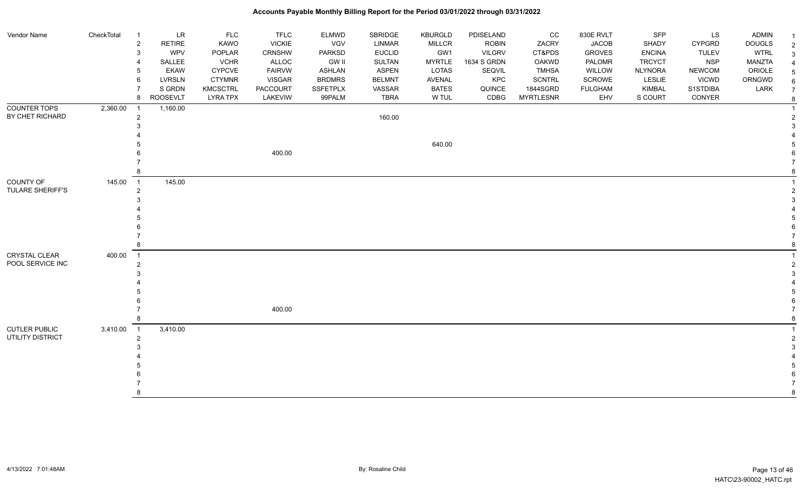| <b>Vendor Name</b>      | CheckTotal | $\overline{1}$ | <b>LR</b>       | <b>FLC</b>      | <b>TFLC</b>     | <b>ELMWD</b>    | SBRIDGE       | <b>KBURGLD</b> | PDISELAND     | cc               | 830E RVLT      | <b>SFP</b>     | LS.           | <b>ADMIN</b>  | $\mathbf 1$    |
|-------------------------|------------|----------------|-----------------|-----------------|-----------------|-----------------|---------------|----------------|---------------|------------------|----------------|----------------|---------------|---------------|----------------|
|                         |            | $\overline{2}$ | <b>RETIRE</b>   | KAWO            | <b>VICKIE</b>   | <b>VGV</b>      | LINMAR        | <b>MILLCR</b>  | <b>ROBIN</b>  | ZACRY            | <b>JACOB</b>   | SHADY          | <b>CYPGRD</b> | <b>DOUGLS</b> | $\overline{2}$ |
|                         |            | $\mathbf{3}$   | <b>WPV</b>      | POPLAR          | CRNSHW          | <b>PARKSD</b>   | <b>EUCLID</b> | GW1            | <b>VILGRV</b> | CT&PDS           | <b>GROVES</b>  | <b>ENCINA</b>  | <b>TULEV</b>  | <b>WTRL</b>   | 3              |
|                         |            | $\overline{4}$ | SALLEE          | <b>VCHR</b>     | ALLOC           | <b>GW II</b>    | SULTAN        | <b>MYRTLE</b>  | 1634 S GRDN   | <b>OAKWD</b>     | PALOMR         | <b>TRCYCT</b>  | <b>NSP</b>    | <b>MANZTA</b> |                |
|                         |            | 5              | <b>EKAW</b>     | <b>CYPCVE</b>   | <b>FAIRVW</b>   | <b>ASHLAN</b>   | <b>ASPEN</b>  | LOTAS          | SEQVIL        | <b>TMHSA</b>     | WILLOW         | <b>NLYNORA</b> | <b>NEWCOM</b> | ORIOLE        | 5              |
|                         |            | 6              | LVRSLN          | <b>CTYMNR</b>   | <b>VISGAR</b>   | <b>BRDMRS</b>   | <b>BELMNT</b> | AVENAL         | KPC           | <b>SCNTRL</b>    | SCROWE         | LESLIE         | <b>VICWD</b>  | ORNGWD        |                |
|                         |            | 7              | S GRDN          | <b>KMCSCTRL</b> | <b>PACCOURT</b> | <b>SSFETPLX</b> | VASSAR        | <b>BATES</b>   | QUINCE        | 1844SGRD         | <b>FULGHAM</b> | <b>KIMBAL</b>  | S1STDIBA      | LARK          | 7              |
|                         |            | 8              | <b>ROOSEVLT</b> | <b>LYRA TPX</b> | LAKEVIW         | 99PALM          | <b>TBRA</b>   | W TUL          | CDBG          | <b>MYRTLESNR</b> | EHV            | S COURT        | CONYER        |               | 8              |
| <b>COUNTER TOPS</b>     | 2,360.00   | $\overline{1}$ | 1,160.00        |                 |                 |                 |               |                |               |                  |                |                |               |               |                |
| BY CHET RICHARD         |            | $\overline{2}$ |                 |                 |                 |                 | 160.00        |                |               |                  |                |                |               |               |                |
|                         |            | 3              |                 |                 |                 |                 |               |                |               |                  |                |                |               |               |                |
|                         |            |                |                 |                 |                 |                 |               |                |               |                  |                |                |               |               |                |
|                         |            |                |                 |                 |                 |                 |               | 640.00         |               |                  |                |                |               |               |                |
|                         |            |                |                 |                 | 400.00          |                 |               |                |               |                  |                |                |               |               |                |
|                         |            |                |                 |                 |                 |                 |               |                |               |                  |                |                |               |               |                |
|                         |            | 8              |                 |                 |                 |                 |               |                |               |                  |                |                |               |               |                |
| COUNTY OF               | 145.00     | $\overline{1}$ | 145.00          |                 |                 |                 |               |                |               |                  |                |                |               |               |                |
| <b>TULARE SHERIFF'S</b> |            | $\overline{2}$ |                 |                 |                 |                 |               |                |               |                  |                |                |               |               |                |
|                         |            | 3              |                 |                 |                 |                 |               |                |               |                  |                |                |               |               |                |
|                         |            |                |                 |                 |                 |                 |               |                |               |                  |                |                |               |               |                |
|                         |            |                |                 |                 |                 |                 |               |                |               |                  |                |                |               |               |                |
|                         |            | 6              |                 |                 |                 |                 |               |                |               |                  |                |                |               |               |                |
|                         |            |                |                 |                 |                 |                 |               |                |               |                  |                |                |               |               |                |
|                         |            | 8              |                 |                 |                 |                 |               |                |               |                  |                |                |               |               |                |
| <b>CRYSTAL CLEAR</b>    | 400.00     | $\overline{1}$ |                 |                 |                 |                 |               |                |               |                  |                |                |               |               |                |
| POOL SERVICE INC        |            | $\overline{c}$ |                 |                 |                 |                 |               |                |               |                  |                |                |               |               |                |
|                         |            | 3              |                 |                 |                 |                 |               |                |               |                  |                |                |               |               |                |
|                         |            |                |                 |                 |                 |                 |               |                |               |                  |                |                |               |               |                |
|                         |            |                |                 |                 |                 |                 |               |                |               |                  |                |                |               |               |                |
|                         |            |                |                 |                 |                 |                 |               |                |               |                  |                |                |               |               |                |
|                         |            |                |                 |                 | 400.00          |                 |               |                |               |                  |                |                |               |               |                |
|                         |            | 8              |                 |                 |                 |                 |               |                |               |                  |                |                |               |               |                |
| <b>CUTLER PUBLIC</b>    | 3,410.00   | $\overline{1}$ | 3,410.00        |                 |                 |                 |               |                |               |                  |                |                |               |               |                |
| UTILITY DISTRICT        |            | $\overline{a}$ |                 |                 |                 |                 |               |                |               |                  |                |                |               |               |                |
|                         |            | 3              |                 |                 |                 |                 |               |                |               |                  |                |                |               |               |                |
|                         |            |                |                 |                 |                 |                 |               |                |               |                  |                |                |               |               |                |
|                         |            |                |                 |                 |                 |                 |               |                |               |                  |                |                |               |               |                |
|                         |            |                |                 |                 |                 |                 |               |                |               |                  |                |                |               |               |                |
|                         |            |                |                 |                 |                 |                 |               |                |               |                  |                |                |               |               |                |
|                         |            | 8              |                 |                 |                 |                 |               |                |               |                  |                |                |               |               | 8              |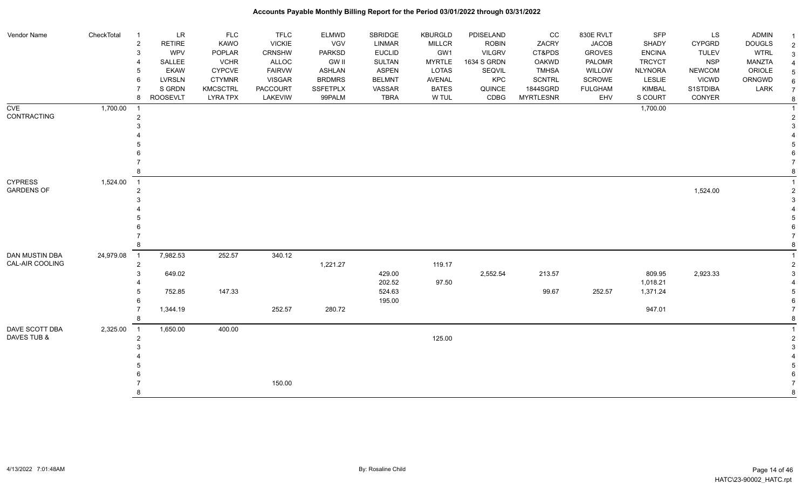| Vendor Name                       | CheckTotal | $\overline{\mathbf{1}}$ | LR              | <b>FLC</b>      | <b>TFLC</b>     | <b>ELMWD</b>    | SBRIDGE          | <b>KBURGLD</b> | PDISELAND     | CC               | 830E RVLT      | SFP                  | LS            | ADMIN         |                |
|-----------------------------------|------------|-------------------------|-----------------|-----------------|-----------------|-----------------|------------------|----------------|---------------|------------------|----------------|----------------------|---------------|---------------|----------------|
|                                   |            | $\overline{c}$          | <b>RETIRE</b>   | KAWO            | <b>VICKIE</b>   | VGV             | <b>LINMAR</b>    | <b>MILLCR</b>  | <b>ROBIN</b>  | ZACRY            | <b>JACOB</b>   | SHADY                | <b>CYPGRD</b> | <b>DOUGLS</b> | $\overline{2}$ |
|                                   |            | 3                       | <b>WPV</b>      | POPLAR          | CRNSHW          | <b>PARKSD</b>   | <b>EUCLID</b>    | GW1            | <b>VILGRV</b> | CT&PDS           | <b>GROVES</b>  | <b>ENCINA</b>        | <b>TULEV</b>  | <b>WTRL</b>   | 3              |
|                                   |            |                         | SALLEE          | <b>VCHR</b>     | ALLOC           | <b>GW II</b>    | <b>SULTAN</b>    | <b>MYRTLE</b>  | 1634 S GRDN   | OAKWD            | PALOMR         | <b>TRCYCT</b>        | <b>NSP</b>    | <b>MANZTA</b> |                |
|                                   |            | 5                       | <b>EKAW</b>     | <b>CYPCVE</b>   | <b>FAIRVW</b>   | <b>ASHLAN</b>   | <b>ASPEN</b>     | <b>LOTAS</b>   | SEQVIL        | <b>TMHSA</b>     | WILLOW         | <b>NLYNORA</b>       | <b>NEWCOM</b> | ORIOLE        |                |
|                                   |            | 6                       | <b>LVRSLN</b>   | <b>CTYMNR</b>   | <b>VISGAR</b>   | <b>BRDMRS</b>   | <b>BELMNT</b>    | AVENAL         | KPC           | <b>SCNTRL</b>    | SCROWE         | <b>LESLIE</b>        | <b>VICWD</b>  | ORNGWD        |                |
|                                   |            |                         | S GRDN          | <b>KMCSCTRL</b> | <b>PACCOURT</b> | <b>SSFETPLX</b> | VASSAR           | <b>BATES</b>   | QUINCE        | 1844SGRD         | <b>FULGHAM</b> | KIMBAL               | S1STDIBA      | LARK          |                |
|                                   |            | 8                       | <b>ROOSEVLT</b> | <b>LYRA TPX</b> | LAKEVIW         | 99PALM          | <b>TBRA</b>      | W TUL          | CDBG          | <b>MYRTLESNR</b> | EHV            | S COURT              | CONYER        |               | 8              |
| <b>CVE</b>                        | 1,700.00   | $\overline{1}$          |                 |                 |                 |                 |                  |                |               |                  |                | 1,700.00             |               |               |                |
| CONTRACTING                       |            | $\overline{2}$          |                 |                 |                 |                 |                  |                |               |                  |                |                      |               |               |                |
|                                   |            |                         |                 |                 |                 |                 |                  |                |               |                  |                |                      |               |               |                |
|                                   |            |                         |                 |                 |                 |                 |                  |                |               |                  |                |                      |               |               |                |
|                                   |            |                         |                 |                 |                 |                 |                  |                |               |                  |                |                      |               |               |                |
|                                   |            |                         |                 |                 |                 |                 |                  |                |               |                  |                |                      |               |               |                |
|                                   |            |                         |                 |                 |                 |                 |                  |                |               |                  |                |                      |               |               |                |
| <b>CYPRESS</b>                    |            |                         |                 |                 |                 |                 |                  |                |               |                  |                |                      |               |               |                |
| <b>GARDENS OF</b>                 | 1,524.00   | $\overline{1}$          |                 |                 |                 |                 |                  |                |               |                  |                |                      |               |               |                |
|                                   |            | $\overline{2}$          |                 |                 |                 |                 |                  |                |               |                  |                |                      | 1,524.00      |               |                |
|                                   |            |                         |                 |                 |                 |                 |                  |                |               |                  |                |                      |               |               |                |
|                                   |            |                         |                 |                 |                 |                 |                  |                |               |                  |                |                      |               |               |                |
|                                   |            |                         |                 |                 |                 |                 |                  |                |               |                  |                |                      |               |               |                |
|                                   |            |                         |                 |                 |                 |                 |                  |                |               |                  |                |                      |               |               |                |
|                                   |            | 8                       |                 |                 |                 |                 |                  |                |               |                  |                |                      |               |               |                |
|                                   |            |                         |                 |                 |                 |                 |                  |                |               |                  |                |                      |               |               |                |
| DAN MUSTIN DBA<br>CAL-AIR COOLING | 24,979.08  | $\overline{1}$          | 7,982.53        | 252.57          | 340.12          |                 |                  |                |               |                  |                |                      |               |               |                |
|                                   |            | $\overline{2}$<br>3     |                 |                 |                 | 1,221.27        |                  | 119.17         |               |                  |                |                      |               |               |                |
|                                   |            |                         | 649.02          |                 |                 |                 | 429.00           |                | 2,552.54      | 213.57           |                | 809.95               | 2,923.33      |               |                |
|                                   |            |                         | 752.85          | 147.33          |                 |                 | 202.52<br>524.63 | 97.50          |               | 99.67            | 252.57         | 1,018.21<br>1,371.24 |               |               |                |
|                                   |            |                         |                 |                 |                 |                 | 195.00           |                |               |                  |                |                      |               |               |                |
|                                   |            |                         | 1,344.19        |                 | 252.57          | 280.72          |                  |                |               |                  |                | 947.01               |               |               |                |
|                                   |            |                         |                 |                 |                 |                 |                  |                |               |                  |                |                      |               |               |                |
| DAVE SCOTT DBA                    | 2,325.00   | $\overline{1}$          | 1,650.00        | 400.00          |                 |                 |                  |                |               |                  |                |                      |               |               |                |
| DAVES TUB &                       |            | $\overline{2}$          |                 |                 |                 |                 |                  | 125.00         |               |                  |                |                      |               |               |                |
|                                   |            |                         |                 |                 |                 |                 |                  |                |               |                  |                |                      |               |               |                |
|                                   |            |                         |                 |                 |                 |                 |                  |                |               |                  |                |                      |               |               |                |
|                                   |            |                         |                 |                 |                 |                 |                  |                |               |                  |                |                      |               |               |                |
|                                   |            |                         |                 |                 |                 |                 |                  |                |               |                  |                |                      |               |               |                |
|                                   |            |                         |                 |                 | 150.00          |                 |                  |                |               |                  |                |                      |               |               |                |
|                                   |            |                         |                 |                 |                 |                 |                  |                |               |                  |                |                      |               |               |                |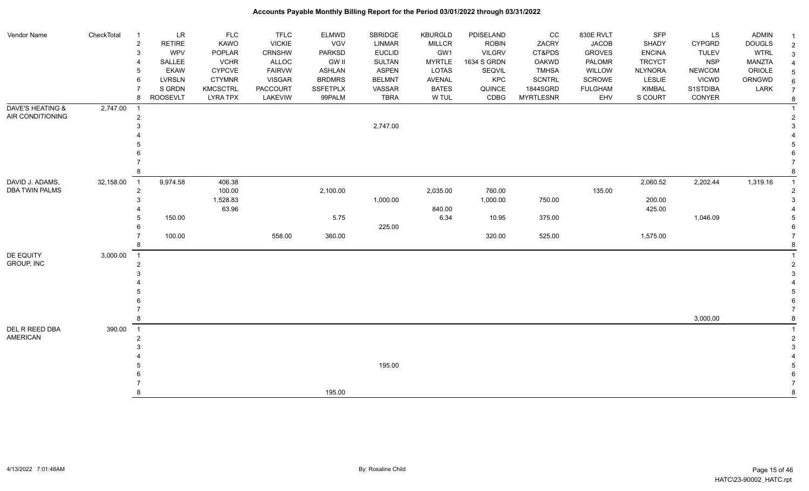| Vendor Name                              | CheckTotal  | LR<br>$\overline{1}$                     | <b>FLC</b>      | <b>TFLC</b>     | <b>ELMWD</b>    | SBRIDGE       | KBURGLD       | PDISELAND     | CC               | 830E RVLT      | SFP            | LS            | <b>ADMIN</b>  |                |
|------------------------------------------|-------------|------------------------------------------|-----------------|-----------------|-----------------|---------------|---------------|---------------|------------------|----------------|----------------|---------------|---------------|----------------|
|                                          |             | $\overline{\mathbf{c}}$<br><b>RETIRE</b> | KAWO            | <b>VICKIE</b>   | VGV             | <b>LINMAR</b> | MILLCR        | <b>ROBIN</b>  | ZACRY            | <b>JACOB</b>   | SHADY          | <b>CYPGRD</b> | <b>DOUGLS</b> | $\overline{2}$ |
|                                          |             | WPV<br>3                                 | POPLAR          | <b>CRNSHW</b>   | <b>PARKSD</b>   | <b>EUCLID</b> | GW1           | <b>VILGRV</b> | CT&PDS           | <b>GROVES</b>  | <b>ENCINA</b>  | <b>TULEV</b>  | <b>WTRL</b>   | 3              |
|                                          |             | SALLEE                                   | <b>VCHR</b>     | <b>ALLOC</b>    | <b>GW II</b>    | SULTAN        | <b>MYRTLE</b> | 1634 S GRDN   | <b>OAKWD</b>     | PALOMR         | <b>TRCYCT</b>  | <b>NSP</b>    | <b>MANZTA</b> |                |
|                                          |             | <b>EKAW</b>                              | <b>CYPCVE</b>   | <b>FAIRVW</b>   | <b>ASHLAN</b>   | <b>ASPEN</b>  | <b>LOTAS</b>  | SEQVIL        | <b>TMHSA</b>     | WILLOW         | <b>NLYNORA</b> | <b>NEWCOM</b> | ORIOLE        |                |
|                                          |             | <b>LVRSLN</b><br>6                       | <b>CTYMNR</b>   | <b>VISGAR</b>   | <b>BRDMRS</b>   | <b>BELMNT</b> | AVENAL        | KPC           | <b>SCNTRL</b>    | SCROWE         | <b>LESLIE</b>  | <b>VICWD</b>  | ORNGWD        | 6              |
|                                          |             | S GRDN                                   | <b>KMCSCTRL</b> | <b>PACCOURT</b> | <b>SSFETPLX</b> | VASSAR        | <b>BATES</b>  | QUINCE        | 1844SGRD         | <b>FULGHAM</b> | <b>KIMBAL</b>  | S1STDIBA      | LARK          |                |
|                                          |             | <b>ROOSEVLT</b><br>8                     | <b>LYRA TPX</b> | LAKEVIW         | 99PALM          | <b>TBRA</b>   | W TUL         | CDBG          | <b>MYRTLESNR</b> | EHV            | S COURT        | CONYER        |               | 8              |
| <b>DAVE'S HEATING &amp;</b>              | 2,747.00    |                                          |                 |                 |                 |               |               |               |                  |                |                |               |               |                |
| AIR CONDITIONING                         |             | $\overline{2}$                           |                 |                 |                 |               |               |               |                  |                |                |               |               |                |
|                                          |             |                                          |                 |                 |                 | 2,747.00      |               |               |                  |                |                |               |               |                |
|                                          |             |                                          |                 |                 |                 |               |               |               |                  |                |                |               |               |                |
|                                          |             |                                          |                 |                 |                 |               |               |               |                  |                |                |               |               |                |
|                                          |             |                                          |                 |                 |                 |               |               |               |                  |                |                |               |               |                |
|                                          |             |                                          |                 |                 |                 |               |               |               |                  |                |                |               |               |                |
|                                          |             |                                          |                 |                 |                 |               |               |               |                  |                |                |               |               |                |
| DAVID J. ADAMS,<br><b>DBA TWIN PALMS</b> | 32,158.00 1 | 9,974.58                                 | 406.38          |                 |                 |               |               |               |                  |                | 2,060.52       | 2,202.44      | 1,319.16      |                |
|                                          |             | $\overline{2}$                           | 100.00          |                 | 2,100.00        |               | 2,035.00      | 760.00        |                  | 135.00         |                |               |               |                |
|                                          |             |                                          | 1,528.83        |                 |                 | 1,000.00      |               | 1,000.00      | 750.00           |                | 200.00         |               |               |                |
|                                          |             |                                          | 63.96           |                 |                 |               | 840.00        |               |                  |                | 425.00         |               |               |                |
|                                          |             | 150.00                                   |                 |                 | 5.75            |               | 6.34          | 10.95         | 375.00           |                |                | 1,046.09      |               |                |
|                                          |             |                                          |                 |                 |                 | 225.00        |               |               |                  |                |                |               |               |                |
|                                          |             | 100.00                                   |                 | 558.00          | 360.00          |               |               | 320.00        | 525.00           |                | 1,575.00       |               |               |                |
|                                          |             |                                          |                 |                 |                 |               |               |               |                  |                |                |               |               |                |
| DE EQUITY                                | 3,000.00    | $\overline{1}$                           |                 |                 |                 |               |               |               |                  |                |                |               |               |                |
| GROUP, INC                               |             | $\overline{2}$                           |                 |                 |                 |               |               |               |                  |                |                |               |               |                |
|                                          |             |                                          |                 |                 |                 |               |               |               |                  |                |                |               |               |                |
|                                          |             |                                          |                 |                 |                 |               |               |               |                  |                |                |               |               |                |
|                                          |             |                                          |                 |                 |                 |               |               |               |                  |                |                |               |               |                |
|                                          |             |                                          |                 |                 |                 |               |               |               |                  |                |                |               |               |                |
|                                          |             |                                          |                 |                 |                 |               |               |               |                  |                |                |               |               |                |
|                                          |             |                                          |                 |                 |                 |               |               |               |                  |                |                | 3,000.00      |               |                |
| DEL R REED DBA                           | 390.00      | $\overline{1}$                           |                 |                 |                 |               |               |               |                  |                |                |               |               |                |
| <b>AMERICAN</b>                          |             | 2                                        |                 |                 |                 |               |               |               |                  |                |                |               |               | $\overline{2}$ |
|                                          |             |                                          |                 |                 |                 |               |               |               |                  |                |                |               |               |                |
|                                          |             |                                          |                 |                 |                 |               |               |               |                  |                |                |               |               |                |
|                                          |             |                                          |                 |                 |                 | 195.00        |               |               |                  |                |                |               |               |                |
|                                          |             |                                          |                 |                 |                 |               |               |               |                  |                |                |               |               |                |
|                                          |             |                                          |                 |                 |                 |               |               |               |                  |                |                |               |               |                |
|                                          |             |                                          |                 |                 | 195.00          |               |               |               |                  |                |                |               |               | 8              |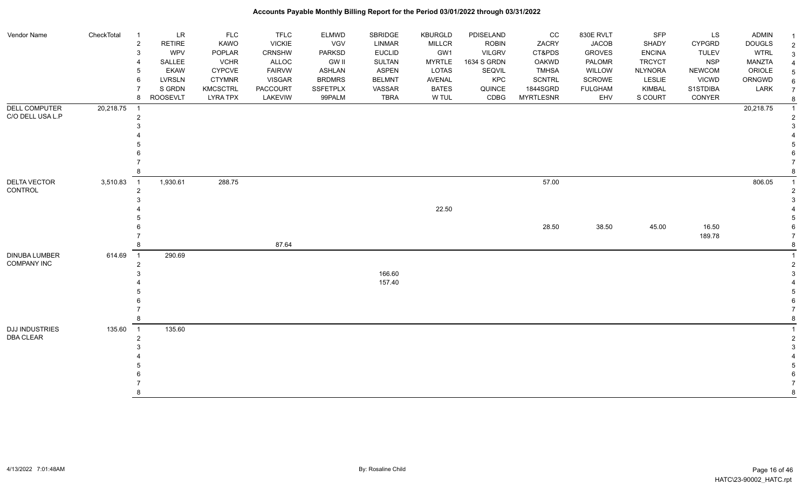| Vendor Name                                | CheckTotal | $\overline{1}$<br>$\overline{\mathbf{c}}$ | LR<br><b>RETIRE</b> | <b>FLC</b><br>KAWO | <b>TFLC</b><br><b>VICKIE</b> | <b>ELMWD</b><br>VGV | SBRIDGE<br><b>LINMAR</b> | <b>KBURGLD</b><br>MILLCR | PDISELAND<br><b>ROBIN</b> | CC<br>ZACRY      | 830E RVLT<br><b>JACOB</b> | SFP<br>SHADY   | LS<br>CYPGRD  | <b>ADMIN</b><br><b>DOUGLS</b> | -1<br>$\overline{2}$ |
|--------------------------------------------|------------|-------------------------------------------|---------------------|--------------------|------------------------------|---------------------|--------------------------|--------------------------|---------------------------|------------------|---------------------------|----------------|---------------|-------------------------------|----------------------|
|                                            |            | 3                                         | WPV                 | POPLAR             | CRNSHW                       | PARKSD              | <b>EUCLID</b>            | GW1                      | <b>VILGRV</b>             | CT&PDS           | <b>GROVES</b>             | <b>ENCINA</b>  | <b>TULEV</b>  | <b>WTRL</b>                   | 3                    |
|                                            |            |                                           | SALLEE              | <b>VCHR</b>        | ALLOC                        | <b>GW II</b>        | SULTAN                   | <b>MYRTLE</b>            | 1634 S GRDN               | <b>OAKWD</b>     | PALOMR                    | <b>TRCYCT</b>  | <b>NSP</b>    | <b>MANZTA</b>                 |                      |
|                                            |            |                                           | <b>EKAW</b>         | <b>CYPCVE</b>      | <b>FAIRVW</b>                | <b>ASHLAN</b>       | <b>ASPEN</b>             | LOTAS                    | SEQVIL                    | <b>TMHSA</b>     | WILLOW                    | <b>NLYNORA</b> | <b>NEWCOM</b> | ORIOLE                        |                      |
|                                            |            | 6                                         | LVRSLN              | <b>CTYMNR</b>      | <b>VISGAR</b>                | <b>BRDMRS</b>       | <b>BELMNT</b>            | AVENAL                   | KPC                       | <b>SCNTRL</b>    | SCROWE                    | <b>LESLIE</b>  | <b>VICWD</b>  | ORNGWD                        |                      |
|                                            |            |                                           | S GRDN              | <b>KMCSCTRL</b>    | PACCOURT                     | <b>SSFETPLX</b>     | VASSAR                   | <b>BATES</b>             | QUINCE                    | 1844SGRD         | <b>FULGHAM</b>            | <b>KIMBAL</b>  | S1STDIBA      | LARK                          |                      |
|                                            |            | 8                                         | <b>ROOSEVLT</b>     | <b>LYRA TPX</b>    | LAKEVIW                      | 99PALM              | <b>TBRA</b>              | W TUL                    | CDBG                      | <b>MYRTLESNR</b> | EHV                       | S COURT        | CONYER        |                               |                      |
| <b>DELL COMPUTER</b>                       | 20,218.75  | -1                                        |                     |                    |                              |                     |                          |                          |                           |                  |                           |                |               | 20,218.75                     |                      |
| C/O DELL USA L.P                           |            | $\overline{2}$                            |                     |                    |                              |                     |                          |                          |                           |                  |                           |                |               |                               |                      |
|                                            |            |                                           |                     |                    |                              |                     |                          |                          |                           |                  |                           |                |               |                               |                      |
|                                            |            |                                           |                     |                    |                              |                     |                          |                          |                           |                  |                           |                |               |                               |                      |
|                                            |            |                                           |                     |                    |                              |                     |                          |                          |                           |                  |                           |                |               |                               |                      |
|                                            |            |                                           |                     |                    |                              |                     |                          |                          |                           |                  |                           |                |               |                               |                      |
|                                            |            |                                           |                     |                    |                              |                     |                          |                          |                           |                  |                           |                |               |                               |                      |
|                                            |            |                                           |                     |                    |                              |                     |                          |                          |                           |                  |                           |                |               |                               |                      |
| <b>DELTA VECTOR</b>                        | 3,510.83   | $\overline{1}$                            | 1,930.61            | 288.75             |                              |                     |                          |                          |                           | 57.00            |                           |                |               | 806.05                        |                      |
| CONTROL                                    |            | $\overline{2}$                            |                     |                    |                              |                     |                          |                          |                           |                  |                           |                |               |                               |                      |
|                                            |            |                                           |                     |                    |                              |                     |                          |                          |                           |                  |                           |                |               |                               |                      |
|                                            |            |                                           |                     |                    |                              |                     |                          | 22.50                    |                           |                  |                           |                |               |                               |                      |
|                                            |            |                                           |                     |                    |                              |                     |                          |                          |                           |                  |                           |                |               |                               |                      |
|                                            |            |                                           |                     |                    |                              |                     |                          |                          |                           | 28.50            | 38.50                     | 45.00          | 16.50         |                               |                      |
|                                            |            |                                           |                     |                    | 87.64                        |                     |                          |                          |                           |                  |                           |                | 189.78        |                               |                      |
|                                            |            |                                           |                     |                    |                              |                     |                          |                          |                           |                  |                           |                |               |                               |                      |
| <b>DINUBA LUMBER</b><br><b>COMPANY INC</b> | 614.69     | $\overline{1}$                            | 290.69              |                    |                              |                     |                          |                          |                           |                  |                           |                |               |                               |                      |
|                                            |            | $\overline{2}$                            |                     |                    |                              |                     |                          |                          |                           |                  |                           |                |               |                               |                      |
|                                            |            |                                           |                     |                    |                              |                     | 166.60<br>157.40         |                          |                           |                  |                           |                |               |                               |                      |
|                                            |            |                                           |                     |                    |                              |                     |                          |                          |                           |                  |                           |                |               |                               |                      |
|                                            |            |                                           |                     |                    |                              |                     |                          |                          |                           |                  |                           |                |               |                               |                      |
|                                            |            |                                           |                     |                    |                              |                     |                          |                          |                           |                  |                           |                |               |                               |                      |
|                                            |            |                                           |                     |                    |                              |                     |                          |                          |                           |                  |                           |                |               |                               |                      |
| <b>DJJ INDUSTRIES</b>                      | 135.60     | $\overline{1}$                            | 135.60              |                    |                              |                     |                          |                          |                           |                  |                           |                |               |                               |                      |
| <b>DBA CLEAR</b>                           |            | $\overline{2}$                            |                     |                    |                              |                     |                          |                          |                           |                  |                           |                |               |                               |                      |
|                                            |            |                                           |                     |                    |                              |                     |                          |                          |                           |                  |                           |                |               |                               |                      |
|                                            |            |                                           |                     |                    |                              |                     |                          |                          |                           |                  |                           |                |               |                               |                      |
|                                            |            |                                           |                     |                    |                              |                     |                          |                          |                           |                  |                           |                |               |                               |                      |
|                                            |            |                                           |                     |                    |                              |                     |                          |                          |                           |                  |                           |                |               |                               |                      |
|                                            |            |                                           |                     |                    |                              |                     |                          |                          |                           |                  |                           |                |               |                               |                      |
|                                            |            | 8                                         |                     |                    |                              |                     |                          |                          |                           |                  |                           |                |               |                               | 8                    |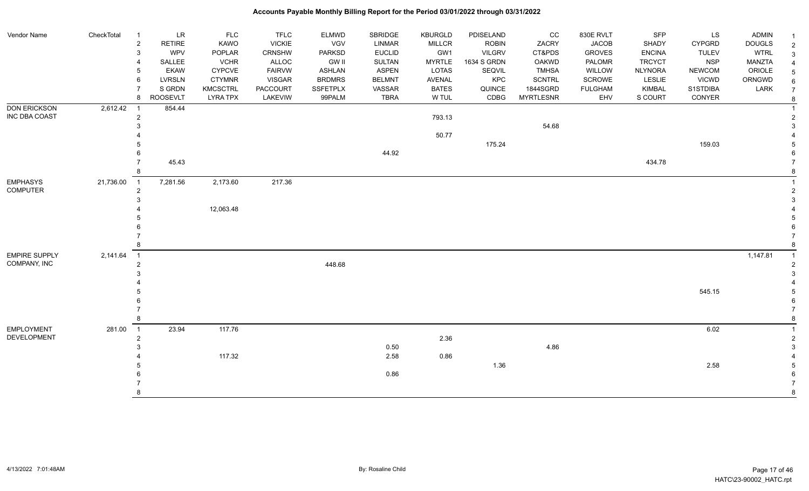| Vendor Name          | CheckTotal | $\overline{1}$        | <b>LR</b>       | <b>FLC</b>      | <b>TFLC</b>     | <b>ELMWD</b>    | <b>SBRIDGE</b> | <b>KBURGLD</b> | PDISELAND     | CC               | 830E RVLT      | SFP            | LS            | ADMIN         |                |
|----------------------|------------|-----------------------|-----------------|-----------------|-----------------|-----------------|----------------|----------------|---------------|------------------|----------------|----------------|---------------|---------------|----------------|
|                      |            | $\overline{c}$        | <b>RETIRE</b>   | KAWO            | <b>VICKIE</b>   | VGV             | <b>LINMAR</b>  | <b>MILLCR</b>  | <b>ROBIN</b>  | ZACRY            | <b>JACOB</b>   | <b>SHADY</b>   | <b>CYPGRD</b> | <b>DOUGLS</b> | $\overline{2}$ |
|                      |            | 3                     | <b>WPV</b>      | POPLAR          | <b>CRNSHW</b>   | <b>PARKSD</b>   | <b>EUCLID</b>  | GW1            | <b>VILGRV</b> | CT&PDS           | <b>GROVES</b>  | <b>ENCINA</b>  | <b>TULEV</b>  | <b>WTRL</b>   | 3              |
|                      |            | $\boldsymbol{\Delta}$ | SALLEE          | <b>VCHR</b>     | <b>ALLOC</b>    | <b>GW II</b>    | SULTAN         | <b>MYRTLE</b>  | 1634 S GRDN   | <b>OAKWD</b>     | PALOMR         | <b>TRCYCT</b>  | <b>NSP</b>    | MANZTA        |                |
|                      |            | 5                     | <b>EKAW</b>     | CYPCVE          | <b>FAIRVW</b>   | <b>ASHLAN</b>   | <b>ASPEN</b>   | <b>LOTAS</b>   | SEQVIL        | <b>TMHSA</b>     | WILLOW         | <b>NLYNORA</b> | <b>NEWCOM</b> | ORIOLE        |                |
|                      |            | 6                     | <b>LVRSLN</b>   | <b>CTYMNR</b>   | <b>VISGAR</b>   | <b>BRDMRS</b>   | <b>BELMNT</b>  | <b>AVENAL</b>  | KPC           | <b>SCNTRL</b>    | SCROWE         | <b>LESLIE</b>  | <b>VICWD</b>  | ORNGWD        |                |
|                      |            |                       | S GRDN          | <b>KMCSCTRL</b> | <b>PACCOURT</b> | <b>SSFETPLX</b> | VASSAR         | <b>BATES</b>   | QUINCE        | 1844SGRD         | <b>FULGHAM</b> | <b>KIMBAL</b>  | S1STDIBA      | LARK          |                |
|                      |            | 8                     | <b>ROOSEVLT</b> | <b>LYRA TPX</b> | LAKEVIW         | 99PALM          | <b>TBRA</b>    | W TUL          | CDBG          | <b>MYRTLESNR</b> | EHV            | S COURT        | CONYER        |               | 8              |
| <b>DON ERICKSON</b>  | 2,612.42   | - 1                   | 854.44          |                 |                 |                 |                |                |               |                  |                |                |               |               |                |
| INC DBA COAST        |            | $\overline{c}$        |                 |                 |                 |                 |                | 793.13         |               |                  |                |                |               |               |                |
|                      |            |                       |                 |                 |                 |                 |                |                |               | 54.68            |                |                |               |               |                |
|                      |            |                       |                 |                 |                 |                 |                | 50.77          |               |                  |                |                |               |               |                |
|                      |            |                       |                 |                 |                 |                 |                |                | 175.24        |                  |                |                | 159.03        |               |                |
|                      |            |                       |                 |                 |                 |                 | 44.92          |                |               |                  |                |                |               |               |                |
|                      |            |                       | 45.43           |                 |                 |                 |                |                |               |                  |                | 434.78         |               |               |                |
|                      |            |                       |                 |                 |                 |                 |                |                |               |                  |                |                |               |               |                |
| <b>EMPHASYS</b>      | 21,736.00  | $\overline{1}$        | 7,281.56        | 2,173.60        | 217.36          |                 |                |                |               |                  |                |                |               |               |                |
| <b>COMPUTER</b>      |            | $\overline{2}$        |                 |                 |                 |                 |                |                |               |                  |                |                |               |               |                |
|                      |            |                       |                 |                 |                 |                 |                |                |               |                  |                |                |               |               |                |
|                      |            |                       |                 | 12,063.48       |                 |                 |                |                |               |                  |                |                |               |               |                |
|                      |            |                       |                 |                 |                 |                 |                |                |               |                  |                |                |               |               |                |
|                      |            |                       |                 |                 |                 |                 |                |                |               |                  |                |                |               |               |                |
|                      |            |                       |                 |                 |                 |                 |                |                |               |                  |                |                |               |               |                |
|                      |            | 8                     |                 |                 |                 |                 |                |                |               |                  |                |                |               |               |                |
| <b>EMPIRE SUPPLY</b> | 2,141.64   | $\overline{1}$        |                 |                 |                 |                 |                |                |               |                  |                |                |               | 1,147.81      |                |
| COMPANY, INC         |            | $\overline{2}$        |                 |                 |                 | 448.68          |                |                |               |                  |                |                |               |               |                |
|                      |            |                       |                 |                 |                 |                 |                |                |               |                  |                |                |               |               |                |
|                      |            |                       |                 |                 |                 |                 |                |                |               |                  |                |                |               |               |                |
|                      |            |                       |                 |                 |                 |                 |                |                |               |                  |                |                | 545.15        |               |                |
|                      |            |                       |                 |                 |                 |                 |                |                |               |                  |                |                |               |               |                |
|                      |            |                       |                 |                 |                 |                 |                |                |               |                  |                |                |               |               |                |
|                      |            |                       |                 |                 |                 |                 |                |                |               |                  |                |                |               |               |                |
| <b>EMPLOYMENT</b>    | 281.00     | $\overline{1}$        | 23.94           | 117.76          |                 |                 |                |                |               |                  |                |                | 6.02          |               |                |
| DEVELOPMENT          |            | 2                     |                 |                 |                 |                 |                | 2.36           |               |                  |                |                |               |               |                |
|                      |            |                       |                 |                 |                 |                 | 0.50           |                |               | 4.86             |                |                |               |               |                |
|                      |            |                       |                 | 117.32          |                 |                 | 2.58           | 0.86           |               |                  |                |                |               |               |                |
|                      |            |                       |                 |                 |                 |                 |                |                | 1.36          |                  |                |                | 2.58          |               |                |
|                      |            |                       |                 |                 |                 |                 | 0.86           |                |               |                  |                |                |               |               |                |
|                      |            |                       |                 |                 |                 |                 |                |                |               |                  |                |                |               |               |                |
|                      |            |                       |                 |                 |                 |                 |                |                |               |                  |                |                |               |               |                |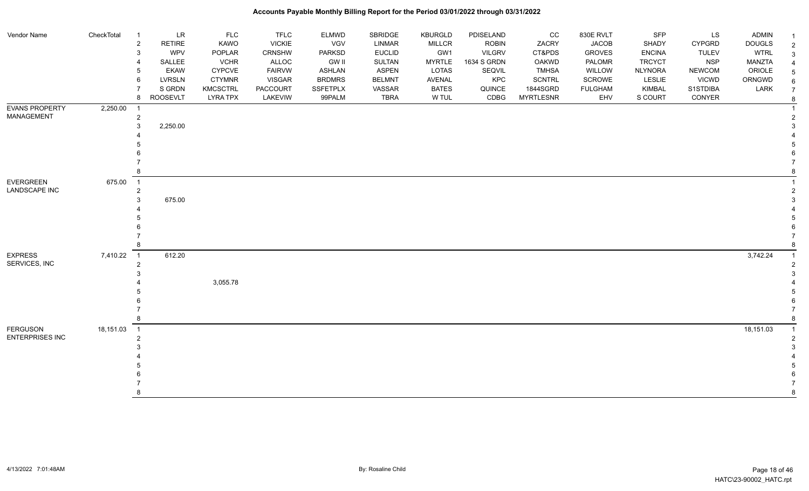| Vendor Name            | CheckTotal | $\overline{\mathbf{1}}$          | <b>LR</b>       | FLC             | <b>TFLC</b>   | <b>ELMWD</b>    | SBRIDGE       | <b>KBURGLD</b> | PDISELAND     | cc               | 830E RVLT      | <b>SFP</b>     | LS            | <b>ADMIN</b>  | $\mathbf{1}$   |
|------------------------|------------|----------------------------------|-----------------|-----------------|---------------|-----------------|---------------|----------------|---------------|------------------|----------------|----------------|---------------|---------------|----------------|
|                        |            | $\overline{c}$                   | <b>RETIRE</b>   | <b>KAWO</b>     | <b>VICKIE</b> | VGV             | LINMAR        | MILLCR         | <b>ROBIN</b>  | ZACRY            | <b>JACOB</b>   | SHADY          | <b>CYPGRD</b> | <b>DOUGLS</b> | $\overline{2}$ |
|                        |            | $\mathbf{3}$                     | WPV             | POPLAR          | CRNSHW        | <b>PARKSD</b>   | <b>EUCLID</b> | GW1            | <b>VILGRV</b> | CT&PDS           | <b>GROVES</b>  | <b>ENCINA</b>  | <b>TULEV</b>  | <b>WTRL</b>   | 3              |
|                        |            | 4                                | SALLEE          | <b>VCHR</b>     | ALLOC         | GW II           | SULTAN        | <b>MYRTLE</b>  | 1634 S GRDN   | OAKWD            | PALOMR         | <b>TRCYCT</b>  | <b>NSP</b>    | MANZTA        |                |
|                        |            | 5                                | <b>EKAW</b>     | <b>CYPCVE</b>   | <b>FAIRVW</b> | <b>ASHLAN</b>   | <b>ASPEN</b>  | LOTAS          | SEQVIL        | <b>TMHSA</b>     | WILLOW         | <b>NLYNORA</b> | <b>NEWCOM</b> | ORIOLE        |                |
|                        |            | 6                                | <b>LVRSLN</b>   | <b>CTYMNR</b>   | VISGAR        | <b>BRDMRS</b>   | <b>BELMNT</b> | AVENAL         | KPC           | <b>SCNTRL</b>    | SCROWE         | LESLIE         | <b>VICWD</b>  | ORNGWD        |                |
|                        |            |                                  | S GRDN          | <b>KMCSCTRL</b> | PACCOURT      | <b>SSFETPLX</b> | VASSAR        | <b>BATES</b>   | QUINCE        | 1844SGRD         | <b>FULGHAM</b> | KIMBAL         | S1STDIBA      | LARK          |                |
|                        |            | 8                                | <b>ROOSEVLT</b> | <b>LYRA TPX</b> | LAKEVIW       | 99PALM          | <b>TBRA</b>   | W TUL          | CDBG          | <b>MYRTLESNR</b> | EHV            | S COURT        | CONYER        |               | 8              |
| EVANS PROPERTY         | 2,250.00   | - 1                              |                 |                 |               |                 |               |                |               |                  |                |                |               |               |                |
| MANAGEMENT             |            | $\overline{a}$                   |                 |                 |               |                 |               |                |               |                  |                |                |               |               |                |
|                        |            | 3                                | 2,250.00        |                 |               |                 |               |                |               |                  |                |                |               |               |                |
|                        |            |                                  |                 |                 |               |                 |               |                |               |                  |                |                |               |               |                |
|                        |            |                                  |                 |                 |               |                 |               |                |               |                  |                |                |               |               |                |
|                        |            |                                  |                 |                 |               |                 |               |                |               |                  |                |                |               |               |                |
|                        |            | 8                                |                 |                 |               |                 |               |                |               |                  |                |                |               |               |                |
| <b>EVERGREEN</b>       |            |                                  |                 |                 |               |                 |               |                |               |                  |                |                |               |               |                |
|                        | 675.00     | $\overline{1}$<br>$\overline{2}$ |                 |                 |               |                 |               |                |               |                  |                |                |               |               |                |
| LANDSCAPE INC          |            | 3                                | 675.00          |                 |               |                 |               |                |               |                  |                |                |               |               |                |
|                        |            |                                  |                 |                 |               |                 |               |                |               |                  |                |                |               |               |                |
|                        |            |                                  |                 |                 |               |                 |               |                |               |                  |                |                |               |               |                |
|                        |            |                                  |                 |                 |               |                 |               |                |               |                  |                |                |               |               |                |
|                        |            |                                  |                 |                 |               |                 |               |                |               |                  |                |                |               |               |                |
|                        |            | 8                                |                 |                 |               |                 |               |                |               |                  |                |                |               |               |                |
| <b>EXPRESS</b>         | 7,410.22   | $\overline{\phantom{0}}$ 1       | 612.20          |                 |               |                 |               |                |               |                  |                |                |               | 3,742.24      |                |
| SERVICES, INC          |            | $\overline{2}$                   |                 |                 |               |                 |               |                |               |                  |                |                |               |               |                |
|                        |            | 3                                |                 |                 |               |                 |               |                |               |                  |                |                |               |               |                |
|                        |            |                                  |                 | 3,055.78        |               |                 |               |                |               |                  |                |                |               |               |                |
|                        |            |                                  |                 |                 |               |                 |               |                |               |                  |                |                |               |               |                |
|                        |            |                                  |                 |                 |               |                 |               |                |               |                  |                |                |               |               |                |
|                        |            |                                  |                 |                 |               |                 |               |                |               |                  |                |                |               |               |                |
|                        |            | 8                                |                 |                 |               |                 |               |                |               |                  |                |                |               |               |                |
| <b>FERGUSON</b>        | 18,151.03  | $\overline{\phantom{0}}$ 1       |                 |                 |               |                 |               |                |               |                  |                |                |               | 18,151.03     | $\overline{1}$ |
| <b>ENTERPRISES INC</b> |            | $\overline{2}$                   |                 |                 |               |                 |               |                |               |                  |                |                |               |               |                |
|                        |            |                                  |                 |                 |               |                 |               |                |               |                  |                |                |               |               |                |
|                        |            |                                  |                 |                 |               |                 |               |                |               |                  |                |                |               |               |                |
|                        |            |                                  |                 |                 |               |                 |               |                |               |                  |                |                |               |               |                |
|                        |            |                                  |                 |                 |               |                 |               |                |               |                  |                |                |               |               |                |
|                        |            |                                  |                 |                 |               |                 |               |                |               |                  |                |                |               |               |                |
|                        |            | 8                                |                 |                 |               |                 |               |                |               |                  |                |                |               |               |                |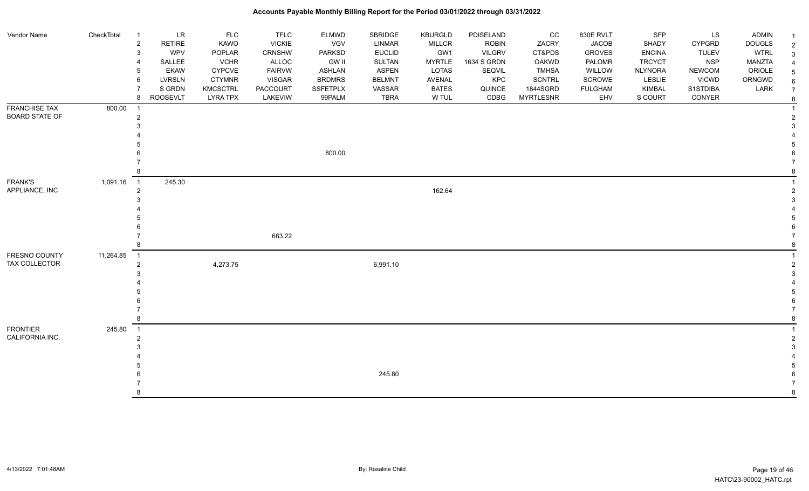#### Vendor Name CheckTotal 1 LR FLC FLC ELMWD SBRIDGE KBURGLD PDISELAND CC 830E RVLT SFP LS ADMIN <sub>1</sub> 2 RETIRE KAWO VICKIE VGV LINMAR MILLCR ROBIN ZACRY JACOB SHADY CYPGRD DOUGLS 2 3 WPV POPLAR CRNSHW PARKSD EUCLID GW1 VILGRV CT&PDS GROVES ENCINA TULEV WTRL 3 4 SALLEE VCHR ALLOC GW II SULTAN MYRTLE 1634 S GRDN OAKWD PALOMR TRCYCT NSP MANZTA 4 5 EKAW CYPCVE FAIRVW ASHLAN ASPEN LOTAS SEQVIL TMHSA WILLOW NLYNORA NEWCOM ORIOLE 5 6 LVRSLN CTYMNR VISGAR BRDMRS BELMNT AVENAL KPC SCNTRL SCROWE LESLIE VICWD ORNGWD  $_{6}$ 7 SIGRDN KMCSCTRL PACCOURT SSFETPLX VASSAR BATES QUINCE 1844SGRD FULGHAM KIMBAL S1STDIBA LARK 7 8 ROOSEVLT LYRA TPX LAKEVIW 99PALM TBRA W TUL CDBG MYRTLESNR EHV S COURT CONYER <sub>8</sub> FRANCHISE TAX BOARD STATE OF 800.00 1 1 2 2  $3<sup>3</sup>$  4 4 5 5 6 800.00 6 7 7 8 8 FRANK'S APPLIANCE, INC 1,091.16 1 245.30 1 2 162.64 2  $3<sup>3</sup>$  4 4 5 5  $6$  7 683.22 7 8 8 FRESNO COUNTY TAX COLLECTOR 11,264.85 1 1 **2** 4,273.75 4,273.75 6,991.10 **6,991.10**  $3<sup>3</sup>$  4 4 5 5  $6$  7 7 8 8 FRONTIER CALIFORNIA INC. 245.80 1 1 2 2  $3<sup>3</sup>$  4 4 5 5 6 245.80 6 7 7 8 8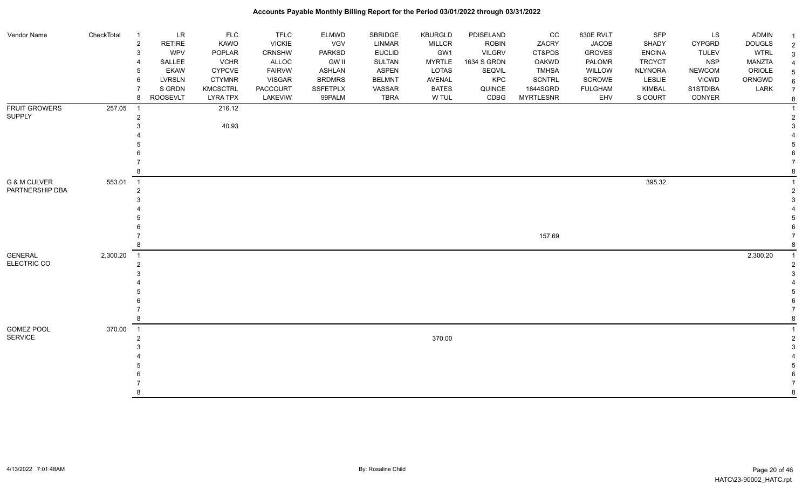| Vendor Name                                | CheckTotal | $\overline{1}$                   | LR              | <b>FLC</b>      | <b>TFLC</b>     | <b>ELMWD</b>    | SBRIDGE       | KBURGLD       | PDISELAND     | cc               | 830E RVLT      | SFP            | LS            | <b>ADMIN</b>  | $\overline{1}$ |
|--------------------------------------------|------------|----------------------------------|-----------------|-----------------|-----------------|-----------------|---------------|---------------|---------------|------------------|----------------|----------------|---------------|---------------|----------------|
|                                            |            | $\overline{2}$                   | <b>RETIRE</b>   | <b>KAWO</b>     | <b>VICKIE</b>   | VGV             | <b>LINMAR</b> | <b>MILLCR</b> | <b>ROBIN</b>  | ZACRY            | <b>JACOB</b>   | <b>SHADY</b>   | <b>CYPGRD</b> | <b>DOUGLS</b> | $\overline{2}$ |
|                                            |            | 3                                | <b>WPV</b>      | POPLAR          | <b>CRNSHW</b>   | <b>PARKSD</b>   | <b>EUCLID</b> | GW1           | <b>VILGRV</b> | CT&PDS           | <b>GROVES</b>  | <b>ENCINA</b>  | <b>TULEV</b>  | <b>WTRL</b>   | 3              |
|                                            |            | 4                                | SALLEE          | <b>VCHR</b>     | ALLOC           | GW II           | <b>SULTAN</b> | MYRTLE        | 1634 S GRDN   | <b>OAKWD</b>     | PALOMR         | <b>TRCYCT</b>  | <b>NSP</b>    | <b>MANZTA</b> |                |
|                                            |            | 5                                | <b>EKAW</b>     | <b>CYPCVE</b>   | <b>FAIRVW</b>   | <b>ASHLAN</b>   | <b>ASPEN</b>  | LOTAS         | SEQVIL        | <b>TMHSA</b>     | WILLOW         | <b>NLYNORA</b> | <b>NEWCOM</b> | ORIOLE        | -5             |
|                                            |            | 6                                | LVRSLN          | <b>CTYMNR</b>   | <b>VISGAR</b>   | <b>BRDMRS</b>   | <b>BELMNT</b> | <b>AVENAL</b> | KPC           | <b>SCNTRL</b>    | SCROWE         | <b>LESLIE</b>  | <b>VICWD</b>  | ORNGWD        | 6              |
|                                            |            |                                  | S GRDN          | <b>KMCSCTRL</b> | <b>PACCOURT</b> | <b>SSFETPLX</b> | VASSAR        | <b>BATES</b>  | QUINCE        | 1844SGRD         | <b>FULGHAM</b> | KIMBAL         | S1STDIBA      | LARK          | $\overline{7}$ |
|                                            |            | 8                                | <b>ROOSEVLT</b> | <b>LYRA TPX</b> | LAKEVIW         | 99PALM          | <b>TBRA</b>   | W TUL         | CDBG          | <b>MYRTLESNR</b> | EHV            | S COURT        | CONYER        |               | 8              |
| <b>FRUIT GROWERS</b>                       | 257.05     | $\overline{1}$                   |                 | 216.12          |                 |                 |               |               |               |                  |                |                |               |               |                |
| <b>SUPPLY</b>                              |            | 2                                |                 |                 |                 |                 |               |               |               |                  |                |                |               |               | 2              |
|                                            |            |                                  |                 | 40.93           |                 |                 |               |               |               |                  |                |                |               |               |                |
|                                            |            |                                  |                 |                 |                 |                 |               |               |               |                  |                |                |               |               |                |
|                                            |            |                                  |                 |                 |                 |                 |               |               |               |                  |                |                |               |               |                |
|                                            |            |                                  |                 |                 |                 |                 |               |               |               |                  |                |                |               |               |                |
|                                            |            |                                  |                 |                 |                 |                 |               |               |               |                  |                |                |               |               |                |
| <b>G &amp; M CULVER</b><br>PARTNERSHIP DBA | 553.01     |                                  |                 |                 |                 |                 |               |               |               |                  |                | 395.32         |               |               |                |
|                                            |            | $\overline{1}$<br>$\overline{2}$ |                 |                 |                 |                 |               |               |               |                  |                |                |               |               |                |
|                                            |            |                                  |                 |                 |                 |                 |               |               |               |                  |                |                |               |               |                |
|                                            |            |                                  |                 |                 |                 |                 |               |               |               |                  |                |                |               |               |                |
|                                            |            |                                  |                 |                 |                 |                 |               |               |               |                  |                |                |               |               |                |
|                                            |            |                                  |                 |                 |                 |                 |               |               |               |                  |                |                |               |               |                |
|                                            |            |                                  |                 |                 |                 |                 |               |               |               | 157.69           |                |                |               |               |                |
|                                            |            | 8                                |                 |                 |                 |                 |               |               |               |                  |                |                |               |               |                |
| <b>GENERAL</b>                             | 2,300.20   | $\overline{1}$                   |                 |                 |                 |                 |               |               |               |                  |                |                |               | 2,300.20      |                |
| ELECTRIC CO                                |            | $\overline{2}$                   |                 |                 |                 |                 |               |               |               |                  |                |                |               |               | 2              |
|                                            |            |                                  |                 |                 |                 |                 |               |               |               |                  |                |                |               |               |                |
|                                            |            |                                  |                 |                 |                 |                 |               |               |               |                  |                |                |               |               |                |
|                                            |            |                                  |                 |                 |                 |                 |               |               |               |                  |                |                |               |               |                |
|                                            |            |                                  |                 |                 |                 |                 |               |               |               |                  |                |                |               |               |                |
|                                            |            |                                  |                 |                 |                 |                 |               |               |               |                  |                |                |               |               |                |
|                                            |            |                                  |                 |                 |                 |                 |               |               |               |                  |                |                |               |               | 8              |
| <b>GOMEZ POOL</b>                          | 370.00     | $\overline{1}$                   |                 |                 |                 |                 |               |               |               |                  |                |                |               |               | $\overline{1}$ |
| <b>SERVICE</b>                             |            | $\overline{2}$                   |                 |                 |                 |                 |               | 370.00        |               |                  |                |                |               |               | $\mathcal{P}$  |
|                                            |            |                                  |                 |                 |                 |                 |               |               |               |                  |                |                |               |               | 3              |
|                                            |            |                                  |                 |                 |                 |                 |               |               |               |                  |                |                |               |               |                |
|                                            |            |                                  |                 |                 |                 |                 |               |               |               |                  |                |                |               |               |                |
|                                            |            |                                  |                 |                 |                 |                 |               |               |               |                  |                |                |               |               |                |
|                                            |            |                                  |                 |                 |                 |                 |               |               |               |                  |                |                |               |               | 8              |
|                                            |            |                                  |                 |                 |                 |                 |               |               |               |                  |                |                |               |               |                |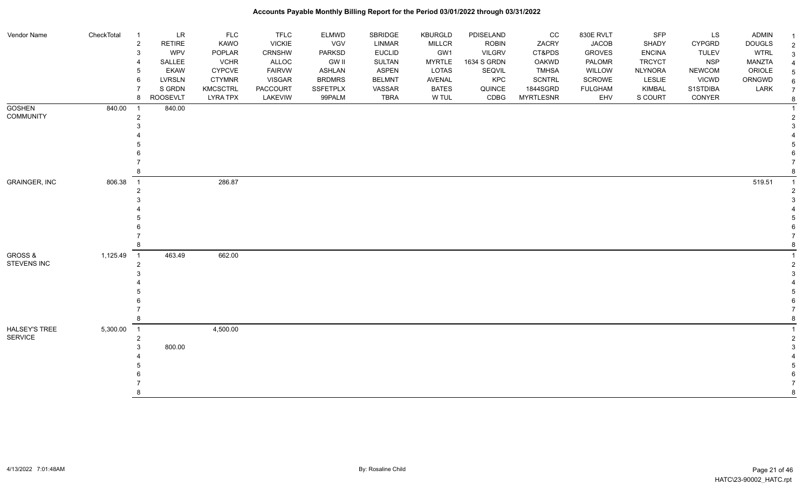| Vendor Name          | CheckTotal | $\overline{1}$             | <b>LR</b>       | <b>FLC</b>      | <b>TFLC</b>     | <b>ELMWD</b>    | SBRIDGE       | KBURGLD       | PDISELAND     | CC               | 830E RVLT      | <b>SFP</b>     | LS            | <b>ADMIN</b>  | $\mathbf{1}$   |
|----------------------|------------|----------------------------|-----------------|-----------------|-----------------|-----------------|---------------|---------------|---------------|------------------|----------------|----------------|---------------|---------------|----------------|
|                      |            | $\overline{2}$             | <b>RETIRE</b>   | KAWO            | <b>VICKIE</b>   | VGV             | LINMAR        | <b>MILLCR</b> | <b>ROBIN</b>  | ZACRY            | <b>JACOB</b>   | SHADY          | CYPGRD        | <b>DOUGLS</b> | $\overline{2}$ |
|                      |            | 3                          | <b>WPV</b>      | POPLAR          | CRNSHW          | <b>PARKSD</b>   | <b>EUCLID</b> | GW1           | <b>VILGRV</b> | CT&PDS           | <b>GROVES</b>  | <b>ENCINA</b>  | <b>TULEV</b>  | <b>WTRL</b>   | 3              |
|                      |            | $\overline{\mathbf{4}}$    | SALLEE          | <b>VCHR</b>     | ALLOC           | <b>GW II</b>    | <b>SULTAN</b> | <b>MYRTLE</b> | 1634 S GRDN   | <b>OAKWD</b>     | PALOMR         | <b>TRCYCT</b>  | <b>NSP</b>    | <b>MANZTA</b> |                |
|                      |            | 5                          | <b>EKAW</b>     | <b>CYPCVE</b>   | <b>FAIRVW</b>   | <b>ASHLAN</b>   | <b>ASPEN</b>  | LOTAS         | SEQVIL        | <b>TMHSA</b>     | WILLOW         | <b>NLYNORA</b> | <b>NEWCOM</b> | ORIOLE        |                |
|                      |            | 6                          | <b>LVRSLN</b>   | <b>CTYMNR</b>   | VISGAR          | <b>BRDMRS</b>   | <b>BELMNT</b> | AVENAL        | KPC           | <b>SCNTRL</b>    | SCROWE         | LESLIE         | <b>VICWD</b>  | ORNGWD        |                |
|                      |            | $\overline{7}$             | S GRDN          | <b>KMCSCTRL</b> | <b>PACCOURT</b> | <b>SSFETPLX</b> | VASSAR        | <b>BATES</b>  | QUINCE        | 1844SGRD         | <b>FULGHAM</b> | KIMBAL         | S1STDIBA      | LARK          |                |
|                      |            | 8                          | <b>ROOSEVLT</b> | <b>LYRA TPX</b> | LAKEVIW         | 99PALM          | <b>TBRA</b>   | W TUL         | CDBG          | <b>MYRTLESNR</b> | EHV            | S COURT        | CONYER        |               | 8              |
| <b>GOSHEN</b>        | 840.00     | $\overline{1}$             | 840.00          |                 |                 |                 |               |               |               |                  |                |                |               |               |                |
| <b>COMMUNITY</b>     |            | $\overline{2}$             |                 |                 |                 |                 |               |               |               |                  |                |                |               |               |                |
|                      |            | 3                          |                 |                 |                 |                 |               |               |               |                  |                |                |               |               |                |
|                      |            |                            |                 |                 |                 |                 |               |               |               |                  |                |                |               |               |                |
|                      |            |                            |                 |                 |                 |                 |               |               |               |                  |                |                |               |               |                |
|                      |            |                            |                 |                 |                 |                 |               |               |               |                  |                |                |               |               |                |
|                      |            |                            |                 |                 |                 |                 |               |               |               |                  |                |                |               |               |                |
|                      |            | 8                          |                 |                 |                 |                 |               |               |               |                  |                |                |               |               |                |
| <b>GRAINGER, INC</b> | 806.38     | $\overline{1}$             |                 | 286.87          |                 |                 |               |               |               |                  |                |                |               | 519.51        | $\overline{1}$ |
|                      |            | $\overline{2}$             |                 |                 |                 |                 |               |               |               |                  |                |                |               |               |                |
|                      |            | 3                          |                 |                 |                 |                 |               |               |               |                  |                |                |               |               |                |
|                      |            |                            |                 |                 |                 |                 |               |               |               |                  |                |                |               |               |                |
|                      |            |                            |                 |                 |                 |                 |               |               |               |                  |                |                |               |               |                |
|                      |            |                            |                 |                 |                 |                 |               |               |               |                  |                |                |               |               |                |
|                      |            |                            |                 |                 |                 |                 |               |               |               |                  |                |                |               |               |                |
|                      |            | 8                          |                 |                 |                 |                 |               |               |               |                  |                |                |               |               |                |
| <b>GROSS &amp;</b>   | 1,125.49   | $\overline{\phantom{0}}$ 1 | 463.49          | 662.00          |                 |                 |               |               |               |                  |                |                |               |               |                |
| STEVENS INC          |            | $\overline{2}$             |                 |                 |                 |                 |               |               |               |                  |                |                |               |               |                |
|                      |            | 3                          |                 |                 |                 |                 |               |               |               |                  |                |                |               |               |                |
|                      |            |                            |                 |                 |                 |                 |               |               |               |                  |                |                |               |               |                |
|                      |            |                            |                 |                 |                 |                 |               |               |               |                  |                |                |               |               |                |
|                      |            |                            |                 |                 |                 |                 |               |               |               |                  |                |                |               |               |                |
|                      |            |                            |                 |                 |                 |                 |               |               |               |                  |                |                |               |               |                |
|                      |            | 8                          |                 |                 |                 |                 |               |               |               |                  |                |                |               |               |                |
| HALSEY'S TREE        | 5,300.00   | $\overline{\phantom{0}}$ 1 |                 | 4,500.00        |                 |                 |               |               |               |                  |                |                |               |               |                |
| <b>SERVICE</b>       |            | $\overline{2}$             |                 |                 |                 |                 |               |               |               |                  |                |                |               |               |                |
|                      |            | 3                          | 800.00          |                 |                 |                 |               |               |               |                  |                |                |               |               |                |
|                      |            |                            |                 |                 |                 |                 |               |               |               |                  |                |                |               |               |                |
|                      |            |                            |                 |                 |                 |                 |               |               |               |                  |                |                |               |               |                |
|                      |            |                            |                 |                 |                 |                 |               |               |               |                  |                |                |               |               |                |
|                      |            |                            |                 |                 |                 |                 |               |               |               |                  |                |                |               |               |                |
|                      |            | 8                          |                 |                 |                 |                 |               |               |               |                  |                |                |               |               | 8              |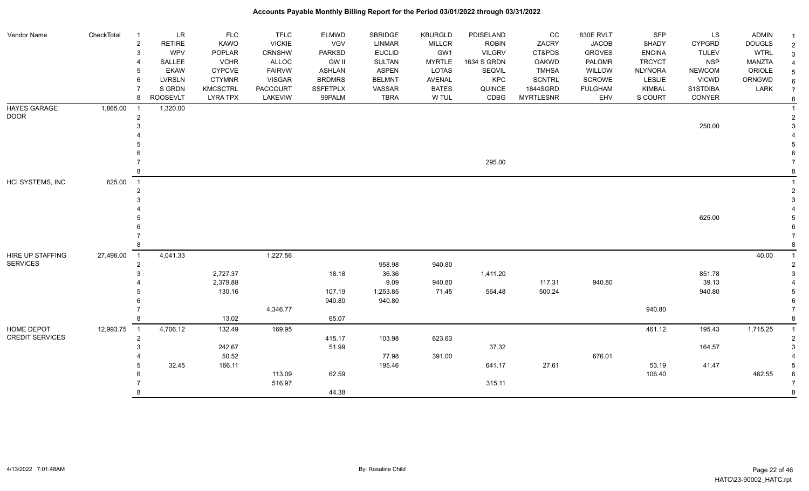| Vendor Name            | CheckTotal | $\overline{1}$ | LR            | <b>FLC</b>      | <b>TFLC</b>     | <b>ELMWD</b>    | <b>SBRIDGE</b> | <b>KBURGLD</b> | PDISELAND     | cc               | 830E RVLT      | <b>SFP</b>     | LS.           | <b>ADMIN</b>  |  |
|------------------------|------------|----------------|---------------|-----------------|-----------------|-----------------|----------------|----------------|---------------|------------------|----------------|----------------|---------------|---------------|--|
|                        |            | $\sqrt{2}$     | <b>RETIRE</b> | <b>KAWO</b>     | <b>VICKIE</b>   | VGV             | <b>LINMAR</b>  | <b>MILLCR</b>  | <b>ROBIN</b>  | ZACRY            | <b>JACOB</b>   | SHADY          | <b>CYPGRD</b> | <b>DOUGLS</b> |  |
|                        |            | 3              | WPV           | POPLAR          | <b>CRNSHW</b>   | <b>PARKSD</b>   | <b>EUCLID</b>  | GW1            | <b>VILGRV</b> | CT&PDS           | <b>GROVES</b>  | <b>ENCINA</b>  | <b>TULEV</b>  | <b>WTRL</b>   |  |
|                        |            |                | SALLEE        | <b>VCHR</b>     | <b>ALLOC</b>    | <b>GW II</b>    | <b>SULTAN</b>  | <b>MYRTLE</b>  | 1634 S GRDN   | <b>OAKWD</b>     | PALOMR         | <b>TRCYCT</b>  | <b>NSP</b>    | MANZTA        |  |
|                        |            | 5              | <b>EKAW</b>   | <b>CYPCVE</b>   | <b>FAIRVW</b>   | <b>ASHLAN</b>   | <b>ASPEN</b>   | LOTAS          | SEQVIL        | <b>TMHSA</b>     | WILLOW         | <b>NLYNORA</b> | <b>NEWCOM</b> | ORIOLE        |  |
|                        |            | 6              | <b>LVRSLN</b> | <b>CTYMNR</b>   | <b>VISGAR</b>   | <b>BRDMRS</b>   | <b>BELMNT</b>  | AVENAL         | KPC           | <b>SCNTRL</b>    | SCROWE         | LESLIE         | <b>VICWD</b>  | ORNGWD        |  |
|                        |            |                | S GRDN        | <b>KMCSCTRL</b> | <b>PACCOURT</b> | <b>SSFETPLX</b> | VASSAR         | <b>BATES</b>   | QUINCE        | 1844SGRD         | <b>FULGHAM</b> | KIMBAL         | S1STDIBA      | LARK          |  |
|                        |            | 8              | ROOSEVLT      | <b>LYRA TPX</b> | LAKEVIW         | 99PALM          | <b>TBRA</b>    | W TUL          | CDBG          | <b>MYRTLESNR</b> | EHV            | S COURT        | CONYER        |               |  |
| HAYES GARAGE           | 1,865.00   |                | 1,320.00      |                 |                 |                 |                |                |               |                  |                |                |               |               |  |
| <b>DOOR</b>            |            | $\overline{2}$ |               |                 |                 |                 |                |                |               |                  |                |                |               |               |  |
|                        |            |                |               |                 |                 |                 |                |                |               |                  |                |                | 250.00        |               |  |
|                        |            |                |               |                 |                 |                 |                |                |               |                  |                |                |               |               |  |
|                        |            |                |               |                 |                 |                 |                |                |               |                  |                |                |               |               |  |
|                        |            |                |               |                 |                 |                 |                |                |               |                  |                |                |               |               |  |
|                        |            |                |               |                 |                 |                 |                |                | 295.00        |                  |                |                |               |               |  |
|                        |            |                |               |                 |                 |                 |                |                |               |                  |                |                |               |               |  |
| HCI SYSTEMS, INC       | 625.00     | $\overline{1}$ |               |                 |                 |                 |                |                |               |                  |                |                |               |               |  |
|                        |            | $\overline{2}$ |               |                 |                 |                 |                |                |               |                  |                |                |               |               |  |
|                        |            |                |               |                 |                 |                 |                |                |               |                  |                |                |               |               |  |
|                        |            |                |               |                 |                 |                 |                |                |               |                  |                |                |               |               |  |
|                        |            |                |               |                 |                 |                 |                |                |               |                  |                |                | 625.00        |               |  |
|                        |            |                |               |                 |                 |                 |                |                |               |                  |                |                |               |               |  |
|                        |            |                |               |                 |                 |                 |                |                |               |                  |                |                |               |               |  |
|                        |            | 8              |               |                 |                 |                 |                |                |               |                  |                |                |               |               |  |
| HIRE UP STAFFING       | 27,496.00  | $\overline{1}$ | 4,041.33      |                 | 1,227.56        |                 |                |                |               |                  |                |                |               | 40.00         |  |
| <b>SERVICES</b>        |            | 2              |               |                 |                 |                 | 958.98         | 940.80         |               |                  |                |                |               |               |  |
|                        |            | 3              |               | 2,727.37        |                 | 18.18           | 36.36          |                | 1,411.20      |                  |                |                | 851.78        |               |  |
|                        |            |                |               | 2,379.88        |                 |                 | 9.09           | 940.80         |               | 117.31           | 940.80         |                | 39.13         |               |  |
|                        |            |                |               | 130.16          |                 | 107.19          | 1,253.85       | 71.45          | 564.48        | 500.24           |                |                | 940.80        |               |  |
|                        |            |                |               |                 |                 | 940.80          | 940.80         |                |               |                  |                |                |               |               |  |
|                        |            |                |               |                 | 4,346.77        |                 |                |                |               |                  |                | 940.80         |               |               |  |
|                        |            | 8              |               | 13.02           |                 | 65.07           |                |                |               |                  |                |                |               |               |  |
| HOME DEPOT             | 12,993.75  | $\overline{1}$ | 4,706.12      | 132.49          | 169.95          |                 |                |                |               |                  |                | 461.12         | 195.43        | 1,715.25      |  |
| <b>CREDIT SERVICES</b> |            | $\overline{c}$ |               |                 |                 | 415.17          | 103.98         | 623.63         |               |                  |                |                |               |               |  |
|                        |            |                |               | 242.67          |                 | 51.99           |                |                | 37.32         |                  |                |                | 164.57        |               |  |
|                        |            |                |               | 50.52           |                 |                 | 77.98          | 391.00         |               |                  | 676.01         |                |               |               |  |
|                        |            |                | 32.45         | 166.11          |                 |                 | 195.46         |                | 641.17        | 27.61            |                | 53.19          | 41.47         |               |  |
|                        |            |                |               |                 | 113.09          | 62.59           |                |                |               |                  |                | 106.40         |               | 462.55        |  |
|                        |            |                |               |                 | 516.97          |                 |                |                | 315.11        |                  |                |                |               |               |  |
|                        |            | 8              |               |                 |                 | 44.38           |                |                |               |                  |                |                |               |               |  |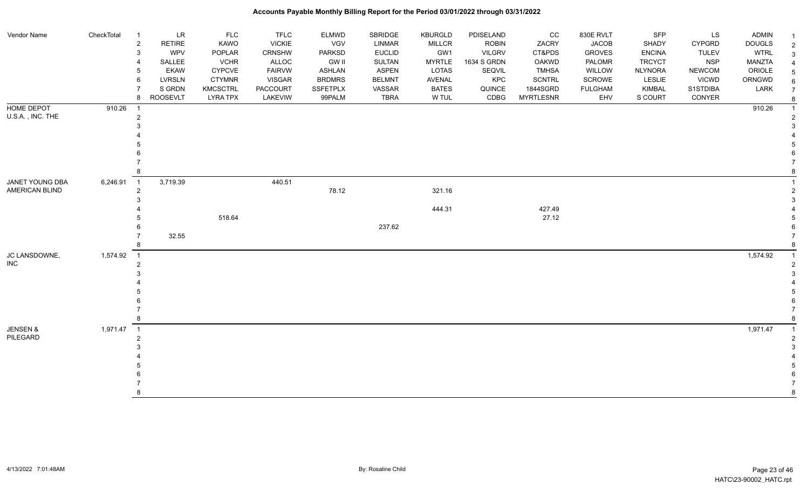| Vendor Name                       | CheckTotal | $\overline{1}$           | LR              | <b>FLC</b>      | <b>TFLC</b>     | <b>ELMWD</b>  | SBRIDGE       | <b>KBURGLD</b> | PDISELAND     | CC               | 830E RVLT      | <b>SFP</b>     | LS            | <b>ADMIN</b>  |  |
|-----------------------------------|------------|--------------------------|-----------------|-----------------|-----------------|---------------|---------------|----------------|---------------|------------------|----------------|----------------|---------------|---------------|--|
|                                   |            | $\sqrt{2}$               | <b>RETIRE</b>   | KAWO            | <b>VICKIE</b>   | VGV           | <b>LINMAR</b> | MILLCR         | <b>ROBIN</b>  | ZACRY            | <b>JACOB</b>   | SHADY          | <b>CYPGRD</b> | <b>DOUGLS</b> |  |
|                                   |            | 3                        | <b>WPV</b>      | POPLAR          | CRNSHW          | <b>PARKSD</b> | <b>EUCLID</b> | GW1            | <b>VILGRV</b> | CT&PDS           | <b>GROVES</b>  | <b>ENCINA</b>  | <b>TULEV</b>  | <b>WTRL</b>   |  |
|                                   |            |                          | SALLEE          | <b>VCHR</b>     | ALLOC           | GW II         | SULTAN        | <b>MYRTLE</b>  | 1634 S GRDN   | <b>OAKWD</b>     | PALOMR         | <b>TRCYCT</b>  | <b>NSP</b>    | MANZTA        |  |
|                                   |            |                          | <b>EKAW</b>     | <b>CYPCVE</b>   | <b>FAIRVW</b>   | <b>ASHLAN</b> | ASPEN         | LOTAS          | SEQVIL        | <b>TMHSA</b>     | WILLOW         | <b>NLYNORA</b> | <b>NEWCOM</b> | ORIOLE        |  |
|                                   |            | 6                        | <b>LVRSLN</b>   | <b>CTYMNR</b>   | <b>VISGAR</b>   | <b>BRDMRS</b> | <b>BELMNT</b> | AVENAL         | KPC           | <b>SCNTRL</b>    | SCROWE         | LESLIE         | <b>VICWD</b>  | ORNGWD        |  |
|                                   |            |                          | S GRDN          | <b>KMCSCTRL</b> | <b>PACCOURT</b> | SSFETPLX      | VASSAR        | <b>BATES</b>   | QUINCE        | 1844SGRD         | <b>FULGHAM</b> | KIMBAL         | S1STDIBA      | LARK          |  |
|                                   |            | 8                        | <b>ROOSEVLT</b> | <b>LYRA TPX</b> | LAKEVIW         | 99PALM        | <b>TBRA</b>   | W TUL          | CDBG          | <b>MYRTLESNR</b> | EHV            | S COURT        | CONYER        |               |  |
| <b>HOME DEPOT</b>                 | 910.26     | -1                       |                 |                 |                 |               |               |                |               |                  |                |                |               | 910.26        |  |
| U.S.A., INC. THE                  |            | $\overline{c}$           |                 |                 |                 |               |               |                |               |                  |                |                |               |               |  |
|                                   |            |                          |                 |                 |                 |               |               |                |               |                  |                |                |               |               |  |
|                                   |            |                          |                 |                 |                 |               |               |                |               |                  |                |                |               |               |  |
|                                   |            |                          |                 |                 |                 |               |               |                |               |                  |                |                |               |               |  |
|                                   |            |                          |                 |                 |                 |               |               |                |               |                  |                |                |               |               |  |
|                                   |            |                          |                 |                 |                 |               |               |                |               |                  |                |                |               |               |  |
|                                   |            |                          |                 |                 |                 |               |               |                |               |                  |                |                |               |               |  |
| JANET YOUNG DBA<br>AMERICAN BLIND | 6,246.91   | $\overline{1}$           | 3,719.39        |                 | 440.51          |               |               |                |               |                  |                |                |               |               |  |
|                                   |            | $\overline{2}$           |                 |                 |                 | 78.12         |               | 321.16         |               |                  |                |                |               |               |  |
|                                   |            |                          |                 |                 |                 |               |               |                |               |                  |                |                |               |               |  |
|                                   |            |                          |                 |                 |                 |               |               | 444.31         |               | 427.49           |                |                |               |               |  |
|                                   |            |                          |                 | 518.64          |                 |               |               |                |               | 27.12            |                |                |               |               |  |
|                                   |            |                          |                 |                 |                 |               | 237.62        |                |               |                  |                |                |               |               |  |
|                                   |            |                          | 32.55           |                 |                 |               |               |                |               |                  |                |                |               |               |  |
|                                   |            |                          |                 |                 |                 |               |               |                |               |                  |                |                |               |               |  |
| JC LANSDOWNE,                     | 1,574.92   | $\overline{1}$           |                 |                 |                 |               |               |                |               |                  |                |                |               | 1,574.92      |  |
| <b>INC</b>                        |            | $\overline{2}$           |                 |                 |                 |               |               |                |               |                  |                |                |               |               |  |
|                                   |            |                          |                 |                 |                 |               |               |                |               |                  |                |                |               |               |  |
|                                   |            |                          |                 |                 |                 |               |               |                |               |                  |                |                |               |               |  |
|                                   |            |                          |                 |                 |                 |               |               |                |               |                  |                |                |               |               |  |
|                                   |            |                          |                 |                 |                 |               |               |                |               |                  |                |                |               |               |  |
|                                   |            |                          |                 |                 |                 |               |               |                |               |                  |                |                |               |               |  |
|                                   |            | 8                        |                 |                 |                 |               |               |                |               |                  |                |                |               |               |  |
| <b>JENSEN &amp;</b>               | 1,971.47   | $\overline{\phantom{1}}$ |                 |                 |                 |               |               |                |               |                  |                |                |               | 1,971.47      |  |
| PILEGARD                          |            | $\overline{2}$           |                 |                 |                 |               |               |                |               |                  |                |                |               |               |  |
|                                   |            |                          |                 |                 |                 |               |               |                |               |                  |                |                |               |               |  |
|                                   |            |                          |                 |                 |                 |               |               |                |               |                  |                |                |               |               |  |
|                                   |            |                          |                 |                 |                 |               |               |                |               |                  |                |                |               |               |  |
|                                   |            |                          |                 |                 |                 |               |               |                |               |                  |                |                |               |               |  |
|                                   |            |                          |                 |                 |                 |               |               |                |               |                  |                |                |               |               |  |
|                                   |            | 8                        |                 |                 |                 |               |               |                |               |                  |                |                |               |               |  |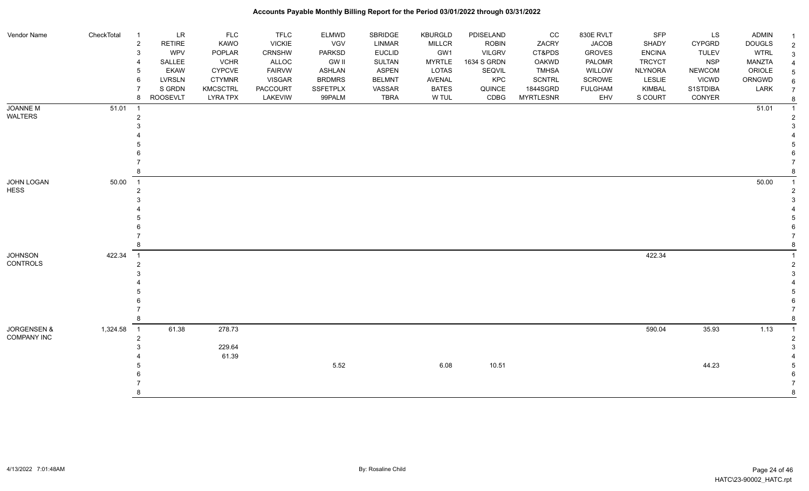| Vendor Name            | CheckTotal | LR<br>-1<br><b>RETIRE</b>                  | <b>FLC</b><br>KAWO | <b>TFLC</b><br><b>VICKIE</b> | <b>ELMWD</b><br>VGV | SBRIDGE<br>LINMAR | <b>KBURGLD</b>       | PDISELAND                     | CC<br>ZACRY      | 830E RVLT<br><b>JACOB</b> | SFP<br>SHADY   | LS<br><b>CYPGRD</b> | <b>ADMIN</b>                 | -1             |
|------------------------|------------|--------------------------------------------|--------------------|------------------------------|---------------------|-------------------|----------------------|-------------------------------|------------------|---------------------------|----------------|---------------------|------------------------------|----------------|
|                        |            | $\overline{\mathbf{c}}$<br><b>WPV</b><br>3 | POPLAR             | <b>CRNSHW</b>                | <b>PARKSD</b>       | <b>EUCLID</b>     | <b>MILLCR</b><br>GW1 | <b>ROBIN</b><br><b>VILGRV</b> | CT&PDS           | <b>GROVES</b>             | <b>ENCINA</b>  | <b>TULEV</b>        | <b>DOUGLS</b><br><b>WTRL</b> | $\overline{2}$ |
|                        |            | SALLEE                                     | <b>VCHR</b>        | ALLOC                        | <b>GW II</b>        | SULTAN            | <b>MYRTLE</b>        | 1634 S GRDN                   | <b>OAKWD</b>     | PALOMR                    | <b>TRCYCT</b>  | <b>NSP</b>          | <b>MANZTA</b>                | 3              |
|                        |            | <b>EKAW</b>                                | <b>CYPCVE</b>      | <b>FAIRVW</b>                | <b>ASHLAN</b>       | <b>ASPEN</b>      | LOTAS                | SEQVIL                        | <b>TMHSA</b>     | WILLOW                    | <b>NLYNORA</b> | <b>NEWCOM</b>       | ORIOLE                       | 5              |
|                        |            | LVRSLN<br>6                                | <b>CTYMNR</b>      | <b>VISGAR</b>                | <b>BRDMRS</b>       | <b>BELMNT</b>     | <b>AVENAL</b>        | KPC                           | <b>SCNTRL</b>    | SCROWE                    | LESLIE         | <b>VICWD</b>        | ORNGWD                       |                |
|                        |            | S GRDN                                     | <b>KMCSCTRL</b>    | <b>PACCOURT</b>              | SSFETPLX            | VASSAR            | <b>BATES</b>         | QUINCE                        | 1844SGRD         | <b>FULGHAM</b>            | KIMBAL         | S1STDIBA            | LARK                         | $\overline{7}$ |
|                        |            | <b>ROOSEVLT</b><br>8                       | <b>LYRA TPX</b>    | LAKEVIW                      | 99PALM              | <b>TBRA</b>       | W TUL                | CDBG                          | <b>MYRTLESNR</b> | EHV                       | S COURT        | CONYER              |                              | 8              |
| JOANNE M               | 51.01      | $\overline{1}$                             |                    |                              |                     |                   |                      |                               |                  |                           |                |                     | 51.01                        |                |
| WALTERS                |            | 2                                          |                    |                              |                     |                   |                      |                               |                  |                           |                |                     |                              |                |
|                        |            |                                            |                    |                              |                     |                   |                      |                               |                  |                           |                |                     |                              |                |
|                        |            |                                            |                    |                              |                     |                   |                      |                               |                  |                           |                |                     |                              |                |
|                        |            |                                            |                    |                              |                     |                   |                      |                               |                  |                           |                |                     |                              |                |
|                        |            |                                            |                    |                              |                     |                   |                      |                               |                  |                           |                |                     |                              |                |
|                        |            |                                            |                    |                              |                     |                   |                      |                               |                  |                           |                |                     |                              |                |
|                        |            |                                            |                    |                              |                     |                   |                      |                               |                  |                           |                |                     |                              |                |
| JOHN LOGAN             | 50.00      | $\overline{1}$                             |                    |                              |                     |                   |                      |                               |                  |                           |                |                     | 50.00                        |                |
| <b>HESS</b>            |            |                                            |                    |                              |                     |                   |                      |                               |                  |                           |                |                     |                              |                |
|                        |            |                                            |                    |                              |                     |                   |                      |                               |                  |                           |                |                     |                              |                |
|                        |            |                                            |                    |                              |                     |                   |                      |                               |                  |                           |                |                     |                              |                |
|                        |            |                                            |                    |                              |                     |                   |                      |                               |                  |                           |                |                     |                              |                |
|                        |            |                                            |                    |                              |                     |                   |                      |                               |                  |                           |                |                     |                              |                |
|                        |            |                                            |                    |                              |                     |                   |                      |                               |                  |                           |                |                     |                              |                |
| <b>JOHNSON</b>         | 422.34     | $\overline{1}$                             |                    |                              |                     |                   |                      |                               |                  |                           | 422.34         |                     |                              |                |
| CONTROLS               |            | $\overline{2}$                             |                    |                              |                     |                   |                      |                               |                  |                           |                |                     |                              |                |
|                        |            |                                            |                    |                              |                     |                   |                      |                               |                  |                           |                |                     |                              |                |
|                        |            |                                            |                    |                              |                     |                   |                      |                               |                  |                           |                |                     |                              |                |
|                        |            |                                            |                    |                              |                     |                   |                      |                               |                  |                           |                |                     |                              |                |
|                        |            |                                            |                    |                              |                     |                   |                      |                               |                  |                           |                |                     |                              |                |
|                        |            |                                            |                    |                              |                     |                   |                      |                               |                  |                           |                |                     |                              |                |
|                        |            |                                            |                    |                              |                     |                   |                      |                               |                  |                           |                |                     |                              |                |
| <b>JORGENSEN &amp;</b> | 1,324.58   | 61.38<br>$\overline{1}$                    | 278.73             |                              |                     |                   |                      |                               |                  |                           | 590.04         | 35.93               | 1.13                         |                |
| <b>COMPANY INC</b>     |            | $\overline{2}$                             |                    |                              |                     |                   |                      |                               |                  |                           |                |                     |                              |                |
|                        |            |                                            | 229.64             |                              |                     |                   |                      |                               |                  |                           |                |                     |                              |                |
|                        |            |                                            | 61.39              |                              |                     |                   |                      |                               |                  |                           |                |                     |                              |                |
|                        |            |                                            |                    |                              | 5.52                |                   | 6.08                 | 10.51                         |                  |                           |                | 44.23               |                              |                |
|                        |            |                                            |                    |                              |                     |                   |                      |                               |                  |                           |                |                     |                              |                |
|                        |            |                                            |                    |                              |                     |                   |                      |                               |                  |                           |                |                     |                              | 8              |
|                        |            |                                            |                    |                              |                     |                   |                      |                               |                  |                           |                |                     |                              |                |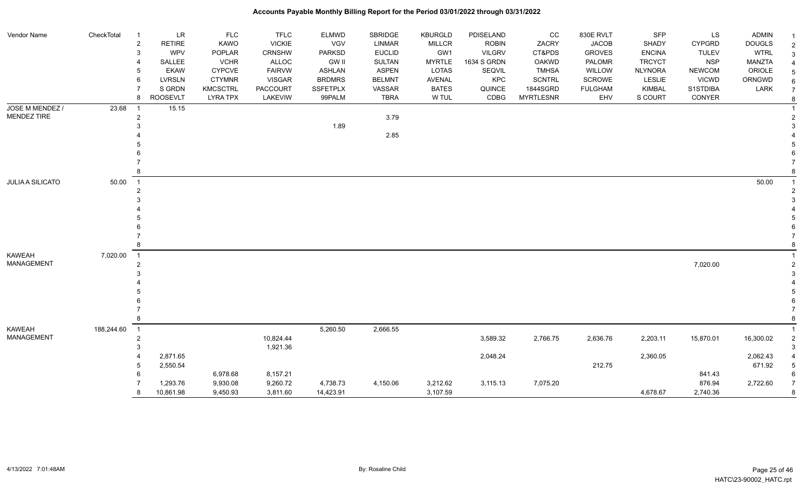| Vendor Name             | CheckTotal | $\overline{1}$   | LR              | <b>FLC</b>      | <b>TFLC</b>     | ELMWD           | SBRIDGE       | <b>KBURGLD</b> | PDISELAND     | CC               | 830E RVLT      | <b>SFP</b>     | LS.           | <b>ADMIN</b>  |   |
|-------------------------|------------|------------------|-----------------|-----------------|-----------------|-----------------|---------------|----------------|---------------|------------------|----------------|----------------|---------------|---------------|---|
|                         |            | $\boldsymbol{2}$ | <b>RETIRE</b>   | <b>KAWO</b>     | <b>VICKIE</b>   | VGV             | <b>LINMAR</b> | <b>MILLCR</b>  | <b>ROBIN</b>  | ZACRY            | <b>JACOB</b>   | SHADY          | <b>CYPGRD</b> | <b>DOUGLS</b> |   |
|                         |            | 3                | <b>WPV</b>      | POPLAR          | <b>CRNSHW</b>   | <b>PARKSD</b>   | <b>EUCLID</b> | GW1            | <b>VILGRV</b> | CT&PDS           | <b>GROVES</b>  | <b>ENCINA</b>  | <b>TULEV</b>  | <b>WTRL</b>   |   |
|                         |            |                  | SALLEE          | <b>VCHR</b>     | ALLOC           | <b>GW II</b>    | <b>SULTAN</b> | <b>MYRTLE</b>  | 1634 S GRDN   | OAKWD            | PALOMR         | <b>TRCYCT</b>  | <b>NSP</b>    | MANZTA        |   |
|                         |            | 5                | <b>EKAW</b>     | <b>CYPCVE</b>   | <b>FAIRVW</b>   | <b>ASHLAN</b>   | <b>ASPEN</b>  | <b>LOTAS</b>   | SEQVIL        | <b>TMHSA</b>     | WILLOW         | <b>NLYNORA</b> | <b>NEWCOM</b> | ORIOLE        |   |
|                         |            | 6                | <b>LVRSLN</b>   | <b>CTYMNR</b>   | <b>VISGAR</b>   | <b>BRDMRS</b>   | <b>BELMNT</b> | AVENAL         | KPC           | <b>SCNTRL</b>    | SCROWE         | <b>LESLIE</b>  | <b>VICWD</b>  | ORNGWD        |   |
|                         |            |                  | S GRDN          | <b>KMCSCTRL</b> | <b>PACCOURT</b> | <b>SSFETPLX</b> | VASSAR        | <b>BATES</b>   | QUINCE        | 1844SGRD         | <b>FULGHAM</b> | KIMBAL         | S1STDIBA      | LARK          |   |
|                         |            | 8                | <b>ROOSEVLT</b> | <b>LYRA TPX</b> | LAKEVIW         | 99PALM          | <b>TBRA</b>   | W TUL          | CDBG          | <b>MYRTLESNR</b> | EHV            | S COURT        | CONYER        |               | 8 |
| JOSE M MENDEZ /         | 23.68      | -1               | 15.15           |                 |                 |                 |               |                |               |                  |                |                |               |               |   |
| MENDEZ TIRE             |            | $\overline{2}$   |                 |                 |                 |                 | 3.79          |                |               |                  |                |                |               |               |   |
|                         |            |                  |                 |                 |                 | 1.89            |               |                |               |                  |                |                |               |               |   |
|                         |            |                  |                 |                 |                 |                 | 2.85          |                |               |                  |                |                |               |               |   |
|                         |            |                  |                 |                 |                 |                 |               |                |               |                  |                |                |               |               |   |
|                         |            |                  |                 |                 |                 |                 |               |                |               |                  |                |                |               |               |   |
|                         |            |                  |                 |                 |                 |                 |               |                |               |                  |                |                |               |               |   |
|                         |            |                  |                 |                 |                 |                 |               |                |               |                  |                |                |               |               |   |
| <b>JULIA A SILICATO</b> | 50.00      | $\overline{1}$   |                 |                 |                 |                 |               |                |               |                  |                |                |               | 50.00         |   |
|                         |            | 2                |                 |                 |                 |                 |               |                |               |                  |                |                |               |               |   |
|                         |            |                  |                 |                 |                 |                 |               |                |               |                  |                |                |               |               |   |
|                         |            |                  |                 |                 |                 |                 |               |                |               |                  |                |                |               |               |   |
|                         |            |                  |                 |                 |                 |                 |               |                |               |                  |                |                |               |               |   |
|                         |            |                  |                 |                 |                 |                 |               |                |               |                  |                |                |               |               |   |
|                         |            |                  |                 |                 |                 |                 |               |                |               |                  |                |                |               |               |   |
|                         |            |                  |                 |                 |                 |                 |               |                |               |                  |                |                |               |               |   |
| <b>KAWEAH</b>           | 7,020.00   | $\overline{1}$   |                 |                 |                 |                 |               |                |               |                  |                |                |               |               |   |
| <b>MANAGEMENT</b>       |            | 2                |                 |                 |                 |                 |               |                |               |                  |                |                | 7,020.00      |               |   |
|                         |            |                  |                 |                 |                 |                 |               |                |               |                  |                |                |               |               |   |
|                         |            |                  |                 |                 |                 |                 |               |                |               |                  |                |                |               |               |   |
|                         |            |                  |                 |                 |                 |                 |               |                |               |                  |                |                |               |               |   |
|                         |            |                  |                 |                 |                 |                 |               |                |               |                  |                |                |               |               |   |
|                         |            |                  |                 |                 |                 |                 |               |                |               |                  |                |                |               |               |   |
|                         |            |                  |                 |                 |                 |                 |               |                |               |                  |                |                |               |               |   |
| <b>KAWEAH</b>           | 188,244.60 | $\overline{1}$   |                 |                 |                 | 5,260.50        | 2,666.55      |                |               |                  |                |                |               |               |   |
| <b>MANAGEMENT</b>       |            | $\overline{c}$   |                 |                 | 10,824.44       |                 |               |                | 3,589.32      | 2,766.75         | 2,636.76       | 2,203.11       | 15,870.01     | 16,300.02     |   |
|                         |            | 3                |                 |                 | 1,921.36        |                 |               |                |               |                  |                |                |               |               |   |
|                         |            |                  | 2,871.65        |                 |                 |                 |               |                | 2,048.24      |                  |                | 2,360.05       |               | 2,062.43      |   |
|                         |            | 5                | 2,550.54        |                 |                 |                 |               |                |               |                  | 212.75         |                |               | 671.92        |   |
|                         |            |                  |                 | 6,978.68        | 8,157.21        |                 |               |                |               |                  |                |                | 841.43        |               |   |
|                         |            |                  | 1,293.76        | 9,930.08        | 9,260.72        | 4,738.73        | 4,150.06      | 3,212.62       | 3,115.13      | 7,075.20         |                |                | 876.94        | 2,722.60      |   |
|                         |            | 8                | 10,861.98       | 9,450.93        | 3,811.60        | 14,423.91       |               | 3,107.59       |               |                  |                | 4,678.67       | 2,740.36      |               | 8 |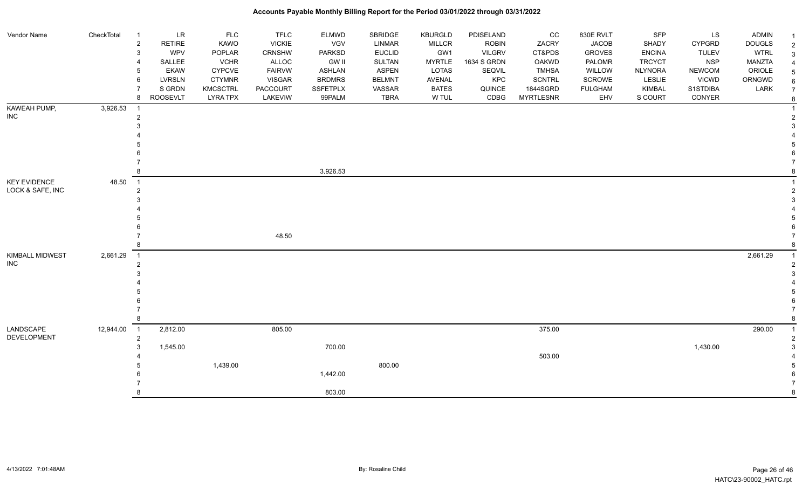| Vendor Name                             | CheckTotal | LR<br>$\overline{1}$<br>$\boldsymbol{2}$<br><b>RETIRE</b><br>WPV<br>3 | <b>FLC</b><br>KAWO<br>POPLAR | <b>TFLC</b><br><b>VICKIE</b><br>CRNSHW | <b>ELMWD</b><br>VGV<br><b>PARKSD</b> | SBRIDGE<br><b>LINMAR</b><br><b>EUCLID</b> | KBURGLD<br><b>MILLCR</b><br>GW1 | PDISELAND<br><b>ROBIN</b><br><b>VILGRV</b> | CC<br>ZACRY<br>CT&PDS | 830E RVLT<br><b>JACOB</b><br><b>GROVES</b> | SFP<br><b>SHADY</b><br><b>ENCINA</b> | LS<br><b>CYPGRD</b><br><b>TULEV</b> | <b>ADMIN</b><br><b>DOUGLS</b><br><b>WTRL</b> | $\overline{2}$<br>3 |
|-----------------------------------------|------------|-----------------------------------------------------------------------|------------------------------|----------------------------------------|--------------------------------------|-------------------------------------------|---------------------------------|--------------------------------------------|-----------------------|--------------------------------------------|--------------------------------------|-------------------------------------|----------------------------------------------|---------------------|
|                                         |            | SALLEE                                                                | <b>VCHR</b>                  | ALLOC                                  | <b>GW II</b>                         | SULTAN                                    | <b>MYRTLE</b>                   | 1634 S GRDN                                | OAKWD                 | PALOMR                                     | <b>TRCYCT</b>                        | <b>NSP</b>                          | MANZTA                                       |                     |
|                                         |            | <b>EKAW</b>                                                           | <b>CYPCVE</b>                | <b>FAIRVW</b>                          | <b>ASHLAN</b>                        | <b>ASPEN</b>                              | LOTAS                           | SEQVIL                                     | <b>TMHSA</b>          | WILLOW                                     | <b>NLYNORA</b>                       | <b>NEWCOM</b>                       | ORIOLE                                       | 5                   |
|                                         |            | 6<br><b>LVRSLN</b>                                                    | <b>CTYMNR</b>                | <b>VISGAR</b>                          | <b>BRDMRS</b>                        | <b>BELMNT</b>                             | AVENAL                          | KPC                                        | SCNTRL                | SCROWE                                     | LESLIE                               | <b>VICWD</b>                        | ORNGWD                                       | 6                   |
|                                         |            | S GRDN                                                                | <b>KMCSCTRL</b>              | <b>PACCOURT</b>                        | <b>SSFETPLX</b>                      | VASSAR                                    | <b>BATES</b>                    | QUINCE                                     | 1844SGRD              | <b>FULGHAM</b>                             | <b>KIMBAL</b>                        | S1STDIBA                            | LARK                                         | $\overline{7}$      |
|                                         |            | <b>ROOSEVLT</b><br>8                                                  | <b>LYRA TPX</b>              | LAKEVIW                                | 99PALM                               | <b>TBRA</b>                               | W TUL                           | CDBG                                       | <b>MYRTLESNR</b>      | EHV                                        | S COURT                              | CONYER                              |                                              | 8                   |
| KAWEAH PUMP,                            | 3,926.53   | -1                                                                    |                              |                                        |                                      |                                           |                                 |                                            |                       |                                            |                                      |                                     |                                              |                     |
| <b>INC</b>                              |            | 2                                                                     |                              |                                        |                                      |                                           |                                 |                                            |                       |                                            |                                      |                                     |                                              |                     |
|                                         |            |                                                                       |                              |                                        |                                      |                                           |                                 |                                            |                       |                                            |                                      |                                     |                                              |                     |
|                                         |            |                                                                       |                              |                                        |                                      |                                           |                                 |                                            |                       |                                            |                                      |                                     |                                              |                     |
|                                         |            |                                                                       |                              |                                        |                                      |                                           |                                 |                                            |                       |                                            |                                      |                                     |                                              |                     |
|                                         |            |                                                                       |                              |                                        |                                      |                                           |                                 |                                            |                       |                                            |                                      |                                     |                                              |                     |
|                                         |            |                                                                       |                              |                                        | 3,926.53                             |                                           |                                 |                                            |                       |                                            |                                      |                                     |                                              |                     |
|                                         |            |                                                                       |                              |                                        |                                      |                                           |                                 |                                            |                       |                                            |                                      |                                     |                                              |                     |
| <b>KEY EVIDENCE</b><br>LOCK & SAFE, INC | 48.50      | $\overline{1}$                                                        |                              |                                        |                                      |                                           |                                 |                                            |                       |                                            |                                      |                                     |                                              |                     |
|                                         |            | 2                                                                     |                              |                                        |                                      |                                           |                                 |                                            |                       |                                            |                                      |                                     |                                              | $\overline{2}$      |
|                                         |            |                                                                       |                              |                                        |                                      |                                           |                                 |                                            |                       |                                            |                                      |                                     |                                              |                     |
|                                         |            |                                                                       |                              |                                        |                                      |                                           |                                 |                                            |                       |                                            |                                      |                                     |                                              |                     |
|                                         |            |                                                                       |                              |                                        |                                      |                                           |                                 |                                            |                       |                                            |                                      |                                     |                                              |                     |
|                                         |            |                                                                       |                              | 48.50                                  |                                      |                                           |                                 |                                            |                       |                                            |                                      |                                     |                                              |                     |
|                                         |            |                                                                       |                              |                                        |                                      |                                           |                                 |                                            |                       |                                            |                                      |                                     |                                              |                     |
| KIMBALL MIDWEST                         | 2,661.29   | $\overline{1}$                                                        |                              |                                        |                                      |                                           |                                 |                                            |                       |                                            |                                      |                                     | 2,661.29                                     |                     |
| <b>INC</b>                              |            | 2                                                                     |                              |                                        |                                      |                                           |                                 |                                            |                       |                                            |                                      |                                     |                                              | 2                   |
|                                         |            |                                                                       |                              |                                        |                                      |                                           |                                 |                                            |                       |                                            |                                      |                                     |                                              |                     |
|                                         |            |                                                                       |                              |                                        |                                      |                                           |                                 |                                            |                       |                                            |                                      |                                     |                                              |                     |
|                                         |            |                                                                       |                              |                                        |                                      |                                           |                                 |                                            |                       |                                            |                                      |                                     |                                              |                     |
|                                         |            |                                                                       |                              |                                        |                                      |                                           |                                 |                                            |                       |                                            |                                      |                                     |                                              |                     |
|                                         |            |                                                                       |                              |                                        |                                      |                                           |                                 |                                            |                       |                                            |                                      |                                     |                                              |                     |
|                                         |            |                                                                       |                              |                                        |                                      |                                           |                                 |                                            |                       |                                            |                                      |                                     |                                              |                     |
| LANDSCAPE<br>DEVELOPMENT                | 12,944.00  | 2,812.00<br>$\overline{1}$<br>$\overline{2}$                          |                              | 805.00                                 |                                      |                                           |                                 |                                            | 375.00                |                                            |                                      |                                     | 290.00                                       |                     |
|                                         |            | 1,545.00<br>3                                                         |                              |                                        | 700.00                               |                                           |                                 |                                            |                       |                                            |                                      | 1,430.00                            |                                              |                     |
|                                         |            |                                                                       |                              |                                        |                                      |                                           |                                 |                                            | 503.00                |                                            |                                      |                                     |                                              |                     |
|                                         |            |                                                                       | 1,439.00                     |                                        |                                      | 800.00                                    |                                 |                                            |                       |                                            |                                      |                                     |                                              |                     |
|                                         |            |                                                                       |                              |                                        | 1,442.00                             |                                           |                                 |                                            |                       |                                            |                                      |                                     |                                              |                     |
|                                         |            |                                                                       |                              |                                        |                                      |                                           |                                 |                                            |                       |                                            |                                      |                                     |                                              |                     |
|                                         |            |                                                                       |                              |                                        | 803.00                               |                                           |                                 |                                            |                       |                                            |                                      |                                     |                                              | 8                   |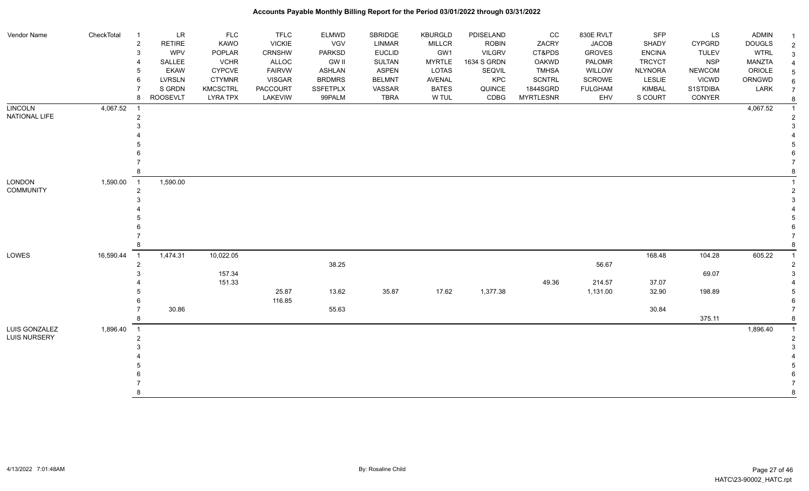| Vendor Name         | CheckTotal | <b>LR</b><br>$\overline{1}$          | <b>FLC</b>      | <b>TFLC</b>     | <b>ELMWD</b>    | <b>SBRIDGE</b> | <b>KBURGLD</b> | PDISELAND     | cc               | 830E RVLT      | <b>SFP</b>     | LS            | ADMIN         | $\overline{\mathbf{1}}$ |
|---------------------|------------|--------------------------------------|-----------------|-----------------|-----------------|----------------|----------------|---------------|------------------|----------------|----------------|---------------|---------------|-------------------------|
|                     |            | RETIRE<br>$\overline{2}$             | KAWO            | <b>VICKIE</b>   | VGV             | <b>LINMAR</b>  | MILLCR         | <b>ROBIN</b>  | ZACRY            | <b>JACOB</b>   | SHADY          | <b>CYPGRD</b> | <b>DOUGLS</b> | $\overline{2}$          |
|                     |            | <b>WPV</b><br>3                      | POPLAR          | <b>CRNSHW</b>   | <b>PARKSD</b>   | <b>EUCLID</b>  | GW1            | <b>VILGRV</b> | CT&PDS           | <b>GROVES</b>  | <b>ENCINA</b>  | <b>TULEV</b>  | <b>WTRL</b>   | 3                       |
|                     |            | SALLEE                               | <b>VCHR</b>     | <b>ALLOC</b>    | <b>GW II</b>    | <b>SULTAN</b>  | <b>MYRTLE</b>  | 1634 S GRDN   | <b>OAKWD</b>     | PALOMR         | <b>TRCYCT</b>  | <b>NSP</b>    | MANZTA        |                         |
|                     |            | <b>EKAW</b>                          | <b>CYPCVE</b>   | <b>FAIRVW</b>   | ASHLAN          | <b>ASPEN</b>   | <b>LOTAS</b>   | SEQVIL        | <b>TMHSA</b>     | WILLOW         | <b>NLYNORA</b> | <b>NEWCOM</b> | ORIOLE        | 5                       |
|                     |            | <b>LVRSLN</b><br>6                   | <b>CTYMNR</b>   | <b>VISGAR</b>   | <b>BRDMRS</b>   | <b>BELMNT</b>  | AVENAL         | KPC           | <b>SCNTRL</b>    | SCROWE         | <b>LESLIE</b>  | <b>VICWD</b>  | ORNGWD        | 6                       |
|                     |            | S GRDN                               | <b>KMCSCTRL</b> | <b>PACCOURT</b> | <b>SSFETPLX</b> | VASSAR         | <b>BATES</b>   | QUINCE        | 1844SGRD         | <b>FULGHAM</b> | KIMBAL         | S1STDIBA      | LARK          | $\overline{7}$          |
|                     |            | <b>ROOSEVLT</b><br>8                 | <b>LYRA TPX</b> | LAKEVIW         | 99PALM          | <b>TBRA</b>    | W TUL          | CDBG          | <b>MYRTLESNR</b> | EHV            | S COURT        | CONYER        |               | 8                       |
| <b>LINCOLN</b>      | 4,067.52   | $\overline{1}$                       |                 |                 |                 |                |                |               |                  |                |                |               | 4,067.52      |                         |
| NATIONAL LIFE       |            | $\overline{2}$                       |                 |                 |                 |                |                |               |                  |                |                |               |               |                         |
|                     |            |                                      |                 |                 |                 |                |                |               |                  |                |                |               |               |                         |
|                     |            |                                      |                 |                 |                 |                |                |               |                  |                |                |               |               |                         |
|                     |            |                                      |                 |                 |                 |                |                |               |                  |                |                |               |               |                         |
|                     |            |                                      |                 |                 |                 |                |                |               |                  |                |                |               |               |                         |
|                     |            |                                      |                 |                 |                 |                |                |               |                  |                |                |               |               |                         |
|                     |            |                                      |                 |                 |                 |                |                |               |                  |                |                |               |               |                         |
| <b>LONDON</b>       | 1,590.00   | 1,590.00<br>$\overline{\phantom{1}}$ |                 |                 |                 |                |                |               |                  |                |                |               |               |                         |
| <b>COMMUNITY</b>    |            | 2                                    |                 |                 |                 |                |                |               |                  |                |                |               |               | $\overline{2}$          |
|                     |            |                                      |                 |                 |                 |                |                |               |                  |                |                |               |               |                         |
|                     |            |                                      |                 |                 |                 |                |                |               |                  |                |                |               |               |                         |
|                     |            |                                      |                 |                 |                 |                |                |               |                  |                |                |               |               |                         |
|                     |            |                                      |                 |                 |                 |                |                |               |                  |                |                |               |               |                         |
|                     |            |                                      |                 |                 |                 |                |                |               |                  |                |                |               |               |                         |
|                     |            |                                      |                 |                 |                 |                |                |               |                  |                |                |               |               |                         |
| LOWES               | 16,590.44  | 1,474.31<br>$\overline{1}$           | 10,022.05       |                 |                 |                |                |               |                  |                | 168.48         | 104.28        | 605.22        | $\overline{1}$          |
|                     |            | 2                                    |                 |                 | 38.25           |                |                |               |                  | 56.67          |                |               |               |                         |
|                     |            |                                      | 157.34          |                 |                 |                |                |               |                  |                |                | 69.07         |               |                         |
|                     |            |                                      | 151.33          |                 |                 |                |                |               | 49.36            | 214.57         | 37.07          |               |               |                         |
|                     |            |                                      |                 | 25.87           | 13.62           | 35.87          | 17.62          | 1,377.38      |                  | 1,131.00       | 32.90          | 198.89        |               |                         |
|                     |            |                                      |                 | 116.85          |                 |                |                |               |                  |                |                |               |               |                         |
|                     |            | 30.86                                |                 |                 | 55.63           |                |                |               |                  |                | 30.84          |               |               |                         |
|                     |            |                                      |                 |                 |                 |                |                |               |                  |                |                | 375.11        |               | 8                       |
| LUIS GONZALEZ       | 1,896.40   | $\overline{1}$                       |                 |                 |                 |                |                |               |                  |                |                |               | 1,896.40      | $\overline{1}$          |
| <b>LUIS NURSERY</b> |            | 2                                    |                 |                 |                 |                |                |               |                  |                |                |               |               |                         |
|                     |            |                                      |                 |                 |                 |                |                |               |                  |                |                |               |               |                         |
|                     |            |                                      |                 |                 |                 |                |                |               |                  |                |                |               |               |                         |
|                     |            |                                      |                 |                 |                 |                |                |               |                  |                |                |               |               |                         |
|                     |            |                                      |                 |                 |                 |                |                |               |                  |                |                |               |               |                         |
|                     |            |                                      |                 |                 |                 |                |                |               |                  |                |                |               |               |                         |
|                     |            |                                      |                 |                 |                 |                |                |               |                  |                |                |               |               | 8                       |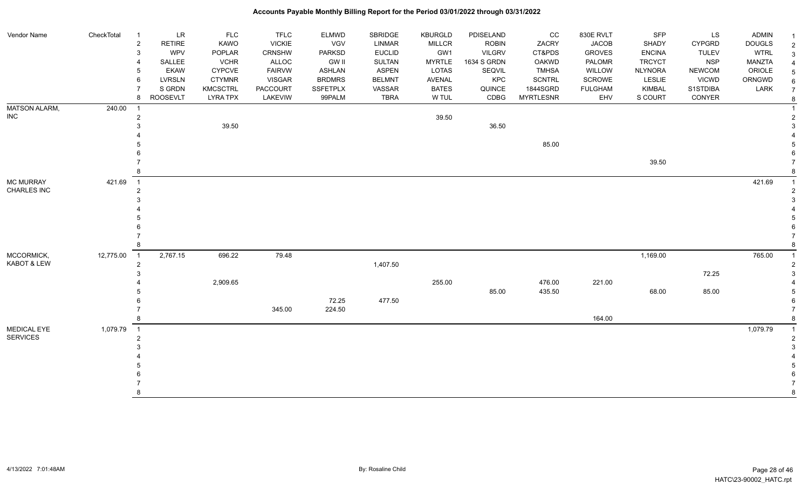| Vendor Name                           | CheckTotal | $\overline{1}$                             | LR              | <b>FLC</b>      | <b>TFLC</b>     | <b>ELMWD</b>    | SBRIDGE       | <b>KBURGLD</b> | PDISELAND     | cc               | 830E RVLT      | SFP            | LS            | <b>ADMIN</b>  |                            |
|---------------------------------------|------------|--------------------------------------------|-----------------|-----------------|-----------------|-----------------|---------------|----------------|---------------|------------------|----------------|----------------|---------------|---------------|----------------------------|
|                                       |            | $\overline{c}$                             | <b>RETIRE</b>   | <b>KAWO</b>     | <b>VICKIE</b>   | <b>VGV</b>      | <b>LINMAR</b> | <b>MILLCR</b>  | <b>ROBIN</b>  | ZACRY            | <b>JACOB</b>   | SHADY          | <b>CYPGRD</b> | <b>DOUGLS</b> | $\overline{1}$             |
|                                       |            | 3                                          | <b>WPV</b>      | POPLAR          | <b>CRNSHW</b>   | <b>PARKSD</b>   | <b>EUCLID</b> | GW1            | <b>VILGRV</b> | CT&PDS           | <b>GROVES</b>  | <b>ENCINA</b>  | <b>TULEV</b>  | <b>WTRL</b>   | $\sqrt{2}$<br>$\mathbf{3}$ |
|                                       |            | $\overline{4}$                             | SALLEE          | <b>VCHR</b>     | ALLOC           | <b>GW II</b>    | <b>SULTAN</b> | <b>MYRTLE</b>  | 1634 S GRDN   | <b>OAKWD</b>     | PALOMR         | <b>TRCYCT</b>  | <b>NSP</b>    | <b>MANZTA</b> | $\overline{4}$             |
|                                       |            | 5                                          | <b>EKAW</b>     | <b>CYPCVE</b>   | <b>FAIRVW</b>   | <b>ASHLAN</b>   | <b>ASPEN</b>  | LOTAS          | SEQVIL        | <b>TMHSA</b>     | WILLOW         | <b>NLYNORA</b> | <b>NEWCOM</b> | ORIOLE        | $\sqrt{5}$                 |
|                                       |            | 6                                          | <b>LVRSLN</b>   | <b>CTYMNR</b>   | <b>VISGAR</b>   | <b>BRDMRS</b>   | <b>BELMNT</b> | <b>AVENAL</b>  | KPC           | <b>SCNTRL</b>    | SCROWE         | LESLIE         | <b>VICWD</b>  | ORNGWD        | $\,6\,$                    |
|                                       |            |                                            | S GRDN          | <b>KMCSCTRL</b> | <b>PACCOURT</b> | <b>SSFETPLX</b> | VASSAR        | <b>BATES</b>   | QUINCE        | 1844SGRD         | <b>FULGHAM</b> | <b>KIMBAL</b>  | S1STDIBA      | LARK          | $\overline{7}$             |
|                                       |            | 8                                          | <b>ROOSEVLT</b> | <b>LYRA TPX</b> | LAKEVIW         | 99PALM          | <b>TBRA</b>   | W TUL          | CDBG          | <b>MYRTLESNR</b> | EHV            | S COURT        | CONYER        |               | $\bf 8$                    |
| <b>MATSON ALARM,</b>                  | 240.00     |                                            |                 |                 |                 |                 |               |                |               |                  |                |                |               |               | $\overline{1}$             |
| <b>INC</b>                            |            | $\overline{2}$                             |                 |                 |                 |                 |               | 39.50          |               |                  |                |                |               |               | $\overline{2}$             |
|                                       |            |                                            |                 | 39.50           |                 |                 |               |                | 36.50         |                  |                |                |               |               | 3                          |
|                                       |            |                                            |                 |                 |                 |                 |               |                |               |                  |                |                |               |               |                            |
|                                       |            |                                            |                 |                 |                 |                 |               |                |               | 85.00            |                |                |               |               | .5                         |
|                                       |            |                                            |                 |                 |                 |                 |               |                |               |                  |                |                |               |               |                            |
|                                       |            |                                            |                 |                 |                 |                 |               |                |               |                  |                | 39.50          |               |               |                            |
|                                       |            |                                            |                 |                 |                 |                 |               |                |               |                  |                |                |               |               |                            |
| <b>MC MURRAY</b>                      | 421.69     | $\overline{1}$                             |                 |                 |                 |                 |               |                |               |                  |                |                |               | 421.69        |                            |
| CHARLES INC                           |            | $\overline{2}$                             |                 |                 |                 |                 |               |                |               |                  |                |                |               |               | $\overline{2}$             |
|                                       |            |                                            |                 |                 |                 |                 |               |                |               |                  |                |                |               |               | $\mathcal{R}$              |
|                                       |            |                                            |                 |                 |                 |                 |               |                |               |                  |                |                |               |               |                            |
|                                       |            |                                            |                 |                 |                 |                 |               |                |               |                  |                |                |               |               |                            |
|                                       |            |                                            |                 |                 |                 |                 |               |                |               |                  |                |                |               |               |                            |
|                                       |            |                                            |                 |                 |                 |                 |               |                |               |                  |                |                |               |               |                            |
|                                       |            |                                            |                 |                 |                 |                 |               |                |               |                  |                |                |               |               | 8                          |
| MCCORMICK,                            | 12,775.00  | $\overline{1}$                             | 2,767.15        | 696.22          | 79.48           |                 |               |                |               |                  |                | 1,169.00       |               | 765.00        |                            |
| KABOT & LEW                           |            | $\overline{2}$                             |                 |                 |                 |                 | 1,407.50      |                |               |                  |                |                |               |               | $\overline{2}$             |
|                                       |            | 3                                          |                 |                 |                 |                 |               |                |               |                  |                |                | 72.25         |               | 3                          |
|                                       |            |                                            |                 | 2,909.65        |                 |                 |               | 255.00         |               | 476.00           | 221.00         |                |               |               |                            |
|                                       |            |                                            |                 |                 |                 | 72.25           |               |                | 85.00         | 435.50           |                | 68.00          | 85.00         |               | 5<br>6                     |
|                                       |            |                                            |                 |                 | 345.00          | 224.50          | 477.50        |                |               |                  |                |                |               |               | $\overline{7}$             |
|                                       |            |                                            |                 |                 |                 |                 |               |                |               |                  | 164.00         |                |               |               | 8                          |
|                                       |            |                                            |                 |                 |                 |                 |               |                |               |                  |                |                |               |               | $\overline{1}$             |
| <b>MEDICAL EYE</b><br><b>SERVICES</b> | 1,079.79   | $\overline{\phantom{0}}$ 1<br>$\mathbf{2}$ |                 |                 |                 |                 |               |                |               |                  |                |                |               | 1,079.79      | $\sqrt{2}$                 |
|                                       |            |                                            |                 |                 |                 |                 |               |                |               |                  |                |                |               |               | 3                          |
|                                       |            |                                            |                 |                 |                 |                 |               |                |               |                  |                |                |               |               |                            |
|                                       |            |                                            |                 |                 |                 |                 |               |                |               |                  |                |                |               |               |                            |
|                                       |            |                                            |                 |                 |                 |                 |               |                |               |                  |                |                |               |               |                            |
|                                       |            |                                            |                 |                 |                 |                 |               |                |               |                  |                |                |               |               |                            |
|                                       |            |                                            |                 |                 |                 |                 |               |                |               |                  |                |                |               |               | 8                          |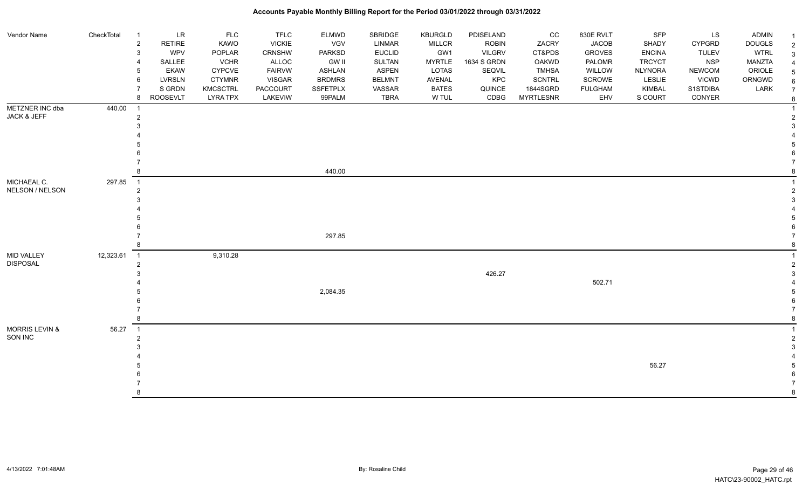#### Vendor Name CheckTotal 1 LR FLC FLC ELMWD SBRIDGE KBURGLD PDISELAND CC 830E RVLT SFP LS ADMIN <sub>1</sub> 2 RETIRE KAWO VICKIE VGV LINMAR MILLCR ROBIN ZACRY JACOB SHADY CYPGRD DOUGLS 2 3 WPV POPLAR CRNSHW PARKSD EUCLID GW1 VILGRV CT&PDS GROVES ENCINA TULEV WTRL 3 4 SALLEE VCHR ALLOC GW II SULTAN MYRTLE 1634 S GRDN OAKWD PALOMR TRCYCT NSP MANZTA 4 5 EKAW CYPCVE FAIRVW ASHLAN ASPEN LOTAS SEQVIL TMHSA WILLOW NLYNORA NEWCOM ORIOLE 5 6 LVRSLN CTYMNR VISGAR BRDMRS BELMNT AVENAL KPC SCNTRL SCROWE LESLIE VICWD ORNGWD  $_{6}$ 7 SIGRDN KMCSCTRL PACCOURT SSFETPLX VASSAR BATES QUINCE 1844SGRD FULGHAM KIMBAL S1STDIBA LARK 7 8 ROOSEVLT LYRA TPX LAKEVIW 99PALM TBRA W TUL CDBG MYRTLESNR EHV S COURT CONYER <sub>8</sub> METZNER INC dba JACK & JEFF 440.00 1 1 2 2  $3<sup>3</sup>$  4 4 5 5  $6$  7 7 8 440.00 8 MICHAEAL C. NELSON / NELSON 297.85 1 1 2 2  $3<sup>3</sup>$  4 4 5 5  $6$  7 297.85 7 8 8 MID VALLEY DISPOSAL 12,323.61 1 9,310.28 1 2 2  $426.27$  3 4 502.71 4 5 2,084.35 5  $6$  7 7 8 8 MORRIS LEVIN & SON INC 56.27 1 1 2 2  $3<sup>3</sup>$  4 4 5 56.27 5  $6$ 7 7

### **Accounts Payable Monthly Billing Report for the Period 03/01/2022 through 03/31/2022**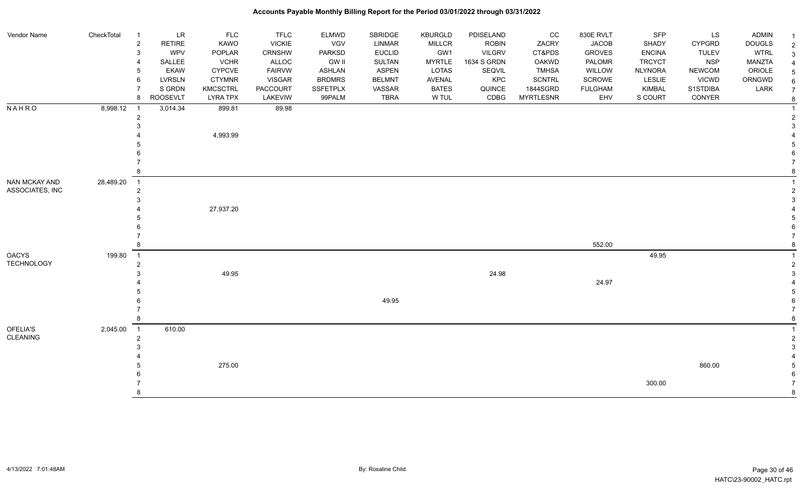| Vendor Name                       | CheckTotal | $\overline{1}$ | LR              | <b>FLC</b>      | <b>TFLC</b>   | <b>ELMWD</b>    | SBRIDGE       | <b>KBURGLD</b> | PDISELAND     | CC               | 830E RVLT      | <b>SFP</b>     | LS            | <b>ADMIN</b>  |                              |
|-----------------------------------|------------|----------------|-----------------|-----------------|---------------|-----------------|---------------|----------------|---------------|------------------|----------------|----------------|---------------|---------------|------------------------------|
|                                   |            | $\overline{c}$ | <b>RETIRE</b>   | <b>KAWO</b>     | <b>VICKIE</b> | <b>VGV</b>      | <b>LINMAR</b> | <b>MILLCR</b>  | <b>ROBIN</b>  | ZACRY            | <b>JACOB</b>   | <b>SHADY</b>   | <b>CYPGRD</b> | <b>DOUGLS</b> | $\overline{2}$               |
|                                   |            | 3              | <b>WPV</b>      | POPLAR          | CRNSHW        | <b>PARKSD</b>   | <b>EUCLID</b> | GW1            | <b>VILGRV</b> | CT&PDS           | <b>GROVES</b>  | <b>ENCINA</b>  | <b>TULEV</b>  | <b>WTRL</b>   | $\mathbf{3}$                 |
|                                   |            | 4              | SALLEE          | <b>VCHR</b>     | <b>ALLOC</b>  | <b>GW II</b>    | <b>SULTAN</b> | <b>MYRTLE</b>  | 1634 S GRDN   | <b>OAKWD</b>     | PALOMR         | <b>TRCYCT</b>  | <b>NSP</b>    | MANZTA        | $\overline{4}$               |
|                                   |            | 5              | <b>EKAW</b>     | <b>CYPCVE</b>   | <b>FAIRVW</b> | <b>ASHLAN</b>   | <b>ASPEN</b>  | <b>LOTAS</b>   | SEQVIL        | <b>TMHSA</b>     | WILLOW         | <b>NLYNORA</b> | <b>NEWCOM</b> | ORIOLE        | $\,$ 5 $\,$                  |
|                                   |            | 6              | <b>LVRSLN</b>   | <b>CTYMNR</b>   | <b>VISGAR</b> | <b>BRDMRS</b>   | <b>BELMNT</b> | <b>AVENAL</b>  | KPC           | <b>SCNTRL</b>    | SCROWE         | LESLIE         | <b>VICWD</b>  | ORNGWD        | 6                            |
|                                   |            | $\overline{7}$ | S GRDN          | <b>KMCSCTRL</b> | PACCOURT      | <b>SSFETPLX</b> | VASSAR        | <b>BATES</b>   | QUINCE        | 1844SGRD         | <b>FULGHAM</b> | KIMBAL         | S1STDIBA      | LARK          | $\overline{7}$               |
|                                   |            | 8              | <b>ROOSEVLT</b> | <b>LYRA TPX</b> | LAKEVIW       | 99PALM          | <b>TBRA</b>   | W TUL          | CDBG          | <b>MYRTLESNR</b> | EHV            | S COURT        | CONYER        |               | 8                            |
| <b>NAHRO</b>                      | 8,998.12   | $\overline{1}$ | 3,014.34        | 899.81          | 89.98         |                 |               |                |               |                  |                |                |               |               |                              |
|                                   |            | 2              |                 |                 |               |                 |               |                |               |                  |                |                |               |               | 2                            |
|                                   |            |                |                 |                 |               |                 |               |                |               |                  |                |                |               |               | 3                            |
|                                   |            |                |                 | 4,993.99        |               |                 |               |                |               |                  |                |                |               |               |                              |
|                                   |            |                |                 |                 |               |                 |               |                |               |                  |                |                |               |               | 5                            |
|                                   |            |                |                 |                 |               |                 |               |                |               |                  |                |                |               |               |                              |
|                                   |            |                |                 |                 |               |                 |               |                |               |                  |                |                |               |               |                              |
|                                   |            |                |                 |                 |               |                 |               |                |               |                  |                |                |               |               | 8                            |
| NAN MCKAY AND                     | 28,489.20  | $\overline{1}$ |                 |                 |               |                 |               |                |               |                  |                |                |               |               |                              |
| ASSOCIATES, INC                   |            | $\overline{2}$ |                 |                 |               |                 |               |                |               |                  |                |                |               |               | $\mathbf{2}$                 |
|                                   |            |                |                 |                 |               |                 |               |                |               |                  |                |                |               |               | 3                            |
|                                   |            |                |                 | 27,937.20       |               |                 |               |                |               |                  |                |                |               |               |                              |
|                                   |            |                |                 |                 |               |                 |               |                |               |                  |                |                |               |               |                              |
|                                   |            |                |                 |                 |               |                 |               |                |               |                  |                |                |               |               |                              |
|                                   |            |                |                 |                 |               |                 |               |                |               |                  | 552.00         |                |               |               | 8                            |
|                                   |            |                |                 |                 |               |                 |               |                |               |                  |                |                |               |               |                              |
| <b>OACYS</b><br><b>TECHNOLOGY</b> | 199.80     | $\overline{1}$ |                 |                 |               |                 |               |                |               |                  |                | 49.95          |               |               |                              |
|                                   |            | $\overline{2}$ |                 |                 |               |                 |               |                |               |                  |                |                |               |               | $\overline{\mathbf{c}}$<br>3 |
|                                   |            |                |                 | 49.95           |               |                 |               |                | 24.98         |                  | 24.97          |                |               |               |                              |
|                                   |            |                |                 |                 |               |                 |               |                |               |                  |                |                |               |               | 5                            |
|                                   |            |                |                 |                 |               |                 | 49.95         |                |               |                  |                |                |               |               | 6                            |
|                                   |            |                |                 |                 |               |                 |               |                |               |                  |                |                |               |               | $\overline{7}$               |
|                                   |            |                |                 |                 |               |                 |               |                |               |                  |                |                |               |               | 8                            |
| OFELIA'S                          | 2,045.00   | $\overline{1}$ | 610.00          |                 |               |                 |               |                |               |                  |                |                |               |               |                              |
| CLEANING                          |            | $\overline{2}$ |                 |                 |               |                 |               |                |               |                  |                |                |               |               | $\overline{c}$               |
|                                   |            |                |                 |                 |               |                 |               |                |               |                  |                |                |               |               | 3                            |
|                                   |            |                |                 |                 |               |                 |               |                |               |                  |                |                |               |               |                              |
|                                   |            |                |                 | 275.00          |               |                 |               |                |               |                  |                |                | 860.00        |               | 5                            |
|                                   |            |                |                 |                 |               |                 |               |                |               |                  |                |                |               |               | 6                            |
|                                   |            |                |                 |                 |               |                 |               |                |               |                  |                | 300.00         |               |               |                              |
|                                   |            |                |                 |                 |               |                 |               |                |               |                  |                |                |               |               | 8                            |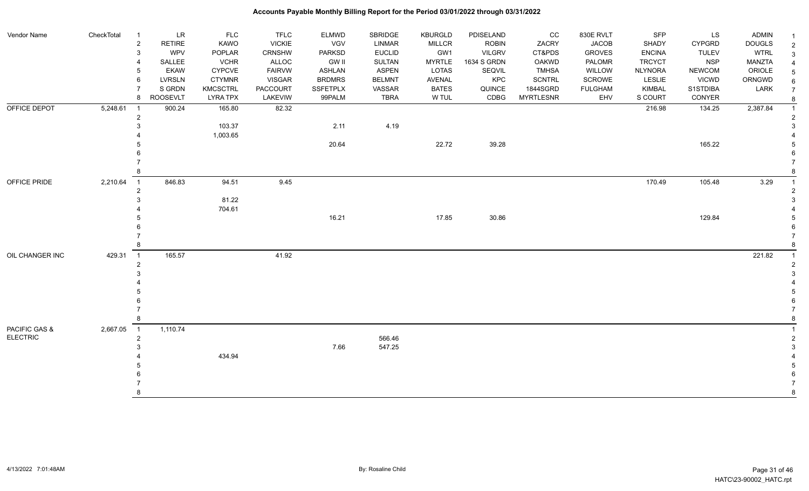| RETIRE<br>KAWO<br><b>VICKIE</b><br>VGV<br><b>LINMAR</b><br><b>MILLCR</b><br><b>ROBIN</b><br>ZACRY<br><b>JACOB</b><br>SHADY<br><b>DOUGLS</b><br>$\overline{2}$<br><b>CYPGRD</b><br><b>WTRL</b><br><b>WPV</b><br>POPLAR<br>CRNSHW<br><b>PARKSD</b><br><b>EUCLID</b><br>GW1<br><b>VILGRV</b><br>CT&PDS<br><b>GROVES</b><br><b>ENCINA</b><br><b>TULEV</b><br>3<br>SALLEE<br><b>VCHR</b><br>ALLOC<br><b>GW II</b><br><b>SULTAN</b><br><b>MYRTLE</b><br>1634 S GRDN<br>PALOMR<br><b>TRCYCT</b><br><b>NSP</b><br><b>MANZTA</b><br>OAKWD<br><b>ASPEN</b><br>ORIOLE<br><b>EKAW</b><br>CYPCVE<br><b>FAIRVW</b><br><b>ASHLAN</b><br>LOTAS<br>SEQVIL<br><b>TMHSA</b><br>WILLOW<br><b>NLYNORA</b><br><b>NEWCOM</b><br><b>LVRSLN</b><br><b>CTYMNR</b><br><b>BRDMRS</b><br><b>BELMNT</b><br>KPC<br>SCROWE<br><b>VICWD</b><br>ORNGWD<br><b>VISGAR</b><br>AVENAL<br><b>SCNTRL</b><br><b>LESLIE</b><br>6<br>S GRDN<br><b>SSFETPLX</b><br><b>BATES</b><br>1844SGRD<br>LARK<br>KMCSCTRL<br>PACCOURT<br>VASSAR<br>QUINCE<br><b>FULGHAM</b><br>KIMBAL<br>S1STDIBA<br><b>ROOSEVLT</b><br><b>TBRA</b><br>W TUL<br>CDBG<br><b>LYRA TPX</b><br>LAKEVIW<br>99PALM<br><b>MYRTLESNR</b><br>EHV<br>S COURT<br>CONYER<br>8<br>OFFICE DEPOT<br>5,248.61<br>82.32<br>134.25<br>2,387.84<br>900.24<br>165.80<br>216.98<br>$\overline{1}$<br>$\overline{2}$ | $\sqrt{2}$<br>$\mathbf{3}$<br>$\overline{4}$<br>$\sqrt{5}$<br>$\,6\,$<br>$\overline{7}$<br>8<br>$\overline{1}$<br>$\overline{2}$<br>3<br>5 |
|--------------------------------------------------------------------------------------------------------------------------------------------------------------------------------------------------------------------------------------------------------------------------------------------------------------------------------------------------------------------------------------------------------------------------------------------------------------------------------------------------------------------------------------------------------------------------------------------------------------------------------------------------------------------------------------------------------------------------------------------------------------------------------------------------------------------------------------------------------------------------------------------------------------------------------------------------------------------------------------------------------------------------------------------------------------------------------------------------------------------------------------------------------------------------------------------------------------------------------------------------------------------------------------------------------------------------|--------------------------------------------------------------------------------------------------------------------------------------------|
|                                                                                                                                                                                                                                                                                                                                                                                                                                                                                                                                                                                                                                                                                                                                                                                                                                                                                                                                                                                                                                                                                                                                                                                                                                                                                                                          |                                                                                                                                            |
|                                                                                                                                                                                                                                                                                                                                                                                                                                                                                                                                                                                                                                                                                                                                                                                                                                                                                                                                                                                                                                                                                                                                                                                                                                                                                                                          |                                                                                                                                            |
|                                                                                                                                                                                                                                                                                                                                                                                                                                                                                                                                                                                                                                                                                                                                                                                                                                                                                                                                                                                                                                                                                                                                                                                                                                                                                                                          |                                                                                                                                            |
|                                                                                                                                                                                                                                                                                                                                                                                                                                                                                                                                                                                                                                                                                                                                                                                                                                                                                                                                                                                                                                                                                                                                                                                                                                                                                                                          |                                                                                                                                            |
|                                                                                                                                                                                                                                                                                                                                                                                                                                                                                                                                                                                                                                                                                                                                                                                                                                                                                                                                                                                                                                                                                                                                                                                                                                                                                                                          |                                                                                                                                            |
|                                                                                                                                                                                                                                                                                                                                                                                                                                                                                                                                                                                                                                                                                                                                                                                                                                                                                                                                                                                                                                                                                                                                                                                                                                                                                                                          |                                                                                                                                            |
|                                                                                                                                                                                                                                                                                                                                                                                                                                                                                                                                                                                                                                                                                                                                                                                                                                                                                                                                                                                                                                                                                                                                                                                                                                                                                                                          |                                                                                                                                            |
|                                                                                                                                                                                                                                                                                                                                                                                                                                                                                                                                                                                                                                                                                                                                                                                                                                                                                                                                                                                                                                                                                                                                                                                                                                                                                                                          |                                                                                                                                            |
| 4.19<br>103.37<br>2.11                                                                                                                                                                                                                                                                                                                                                                                                                                                                                                                                                                                                                                                                                                                                                                                                                                                                                                                                                                                                                                                                                                                                                                                                                                                                                                   |                                                                                                                                            |
| 1,003.65<br>22.72<br>39.28<br>165.22<br>20.64                                                                                                                                                                                                                                                                                                                                                                                                                                                                                                                                                                                                                                                                                                                                                                                                                                                                                                                                                                                                                                                                                                                                                                                                                                                                            |                                                                                                                                            |
|                                                                                                                                                                                                                                                                                                                                                                                                                                                                                                                                                                                                                                                                                                                                                                                                                                                                                                                                                                                                                                                                                                                                                                                                                                                                                                                          |                                                                                                                                            |
|                                                                                                                                                                                                                                                                                                                                                                                                                                                                                                                                                                                                                                                                                                                                                                                                                                                                                                                                                                                                                                                                                                                                                                                                                                                                                                                          |                                                                                                                                            |
|                                                                                                                                                                                                                                                                                                                                                                                                                                                                                                                                                                                                                                                                                                                                                                                                                                                                                                                                                                                                                                                                                                                                                                                                                                                                                                                          | 8                                                                                                                                          |
| 170.49<br>846.83<br>94.51<br>9.45<br>105.48<br>3.29<br>OFFICE PRIDE<br>2,210.64<br>$\overline{1}$                                                                                                                                                                                                                                                                                                                                                                                                                                                                                                                                                                                                                                                                                                                                                                                                                                                                                                                                                                                                                                                                                                                                                                                                                        | $\overline{1}$                                                                                                                             |
|                                                                                                                                                                                                                                                                                                                                                                                                                                                                                                                                                                                                                                                                                                                                                                                                                                                                                                                                                                                                                                                                                                                                                                                                                                                                                                                          |                                                                                                                                            |
| 81.22                                                                                                                                                                                                                                                                                                                                                                                                                                                                                                                                                                                                                                                                                                                                                                                                                                                                                                                                                                                                                                                                                                                                                                                                                                                                                                                    | 3                                                                                                                                          |
| 704.61                                                                                                                                                                                                                                                                                                                                                                                                                                                                                                                                                                                                                                                                                                                                                                                                                                                                                                                                                                                                                                                                                                                                                                                                                                                                                                                   |                                                                                                                                            |
| 16.21<br>17.85<br>30.86<br>129.84                                                                                                                                                                                                                                                                                                                                                                                                                                                                                                                                                                                                                                                                                                                                                                                                                                                                                                                                                                                                                                                                                                                                                                                                                                                                                        | 5                                                                                                                                          |
|                                                                                                                                                                                                                                                                                                                                                                                                                                                                                                                                                                                                                                                                                                                                                                                                                                                                                                                                                                                                                                                                                                                                                                                                                                                                                                                          |                                                                                                                                            |
|                                                                                                                                                                                                                                                                                                                                                                                                                                                                                                                                                                                                                                                                                                                                                                                                                                                                                                                                                                                                                                                                                                                                                                                                                                                                                                                          | 8                                                                                                                                          |
| 41.92<br>165.57<br>221.82<br>OIL CHANGER INC<br>429.31<br>$\overline{1}$                                                                                                                                                                                                                                                                                                                                                                                                                                                                                                                                                                                                                                                                                                                                                                                                                                                                                                                                                                                                                                                                                                                                                                                                                                                 | $\overline{1}$                                                                                                                             |
| $\overline{2}$                                                                                                                                                                                                                                                                                                                                                                                                                                                                                                                                                                                                                                                                                                                                                                                                                                                                                                                                                                                                                                                                                                                                                                                                                                                                                                           | 2                                                                                                                                          |
|                                                                                                                                                                                                                                                                                                                                                                                                                                                                                                                                                                                                                                                                                                                                                                                                                                                                                                                                                                                                                                                                                                                                                                                                                                                                                                                          | 3                                                                                                                                          |
|                                                                                                                                                                                                                                                                                                                                                                                                                                                                                                                                                                                                                                                                                                                                                                                                                                                                                                                                                                                                                                                                                                                                                                                                                                                                                                                          |                                                                                                                                            |
|                                                                                                                                                                                                                                                                                                                                                                                                                                                                                                                                                                                                                                                                                                                                                                                                                                                                                                                                                                                                                                                                                                                                                                                                                                                                                                                          | 5                                                                                                                                          |
|                                                                                                                                                                                                                                                                                                                                                                                                                                                                                                                                                                                                                                                                                                                                                                                                                                                                                                                                                                                                                                                                                                                                                                                                                                                                                                                          | 6                                                                                                                                          |
|                                                                                                                                                                                                                                                                                                                                                                                                                                                                                                                                                                                                                                                                                                                                                                                                                                                                                                                                                                                                                                                                                                                                                                                                                                                                                                                          |                                                                                                                                            |
|                                                                                                                                                                                                                                                                                                                                                                                                                                                                                                                                                                                                                                                                                                                                                                                                                                                                                                                                                                                                                                                                                                                                                                                                                                                                                                                          | 8                                                                                                                                          |
| PACIFIC GAS &<br>1,110.74<br>2,667.05<br>$\overline{1}$                                                                                                                                                                                                                                                                                                                                                                                                                                                                                                                                                                                                                                                                                                                                                                                                                                                                                                                                                                                                                                                                                                                                                                                                                                                                  |                                                                                                                                            |
| <b>ELECTRIC</b><br>566.46<br>$\overline{2}$                                                                                                                                                                                                                                                                                                                                                                                                                                                                                                                                                                                                                                                                                                                                                                                                                                                                                                                                                                                                                                                                                                                                                                                                                                                                              | $\overline{2}$                                                                                                                             |
| 7.66<br>547.25                                                                                                                                                                                                                                                                                                                                                                                                                                                                                                                                                                                                                                                                                                                                                                                                                                                                                                                                                                                                                                                                                                                                                                                                                                                                                                           | 3                                                                                                                                          |
| 434.94                                                                                                                                                                                                                                                                                                                                                                                                                                                                                                                                                                                                                                                                                                                                                                                                                                                                                                                                                                                                                                                                                                                                                                                                                                                                                                                   |                                                                                                                                            |
|                                                                                                                                                                                                                                                                                                                                                                                                                                                                                                                                                                                                                                                                                                                                                                                                                                                                                                                                                                                                                                                                                                                                                                                                                                                                                                                          | 5<br>6                                                                                                                                     |
|                                                                                                                                                                                                                                                                                                                                                                                                                                                                                                                                                                                                                                                                                                                                                                                                                                                                                                                                                                                                                                                                                                                                                                                                                                                                                                                          |                                                                                                                                            |
|                                                                                                                                                                                                                                                                                                                                                                                                                                                                                                                                                                                                                                                                                                                                                                                                                                                                                                                                                                                                                                                                                                                                                                                                                                                                                                                          | 8                                                                                                                                          |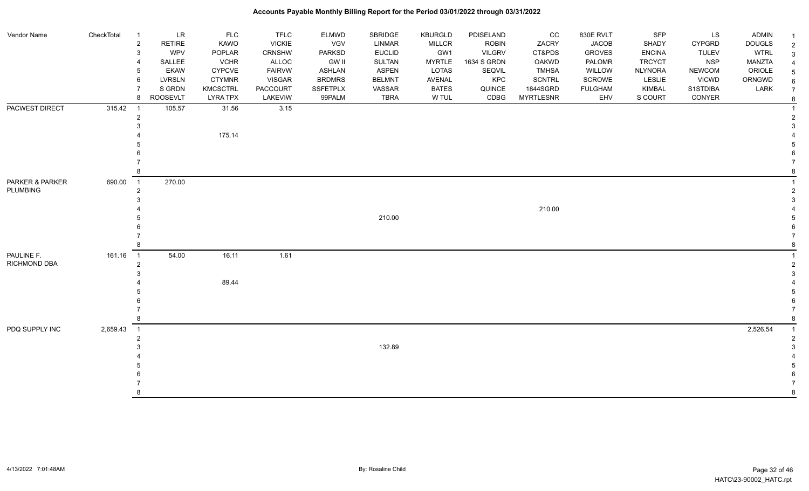| Vendor Name         | CheckTotal | $\overline{1}$ | $\ensuremath{\mathsf{LR}}\xspace$ | <b>FLC</b>      | <b>TFLC</b>     | <b>ELMWD</b>    | SBRIDGE       | <b>KBURGLD</b> | PDISELAND     | CC               | 830E RVLT      | SFP            | LS            | <b>ADMIN</b>  | $\overline{\mathbf{1}}$ |
|---------------------|------------|----------------|-----------------------------------|-----------------|-----------------|-----------------|---------------|----------------|---------------|------------------|----------------|----------------|---------------|---------------|-------------------------|
|                     |            | $\overline{2}$ | <b>RETIRE</b>                     | KAWO            | <b>VICKIE</b>   | VGV             | LINMAR        | <b>MILLCR</b>  | <b>ROBIN</b>  | ZACRY            | <b>JACOB</b>   | SHADY          | <b>CYPGRD</b> | <b>DOUGLS</b> | $\sqrt{2}$              |
|                     |            | 3              | <b>WPV</b>                        | POPLAR          | <b>CRNSHW</b>   | <b>PARKSD</b>   | <b>EUCLID</b> | GW1            | <b>VILGRV</b> | CT&PDS           | <b>GROVES</b>  | <b>ENCINA</b>  | <b>TULEV</b>  | <b>WTRL</b>   | $\mathbf{3}$            |
|                     |            | 4              | SALLEE                            | <b>VCHR</b>     | ALLOC           | <b>GW II</b>    | SULTAN        | <b>MYRTLE</b>  | 1634 S GRDN   | <b>OAKWD</b>     | PALOMR         | <b>TRCYCT</b>  | <b>NSP</b>    | <b>MANZTA</b> | $\overline{4}$          |
|                     |            | 5              | <b>EKAW</b>                       | <b>CYPCVE</b>   | <b>FAIRVW</b>   | <b>ASHLAN</b>   | <b>ASPEN</b>  | <b>LOTAS</b>   | SEQVIL        | <b>TMHSA</b>     | WILLOW         | <b>NLYNORA</b> | <b>NEWCOM</b> | ORIOLE        | $\sqrt{5}$              |
|                     |            | 6              | <b>LVRSLN</b>                     | <b>CTYMNR</b>   | <b>VISGAR</b>   | <b>BRDMRS</b>   | <b>BELMNT</b> | <b>AVENAL</b>  | KPC           | <b>SCNTRL</b>    | SCROWE         | LESLIE         | <b>VICWD</b>  | ORNGWD        | $\,6\,$                 |
|                     |            |                | S GRDN                            | <b>KMCSCTRL</b> | <b>PACCOURT</b> | <b>SSFETPLX</b> | VASSAR        | <b>BATES</b>   | QUINCE        | 1844SGRD         | <b>FULGHAM</b> | <b>KIMBAL</b>  | S1STDIBA      | LARK          | $\overline{7}$          |
|                     |            | 8              | ROOSEVLT                          | <b>LYRA TPX</b> | LAKEVIW         | 99PALM          | <b>TBRA</b>   | W TUL          | CDBG          | <b>MYRTLESNR</b> | EHV            | S COURT        | CONYER        |               | $\bf 8$                 |
| PACWEST DIRECT      | 315.42     |                | 105.57                            | 31.56           | 3.15            |                 |               |                |               |                  |                |                |               |               | $\overline{1}$          |
|                     |            | $\overline{2}$ |                                   |                 |                 |                 |               |                |               |                  |                |                |               |               | $\sqrt{2}$              |
|                     |            |                |                                   |                 |                 |                 |               |                |               |                  |                |                |               |               | 3                       |
|                     |            |                |                                   | 175.14          |                 |                 |               |                |               |                  |                |                |               |               |                         |
|                     |            |                |                                   |                 |                 |                 |               |                |               |                  |                |                |               |               | 5                       |
|                     |            |                |                                   |                 |                 |                 |               |                |               |                  |                |                |               |               | 6                       |
|                     |            |                |                                   |                 |                 |                 |               |                |               |                  |                |                |               |               |                         |
|                     |            |                |                                   |                 |                 |                 |               |                |               |                  |                |                |               |               | 8                       |
| PARKER & PARKER     | 690.00     | $\overline{1}$ | 270.00                            |                 |                 |                 |               |                |               |                  |                |                |               |               |                         |
| <b>PLUMBING</b>     |            | $\overline{2}$ |                                   |                 |                 |                 |               |                |               |                  |                |                |               |               | $\overline{2}$          |
|                     |            |                |                                   |                 |                 |                 |               |                |               |                  |                |                |               |               | 3                       |
|                     |            |                |                                   |                 |                 |                 |               |                |               | 210.00           |                |                |               |               |                         |
|                     |            |                |                                   |                 |                 |                 | 210.00        |                |               |                  |                |                |               |               | 5                       |
|                     |            |                |                                   |                 |                 |                 |               |                |               |                  |                |                |               |               | 6                       |
|                     |            |                |                                   |                 |                 |                 |               |                |               |                  |                |                |               |               | $\overline{7}$          |
|                     |            |                |                                   |                 |                 |                 |               |                |               |                  |                |                |               |               | $\bf8$                  |
| PAULINE F.          | 161.16     | $\overline{1}$ | 54.00                             | 16.11           | 1.61            |                 |               |                |               |                  |                |                |               |               | $\mathbf 1$             |
| <b>RICHMOND DBA</b> |            | $\overline{2}$ |                                   |                 |                 |                 |               |                |               |                  |                |                |               |               | $\sqrt{2}$              |
|                     |            |                |                                   |                 |                 |                 |               |                |               |                  |                |                |               |               | 3                       |
|                     |            |                |                                   | 89.44           |                 |                 |               |                |               |                  |                |                |               |               |                         |
|                     |            |                |                                   |                 |                 |                 |               |                |               |                  |                |                |               |               | 5                       |
|                     |            |                |                                   |                 |                 |                 |               |                |               |                  |                |                |               |               | 6                       |
|                     |            |                |                                   |                 |                 |                 |               |                |               |                  |                |                |               |               | $\overline{7}$<br>8     |
|                     |            |                |                                   |                 |                 |                 |               |                |               |                  |                |                |               |               |                         |
| PDQ SUPPLY INC      | 2,659.43   | $\overline{1}$ |                                   |                 |                 |                 |               |                |               |                  |                |                |               | 2,526.54      | $\overline{1}$          |
|                     |            | 2              |                                   |                 |                 |                 |               |                |               |                  |                |                |               |               | $\overline{2}$          |
|                     |            |                |                                   |                 |                 |                 | 132.89        |                |               |                  |                |                |               |               | 3                       |
|                     |            |                |                                   |                 |                 |                 |               |                |               |                  |                |                |               |               |                         |
|                     |            |                |                                   |                 |                 |                 |               |                |               |                  |                |                |               |               | 5                       |
|                     |            |                |                                   |                 |                 |                 |               |                |               |                  |                |                |               |               | 6                       |
|                     |            | 8              |                                   |                 |                 |                 |               |                |               |                  |                |                |               |               |                         |
|                     |            |                |                                   |                 |                 |                 |               |                |               |                  |                |                |               |               | 8                       |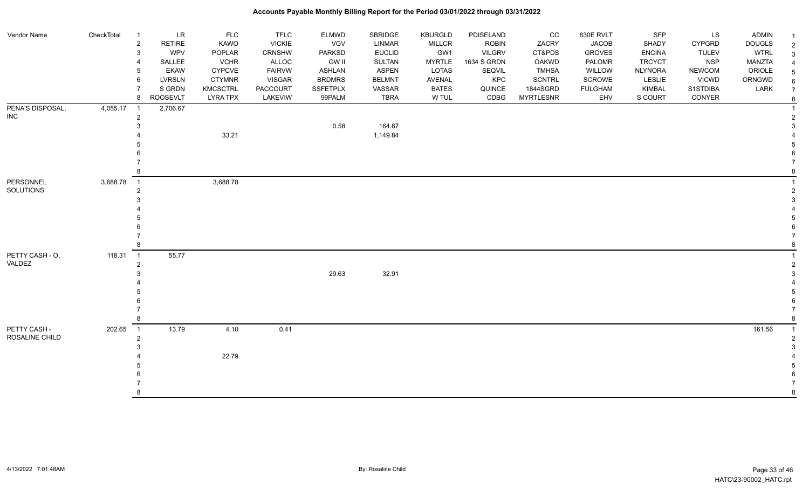| Vendor Name             | CheckTotal | $\overline{1}$          | LR              | <b>FLC</b>      | <b>TFLC</b>   | <b>ELMWD</b>    | SBRIDGE            | <b>KBURGLD</b> | PDISELAND     | cc               | 830E RVLT      | SFP            | <b>LS</b>     | ADMIN         |                    |
|-------------------------|------------|-------------------------|-----------------|-----------------|---------------|-----------------|--------------------|----------------|---------------|------------------|----------------|----------------|---------------|---------------|--------------------|
|                         |            | $\overline{\mathbf{c}}$ | <b>RETIRE</b>   | KAWO            | <b>VICKIE</b> | VGV             | LINMAR             | <b>MILLCR</b>  | <b>ROBIN</b>  | ZACRY            | <b>JACOB</b>   | SHADY          | <b>CYPGRD</b> | <b>DOUGLS</b> | $\overline{2}$     |
|                         |            | 3                       | <b>WPV</b>      | POPLAR          | CRNSHW        | <b>PARKSD</b>   | <b>EUCLID</b>      | GW1            | <b>VILGRV</b> | CT&PDS           | <b>GROVES</b>  | <b>ENCINA</b>  | <b>TULEV</b>  | <b>WTRL</b>   | $\mathbf{3}$       |
|                         |            |                         | SALLEE          | <b>VCHR</b>     | <b>ALLOC</b>  | <b>GW II</b>    | <b>SULTAN</b>      | <b>MYRTLE</b>  | 1634 S GRDN   | <b>OAKWD</b>     | PALOMR         | <b>TRCYCT</b>  | <b>NSP</b>    | <b>MANZTA</b> |                    |
|                         |            | 5                       | <b>EKAW</b>     | <b>CYPCVE</b>   | <b>FAIRVW</b> | <b>ASHLAN</b>   | <b>ASPEN</b>       | LOTAS          | SEQVIL        | <b>TMHSA</b>     | WILLOW         | <b>NLYNORA</b> | <b>NEWCOM</b> | ORIOLE        | -5                 |
|                         |            | 6                       | <b>LVRSLN</b>   | <b>CTYMNR</b>   | <b>VISGAR</b> | <b>BRDMRS</b>   | <b>BELMNT</b>      | <b>AVENAL</b>  | KPC           | <b>SCNTRL</b>    | <b>SCROWE</b>  | <b>LESLIE</b>  | <b>VICWD</b>  | ORNGWD        |                    |
|                         |            | $\overline{7}$          | S GRDN          | <b>KMCSCTRL</b> | PACCOURT      | <b>SSFETPLX</b> | VASSAR             | <b>BATES</b>   | QUINCE        | 1844SGRD         | <b>FULGHAM</b> | <b>KIMBAL</b>  | S1STDIBA      | LARK          | $\overline{7}$     |
|                         |            | 8                       | <b>ROOSEVLT</b> | <b>LYRA TPX</b> | LAKEVIW       | 99PALM          | <b>TBRA</b>        | W TUL          | CDBG          | <b>MYRTLESNR</b> | EHV            | S COURT        | CONYER        |               | 8                  |
| PENA'S DISPOSAL,<br>INC | 4,055.17   | $\overline{1}$          | 2,706.67        |                 |               |                 |                    |                |               |                  |                |                |               |               |                    |
|                         |            | $\overline{2}$<br>3     |                 |                 |               |                 |                    |                |               |                  |                |                |               |               | $\mathcal{P}$<br>3 |
|                         |            |                         |                 | 33.21           |               | 0.58            | 164.87<br>1,149.84 |                |               |                  |                |                |               |               |                    |
|                         |            |                         |                 |                 |               |                 |                    |                |               |                  |                |                |               |               |                    |
|                         |            |                         |                 |                 |               |                 |                    |                |               |                  |                |                |               |               |                    |
|                         |            |                         |                 |                 |               |                 |                    |                |               |                  |                |                |               |               |                    |
|                         |            |                         |                 |                 |               |                 |                    |                |               |                  |                |                |               |               |                    |
| PERSONNEL               | 3,688.78   | $\overline{1}$          |                 | 3,688.78        |               |                 |                    |                |               |                  |                |                |               |               |                    |
| SOLUTIONS               |            | $\overline{2}$          |                 |                 |               |                 |                    |                |               |                  |                |                |               |               |                    |
|                         |            |                         |                 |                 |               |                 |                    |                |               |                  |                |                |               |               |                    |
|                         |            |                         |                 |                 |               |                 |                    |                |               |                  |                |                |               |               |                    |
|                         |            |                         |                 |                 |               |                 |                    |                |               |                  |                |                |               |               |                    |
|                         |            |                         |                 |                 |               |                 |                    |                |               |                  |                |                |               |               |                    |
|                         |            |                         |                 |                 |               |                 |                    |                |               |                  |                |                |               |               |                    |
|                         |            |                         |                 |                 |               |                 |                    |                |               |                  |                |                |               |               |                    |
| PETTY CASH - O.         | 118.31     | $\overline{1}$          | 55.77           |                 |               |                 |                    |                |               |                  |                |                |               |               |                    |
| VALDEZ                  |            | $\overline{2}$          |                 |                 |               |                 |                    |                |               |                  |                |                |               |               |                    |
|                         |            |                         |                 |                 |               | 29.63           | 32.91              |                |               |                  |                |                |               |               |                    |
|                         |            |                         |                 |                 |               |                 |                    |                |               |                  |                |                |               |               |                    |
|                         |            |                         |                 |                 |               |                 |                    |                |               |                  |                |                |               |               |                    |
|                         |            |                         |                 |                 |               |                 |                    |                |               |                  |                |                |               |               |                    |
|                         |            |                         |                 |                 |               |                 |                    |                |               |                  |                |                |               |               |                    |
|                         |            |                         |                 |                 |               |                 |                    |                |               |                  |                |                |               |               | 8                  |
| PETTY CASH -            | 202.65     | $\overline{1}$          | 13.79           | 4.10            | 0.41          |                 |                    |                |               |                  |                |                |               | 161.56        | $\overline{1}$     |
| ROSALINE CHILD          |            | $\overline{2}$          |                 |                 |               |                 |                    |                |               |                  |                |                |               |               | -2                 |
|                         |            |                         |                 |                 |               |                 |                    |                |               |                  |                |                |               |               |                    |
|                         |            |                         |                 | 22.79           |               |                 |                    |                |               |                  |                |                |               |               |                    |
|                         |            |                         |                 |                 |               |                 |                    |                |               |                  |                |                |               |               |                    |
|                         |            |                         |                 |                 |               |                 |                    |                |               |                  |                |                |               |               |                    |
|                         |            |                         |                 |                 |               |                 |                    |                |               |                  |                |                |               |               |                    |
|                         |            |                         |                 |                 |               |                 |                    |                |               |                  |                |                |               |               | 8                  |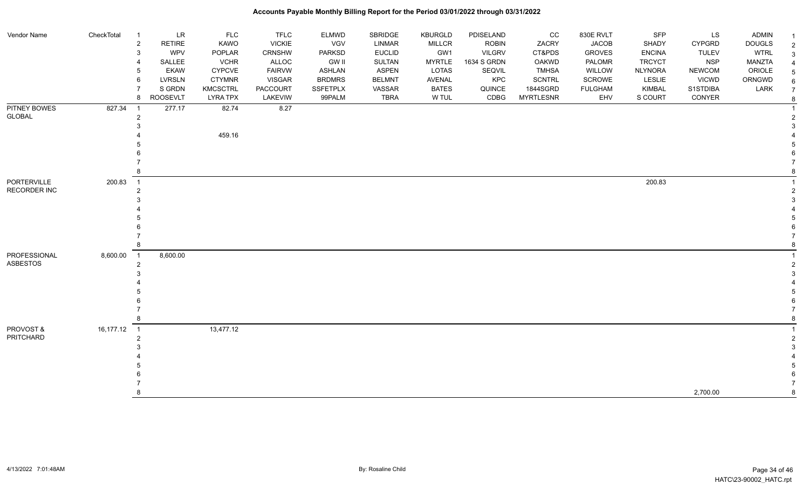| Vendor Name         | CheckTotal | $\overline{1}$ | LR              | <b>FLC</b>      | <b>TFLC</b>     | <b>ELMWD</b>    | SBRIDGE       | <b>KBURGLD</b> | PDISELAND     | CC               | 830E RVLT      | SFP            | LS            | <b>ADMIN</b>  |                     |
|---------------------|------------|----------------|-----------------|-----------------|-----------------|-----------------|---------------|----------------|---------------|------------------|----------------|----------------|---------------|---------------|---------------------|
|                     |            | $\overline{2}$ | <b>RETIRE</b>   | <b>KAWO</b>     | <b>VICKIE</b>   | <b>VGV</b>      | <b>LINMAR</b> | <b>MILLCR</b>  | <b>ROBIN</b>  | ZACRY            | <b>JACOB</b>   | <b>SHADY</b>   | <b>CYPGRD</b> | <b>DOUGLS</b> | $\overline{1}$      |
|                     |            | 3              | <b>WPV</b>      | POPLAR          | <b>CRNSHW</b>   | <b>PARKSD</b>   | <b>EUCLID</b> | GW1            | <b>VILGRV</b> | CT&PDS           | <b>GROVES</b>  | <b>ENCINA</b>  | <b>TULEV</b>  | <b>WTRL</b>   | $\overline{2}$<br>3 |
|                     |            | 4              | SALLEE          | <b>VCHR</b>     | ALLOC           | <b>GW II</b>    | <b>SULTAN</b> | <b>MYRTLE</b>  | 1634 S GRDN   | OAKWD            | <b>PALOMR</b>  | <b>TRCYCT</b>  | <b>NSP</b>    | <b>MANZTA</b> |                     |
|                     |            | 5              | <b>EKAW</b>     | <b>CYPCVE</b>   | <b>FAIRVW</b>   | <b>ASHLAN</b>   | <b>ASPEN</b>  | LOTAS          | SEQVIL        | <b>TMHSA</b>     | WILLOW         | <b>NLYNORA</b> | <b>NEWCOM</b> | ORIOLE        | 5                   |
|                     |            | 6              | LVRSLN          | <b>CTYMNR</b>   | <b>VISGAR</b>   | <b>BRDMRS</b>   | <b>BELMNT</b> | <b>AVENAL</b>  | KPC           | <b>SCNTRL</b>    | SCROWE         | LESLIE         | <b>VICWD</b>  | ORNGWD        | 6                   |
|                     |            |                | S GRDN          | <b>KMCSCTRL</b> | <b>PACCOURT</b> | <b>SSFETPLX</b> | VASSAR        | <b>BATES</b>   | QUINCE        | 1844SGRD         | <b>FULGHAM</b> | <b>KIMBAL</b>  | S1STDIBA      | LARK          | $\overline{7}$      |
|                     |            | 8              | <b>ROOSEVLT</b> | <b>LYRA TPX</b> | LAKEVIW         | 99PALM          | TBRA          | W TUL          | CDBG          | <b>MYRTLESNR</b> | EHV            | S COURT        | CONYER        |               | 8                   |
| PITNEY BOWES        | 827.34     | $\overline{1}$ | 277.17          | 82.74           | 8.27            |                 |               |                |               |                  |                |                |               |               |                     |
| GLOBAL              |            | $\overline{2}$ |                 |                 |                 |                 |               |                |               |                  |                |                |               |               | $\overline{2}$      |
|                     |            |                |                 |                 |                 |                 |               |                |               |                  |                |                |               |               |                     |
|                     |            |                |                 | 459.16          |                 |                 |               |                |               |                  |                |                |               |               |                     |
|                     |            |                |                 |                 |                 |                 |               |                |               |                  |                |                |               |               |                     |
|                     |            |                |                 |                 |                 |                 |               |                |               |                  |                |                |               |               |                     |
|                     |            |                |                 |                 |                 |                 |               |                |               |                  |                |                |               |               |                     |
|                     |            |                |                 |                 |                 |                 |               |                |               |                  |                |                |               |               |                     |
| PORTERVILLE         | 200.83     | $\overline{1}$ |                 |                 |                 |                 |               |                |               |                  |                | 200.83         |               |               |                     |
| <b>RECORDER INC</b> |            | $\overline{2}$ |                 |                 |                 |                 |               |                |               |                  |                |                |               |               | 2                   |
|                     |            |                |                 |                 |                 |                 |               |                |               |                  |                |                |               |               |                     |
|                     |            |                |                 |                 |                 |                 |               |                |               |                  |                |                |               |               |                     |
|                     |            |                |                 |                 |                 |                 |               |                |               |                  |                |                |               |               |                     |
|                     |            |                |                 |                 |                 |                 |               |                |               |                  |                |                |               |               |                     |
|                     |            |                |                 |                 |                 |                 |               |                |               |                  |                |                |               |               |                     |
|                     |            |                |                 |                 |                 |                 |               |                |               |                  |                |                |               |               | 8                   |
| PROFESSIONAL        | 8,600.00   | $\overline{1}$ | 8,600.00        |                 |                 |                 |               |                |               |                  |                |                |               |               |                     |
| <b>ASBESTOS</b>     |            | $\overline{2}$ |                 |                 |                 |                 |               |                |               |                  |                |                |               |               | 2                   |
|                     |            |                |                 |                 |                 |                 |               |                |               |                  |                |                |               |               |                     |
|                     |            |                |                 |                 |                 |                 |               |                |               |                  |                |                |               |               |                     |
|                     |            |                |                 |                 |                 |                 |               |                |               |                  |                |                |               |               |                     |
|                     |            |                |                 |                 |                 |                 |               |                |               |                  |                |                |               |               |                     |
|                     |            |                |                 |                 |                 |                 |               |                |               |                  |                |                |               |               |                     |
|                     |            | 8              |                 |                 |                 |                 |               |                |               |                  |                |                |               |               | 8                   |
| PROVOST &           | 16,177.12  | $\overline{1}$ |                 | 13,477.12       |                 |                 |               |                |               |                  |                |                |               |               |                     |
| PRITCHARD           |            | $\overline{2}$ |                 |                 |                 |                 |               |                |               |                  |                |                |               |               | $\mathcal{P}$       |
|                     |            |                |                 |                 |                 |                 |               |                |               |                  |                |                |               |               | 3                   |
|                     |            |                |                 |                 |                 |                 |               |                |               |                  |                |                |               |               |                     |
|                     |            |                |                 |                 |                 |                 |               |                |               |                  |                |                |               |               |                     |
|                     |            |                |                 |                 |                 |                 |               |                |               |                  |                |                |               |               |                     |
|                     |            |                |                 |                 |                 |                 |               |                |               |                  |                |                |               |               |                     |
|                     |            |                |                 |                 |                 |                 |               |                |               |                  |                |                | 2,700.00      |               | 8                   |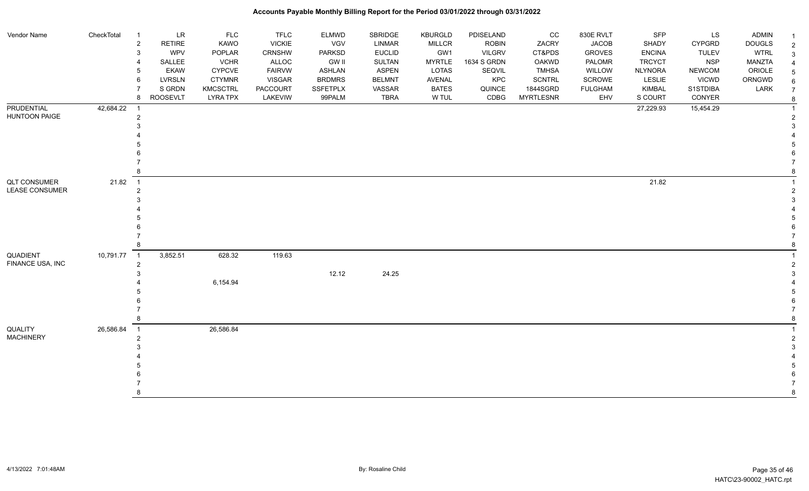| Vendor Name           | CheckTotal  | $\overline{1}$             | <b>LR</b>     | <b>FLC</b>      | <b>TFLC</b>   | <b>ELMWD</b>    | SBRIDGE       | KBURGLD       | PDISELAND     | cc               | 830E RVLT      | <b>SFP</b>     | LS            | <b>ADMIN</b>  |  |
|-----------------------|-------------|----------------------------|---------------|-----------------|---------------|-----------------|---------------|---------------|---------------|------------------|----------------|----------------|---------------|---------------|--|
|                       |             | $\overline{\mathbf{c}}$    | <b>RETIRE</b> | KAWO            | <b>VICKIE</b> | VGV             | LINMAR        | <b>MILLCR</b> | <b>ROBIN</b>  | ZACRY            | <b>JACOB</b>   | SHADY          | <b>CYPGRD</b> | <b>DOUGLS</b> |  |
|                       |             | 3                          | <b>WPV</b>    | POPLAR          | <b>CRNSHW</b> | PARKSD          | <b>EUCLID</b> | GW1           | <b>VILGRV</b> | CT&PDS           | <b>GROVES</b>  | <b>ENCINA</b>  | <b>TULEV</b>  | <b>WTRL</b>   |  |
|                       |             |                            | SALLEE        | <b>VCHR</b>     | ALLOC         | <b>GW II</b>    | <b>SULTAN</b> | <b>MYRTLE</b> | 1634 S GRDN   | OAKWD            | PALOMR         | <b>TRCYCT</b>  | <b>NSP</b>    | MANZTA        |  |
|                       |             | 5                          | <b>EKAW</b>   | <b>CYPCVE</b>   | <b>FAIRVW</b> | <b>ASHLAN</b>   | <b>ASPEN</b>  | LOTAS         | SEQVIL        | <b>TMHSA</b>     | WILLOW         | <b>NLYNORA</b> | <b>NEWCOM</b> | ORIOLE        |  |
|                       |             | 6                          | <b>LVRSLN</b> | <b>CTYMNR</b>   | <b>VISGAR</b> | <b>BRDMRS</b>   | <b>BELMNT</b> | AVENAL        | <b>KPC</b>    | <b>SCNTRL</b>    | SCROWE         | LESLIE         | <b>VICWD</b>  | ORNGWD        |  |
|                       |             |                            | S GRDN        | <b>KMCSCTRL</b> | PACCOURT      | <b>SSFETPLX</b> | VASSAR        | <b>BATES</b>  | QUINCE        | 1844SGRD         | <b>FULGHAM</b> | <b>KIMBAL</b>  | S1STDIBA      | LARK          |  |
|                       |             | 8                          | ROOSEVLT      | <b>LYRA TPX</b> | LAKEVIW       | 99PALM          | TBRA          | W TUL         | CDBG          | <b>MYRTLESNR</b> | EHV            | S COURT        | CONYER        |               |  |
| <b>PRUDENTIAL</b>     | 42,684.22   | - 1                        |               |                 |               |                 |               |               |               |                  |                | 27,229.93      | 15,454.29     |               |  |
| <b>HUNTOON PAIGE</b>  |             | $\overline{a}$             |               |                 |               |                 |               |               |               |                  |                |                |               |               |  |
|                       |             |                            |               |                 |               |                 |               |               |               |                  |                |                |               |               |  |
|                       |             |                            |               |                 |               |                 |               |               |               |                  |                |                |               |               |  |
|                       |             |                            |               |                 |               |                 |               |               |               |                  |                |                |               |               |  |
|                       |             |                            |               |                 |               |                 |               |               |               |                  |                |                |               |               |  |
|                       |             |                            |               |                 |               |                 |               |               |               |                  |                |                |               |               |  |
|                       |             |                            |               |                 |               |                 |               |               |               |                  |                |                |               |               |  |
| <b>QLT CONSUMER</b>   | 21.82       | $\overline{1}$             |               |                 |               |                 |               |               |               |                  |                | 21.82          |               |               |  |
| <b>LEASE CONSUMER</b> |             | 2                          |               |                 |               |                 |               |               |               |                  |                |                |               |               |  |
|                       |             |                            |               |                 |               |                 |               |               |               |                  |                |                |               |               |  |
|                       |             |                            |               |                 |               |                 |               |               |               |                  |                |                |               |               |  |
|                       |             |                            |               |                 |               |                 |               |               |               |                  |                |                |               |               |  |
|                       |             |                            |               |                 |               |                 |               |               |               |                  |                |                |               |               |  |
|                       |             |                            |               |                 |               |                 |               |               |               |                  |                |                |               |               |  |
|                       |             |                            |               |                 |               |                 |               |               |               |                  |                |                |               |               |  |
| QUADIENT              | 10,791.77 1 |                            | 3,852.51      | 628.32          | 119.63        |                 |               |               |               |                  |                |                |               |               |  |
| FINANCE USA, INC      |             | $\overline{2}$             |               |                 |               |                 |               |               |               |                  |                |                |               |               |  |
|                       |             |                            |               |                 |               | 12.12           | 24.25         |               |               |                  |                |                |               |               |  |
|                       |             |                            |               | 6,154.94        |               |                 |               |               |               |                  |                |                |               |               |  |
|                       |             |                            |               |                 |               |                 |               |               |               |                  |                |                |               |               |  |
|                       |             |                            |               |                 |               |                 |               |               |               |                  |                |                |               |               |  |
|                       |             |                            |               |                 |               |                 |               |               |               |                  |                |                |               |               |  |
|                       |             | 8                          |               |                 |               |                 |               |               |               |                  |                |                |               |               |  |
| <b>QUALITY</b>        | 26,586.84   | $\overline{\phantom{0}}$ 1 |               | 26,586.84       |               |                 |               |               |               |                  |                |                |               |               |  |
| <b>MACHINERY</b>      |             | $\overline{2}$             |               |                 |               |                 |               |               |               |                  |                |                |               |               |  |
|                       |             |                            |               |                 |               |                 |               |               |               |                  |                |                |               |               |  |
|                       |             |                            |               |                 |               |                 |               |               |               |                  |                |                |               |               |  |
|                       |             |                            |               |                 |               |                 |               |               |               |                  |                |                |               |               |  |
|                       |             |                            |               |                 |               |                 |               |               |               |                  |                |                |               |               |  |
|                       |             |                            |               |                 |               |                 |               |               |               |                  |                |                |               |               |  |
|                       |             |                            |               |                 |               |                 |               |               |               |                  |                |                |               |               |  |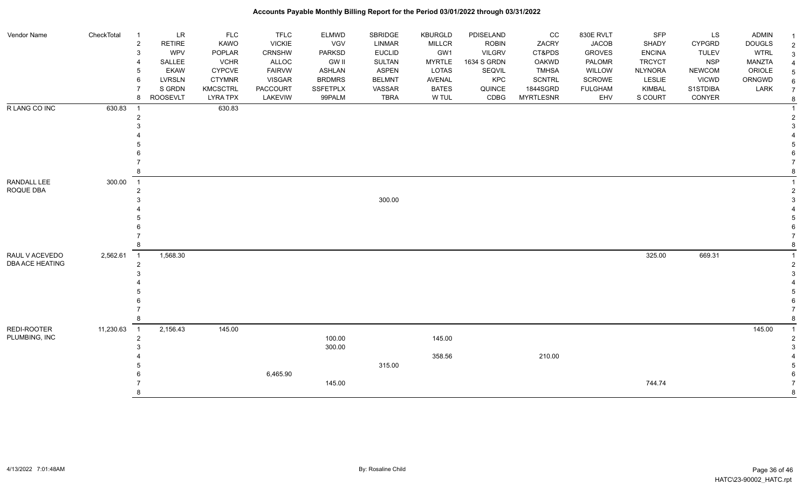| Vendor Name            | CheckTotal | $\overline{1}$ | LR                        | <b>FLC</b>                         | <b>TFLC</b>         | <b>ELMWD</b>              | SBRIDGE               | <b>KBURGLD</b>        | PDISELAND      | CC                           | 830E RVLT             | SFP                      | LS                 | <b>ADMIN</b>  | -1                    |
|------------------------|------------|----------------|---------------------------|------------------------------------|---------------------|---------------------------|-----------------------|-----------------------|----------------|------------------------------|-----------------------|--------------------------|--------------------|---------------|-----------------------|
|                        |            | $\overline{c}$ | <b>RETIRE</b>             | KAWO                               | <b>VICKIE</b>       | <b>VGV</b>                | <b>LINMAR</b>         | <b>MILLCR</b>         | <b>ROBIN</b>   | ZACRY                        | <b>JACOB</b>          | SHADY                    | <b>CYPGRD</b>      | <b>DOUGLS</b> | $\overline{2}$        |
|                        |            | 3              | <b>WPV</b>                | POPLAR                             | <b>CRNSHW</b>       | <b>PARKSD</b>             | <b>EUCLID</b>         | GW1                   | <b>VILGRV</b>  | CT&PDS                       | <b>GROVES</b>         | <b>ENCINA</b>            | <b>TULEV</b>       | <b>WTRL</b>   | $\mathbf{3}$          |
|                        |            |                | SALLEE                    | <b>VCHR</b>                        | ALLOC               | <b>GW II</b>              | <b>SULTAN</b>         | <b>MYRTLE</b>         | 1634 S GRDN    | <b>OAKWD</b>                 | PALOMR                | <b>TRCYCT</b>            | <b>NSP</b>         | <b>MANZTA</b> | $\overline{4}$        |
|                        |            | 5              | <b>EKAW</b>               | <b>CYPCVE</b>                      | <b>FAIRVW</b>       | <b>ASHLAN</b>             | <b>ASPEN</b>          | <b>LOTAS</b>          | SEQVIL         | <b>TMHSA</b>                 | WILLOW                | <b>NLYNORA</b>           | <b>NEWCOM</b>      | ORIOLE        | $\sqrt{5}$            |
|                        |            | 6              | LVRSLN                    | <b>CTYMNR</b>                      | <b>VISGAR</b>       | <b>BRDMRS</b>             | <b>BELMNT</b>         | <b>AVENAL</b>         | KPC            | <b>SCNTRL</b>                | SCROWE                | <b>LESLIE</b>            | <b>VICWD</b>       | ORNGWD        | $6\phantom{1}$        |
|                        |            | 8              | S GRDN<br><b>ROOSEVLT</b> | <b>KMCSCTRL</b><br><b>LYRA TPX</b> | PACCOURT<br>LAKEVIW | <b>SSFETPLX</b><br>99PALM | VASSAR<br><b>TBRA</b> | <b>BATES</b><br>W TUL | QUINCE<br>CDBG | 1844SGRD<br><b>MYRTLESNR</b> | <b>FULGHAM</b><br>EHV | <b>KIMBAL</b><br>S COURT | S1STDIBA<br>CONYER | LARK          | $\overline{7}$        |
| R LANG CO INC          | 630.83     | $\overline{1}$ |                           | 630.83                             |                     |                           |                       |                       |                |                              |                       |                          |                    |               | $\bf8$<br>$\mathbf 1$ |
|                        |            | $\overline{2}$ |                           |                                    |                     |                           |                       |                       |                |                              |                       |                          |                    |               | $\overline{2}$        |
|                        |            |                |                           |                                    |                     |                           |                       |                       |                |                              |                       |                          |                    |               | 3                     |
|                        |            |                |                           |                                    |                     |                           |                       |                       |                |                              |                       |                          |                    |               |                       |
|                        |            |                |                           |                                    |                     |                           |                       |                       |                |                              |                       |                          |                    |               | 5                     |
|                        |            |                |                           |                                    |                     |                           |                       |                       |                |                              |                       |                          |                    |               | 6                     |
|                        |            |                |                           |                                    |                     |                           |                       |                       |                |                              |                       |                          |                    |               |                       |
|                        |            |                |                           |                                    |                     |                           |                       |                       |                |                              |                       |                          |                    |               | 8                     |
| RANDALL LEE            | 300.00     | $\overline{1}$ |                           |                                    |                     |                           |                       |                       |                |                              |                       |                          |                    |               |                       |
| ROQUE DBA              |            | $\overline{2}$ |                           |                                    |                     |                           |                       |                       |                |                              |                       |                          |                    |               | 2                     |
|                        |            |                |                           |                                    |                     |                           | 300.00                |                       |                |                              |                       |                          |                    |               | 3                     |
|                        |            |                |                           |                                    |                     |                           |                       |                       |                |                              |                       |                          |                    |               |                       |
|                        |            |                |                           |                                    |                     |                           |                       |                       |                |                              |                       |                          |                    |               | 5                     |
|                        |            |                |                           |                                    |                     |                           |                       |                       |                |                              |                       |                          |                    |               | 6                     |
|                        |            |                |                           |                                    |                     |                           |                       |                       |                |                              |                       |                          |                    |               | $\overline{7}$        |
|                        |            |                |                           |                                    |                     |                           |                       |                       |                |                              |                       |                          |                    |               | 8                     |
| RAUL V ACEVEDO         | 2,562.61   | $\overline{1}$ | 1,568.30                  |                                    |                     |                           |                       |                       |                |                              |                       | 325.00                   | 669.31             |               | -1                    |
| <b>DBA ACE HEATING</b> |            | $\overline{2}$ |                           |                                    |                     |                           |                       |                       |                |                              |                       |                          |                    |               | $\sqrt{2}$            |
|                        |            |                |                           |                                    |                     |                           |                       |                       |                |                              |                       |                          |                    |               | 3                     |
|                        |            |                |                           |                                    |                     |                           |                       |                       |                |                              |                       |                          |                    |               |                       |
|                        |            |                |                           |                                    |                     |                           |                       |                       |                |                              |                       |                          |                    |               | 5                     |
|                        |            |                |                           |                                    |                     |                           |                       |                       |                |                              |                       |                          |                    |               | 6                     |
|                        |            |                |                           |                                    |                     |                           |                       |                       |                |                              |                       |                          |                    |               | $\overline{7}$<br>8   |
| REDI-ROOTER            | 11,230.63  | $\overline{1}$ | 2,156.43                  | 145.00                             |                     |                           |                       |                       |                |                              |                       |                          |                    | 145.00        | $\overline{1}$        |
| PLUMBING, INC          |            | $\overline{2}$ |                           |                                    |                     | 100.00                    |                       | 145.00                |                |                              |                       |                          |                    |               | $\overline{2}$        |
|                        |            |                |                           |                                    |                     | 300.00                    |                       |                       |                |                              |                       |                          |                    |               | 3                     |
|                        |            |                |                           |                                    |                     |                           |                       | 358.56                |                | 210.00                       |                       |                          |                    |               |                       |
|                        |            |                |                           |                                    |                     |                           | 315.00                |                       |                |                              |                       |                          |                    |               | 5                     |
|                        |            |                |                           |                                    | 6,465.90            |                           |                       |                       |                |                              |                       |                          |                    |               | 6                     |
|                        |            |                |                           |                                    |                     | 145.00                    |                       |                       |                |                              |                       | 744.74                   |                    |               |                       |
|                        |            |                |                           |                                    |                     |                           |                       |                       |                |                              |                       |                          |                    |               | 8                     |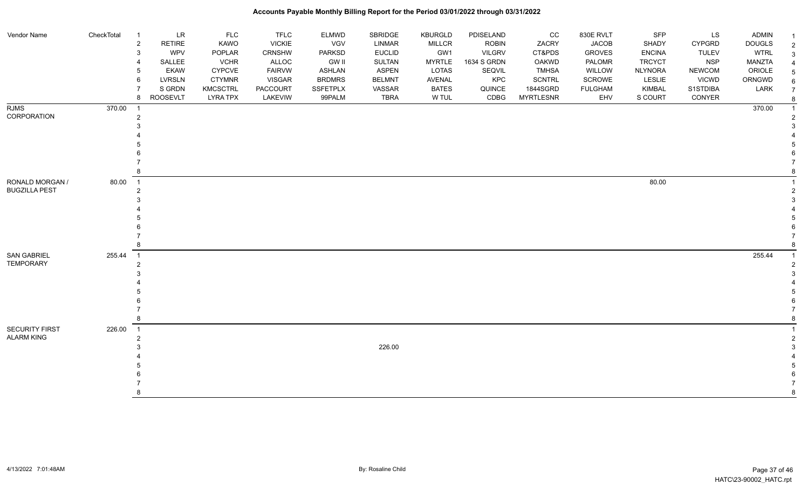| Vendor Name           | CheckTotal | $\overline{1}$ | LR            | <b>FLC</b>      | <b>TFLC</b>     | <b>ELMWD</b>  | SBRIDGE       | KBURGLD       | PDISELAND     | cc               | 830E RVLT      | SFP            | LS            | <b>ADMIN</b>  |  |
|-----------------------|------------|----------------|---------------|-----------------|-----------------|---------------|---------------|---------------|---------------|------------------|----------------|----------------|---------------|---------------|--|
|                       |            | $\overline{2}$ | <b>RETIRE</b> | KAWO            | <b>VICKIE</b>   | VGV           | <b>LINMAR</b> | MILLCR        | <b>ROBIN</b>  | ZACRY            | <b>JACOB</b>   | SHADY          | <b>CYPGRD</b> | <b>DOUGLS</b> |  |
|                       |            | 3              | WPV           | POPLAR          | CRNSHW          | PARKSD        | <b>EUCLID</b> | GW1           | <b>VILGRV</b> | CT&PDS           | <b>GROVES</b>  | <b>ENCINA</b>  | <b>TULEV</b>  | <b>WTRL</b>   |  |
|                       |            |                | SALLEE        | <b>VCHR</b>     | ALLOC           | <b>GW II</b>  | <b>SULTAN</b> | <b>MYRTLE</b> | 1634 S GRDN   | <b>OAKWD</b>     | PALOMR         | <b>TRCYCT</b>  | <b>NSP</b>    | <b>MANZTA</b> |  |
|                       |            | b              | <b>EKAW</b>   | <b>CYPCVE</b>   | <b>FAIRVW</b>   | ASHLAN        | <b>ASPEN</b>  | LOTAS         | SEQVIL        | <b>TMHSA</b>     | WILLOW         | <b>NLYNORA</b> | <b>NEWCOM</b> | ORIOLE        |  |
|                       |            | 6              | <b>LVRSLN</b> | <b>CTYMNR</b>   | <b>VISGAR</b>   | <b>BRDMRS</b> | <b>BELMNT</b> | AVENAL        | KPC           | <b>SCNTRL</b>    | SCROWE         | LESLIE         | <b>VICWD</b>  | ORNGWD        |  |
|                       |            |                | S GRDN        | KMCSCTRL        | <b>PACCOURT</b> | SSFETPLX      | VASSAR        | <b>BATES</b>  | QUINCE        | 1844SGRD         | <b>FULGHAM</b> | KIMBAL         | S1STDIBA      | LARK          |  |
|                       |            | 8              | ROOSEVLT      | <b>LYRA TPX</b> | LAKEVIW         | 99PALM        | <b>TBRA</b>   | W TUL         | CDBG          | <b>MYRTLESNR</b> | EHV            | S COURT        | CONYER        |               |  |
| <b>RJMS</b>           | 370.00     | - 1            |               |                 |                 |               |               |               |               |                  |                |                |               | 370.00        |  |
| CORPORATION           |            | $\overline{2}$ |               |                 |                 |               |               |               |               |                  |                |                |               |               |  |
|                       |            |                |               |                 |                 |               |               |               |               |                  |                |                |               |               |  |
|                       |            |                |               |                 |                 |               |               |               |               |                  |                |                |               |               |  |
|                       |            |                |               |                 |                 |               |               |               |               |                  |                |                |               |               |  |
|                       |            |                |               |                 |                 |               |               |               |               |                  |                |                |               |               |  |
|                       |            |                |               |                 |                 |               |               |               |               |                  |                |                |               |               |  |
|                       |            |                |               |                 |                 |               |               |               |               |                  |                |                |               |               |  |
| RONALD MORGAN /       | 80.00      | $\overline{1}$ |               |                 |                 |               |               |               |               |                  |                | 80.00          |               |               |  |
| <b>BUGZILLA PEST</b>  |            | 2              |               |                 |                 |               |               |               |               |                  |                |                |               |               |  |
|                       |            |                |               |                 |                 |               |               |               |               |                  |                |                |               |               |  |
|                       |            |                |               |                 |                 |               |               |               |               |                  |                |                |               |               |  |
|                       |            |                |               |                 |                 |               |               |               |               |                  |                |                |               |               |  |
|                       |            |                |               |                 |                 |               |               |               |               |                  |                |                |               |               |  |
|                       |            |                |               |                 |                 |               |               |               |               |                  |                |                |               |               |  |
|                       |            | 8              |               |                 |                 |               |               |               |               |                  |                |                |               |               |  |
| SAN GABRIEL           | 255.44     | $\overline{1}$ |               |                 |                 |               |               |               |               |                  |                |                |               | 255.44        |  |
| <b>TEMPORARY</b>      |            | $\mathcal{P}$  |               |                 |                 |               |               |               |               |                  |                |                |               |               |  |
|                       |            |                |               |                 |                 |               |               |               |               |                  |                |                |               |               |  |
|                       |            |                |               |                 |                 |               |               |               |               |                  |                |                |               |               |  |
|                       |            |                |               |                 |                 |               |               |               |               |                  |                |                |               |               |  |
|                       |            |                |               |                 |                 |               |               |               |               |                  |                |                |               |               |  |
|                       |            |                |               |                 |                 |               |               |               |               |                  |                |                |               |               |  |
|                       |            | 8              |               |                 |                 |               |               |               |               |                  |                |                |               |               |  |
| <b>SECURITY FIRST</b> | 226.00     | $\overline{1}$ |               |                 |                 |               |               |               |               |                  |                |                |               |               |  |
| ALARM KING            |            |                |               |                 |                 |               |               |               |               |                  |                |                |               |               |  |
|                       |            |                |               |                 |                 |               | 226.00        |               |               |                  |                |                |               |               |  |
|                       |            |                |               |                 |                 |               |               |               |               |                  |                |                |               |               |  |
|                       |            |                |               |                 |                 |               |               |               |               |                  |                |                |               |               |  |
|                       |            |                |               |                 |                 |               |               |               |               |                  |                |                |               |               |  |
|                       |            |                |               |                 |                 |               |               |               |               |                  |                |                |               |               |  |
|                       |            |                |               |                 |                 |               |               |               |               |                  |                |                |               |               |  |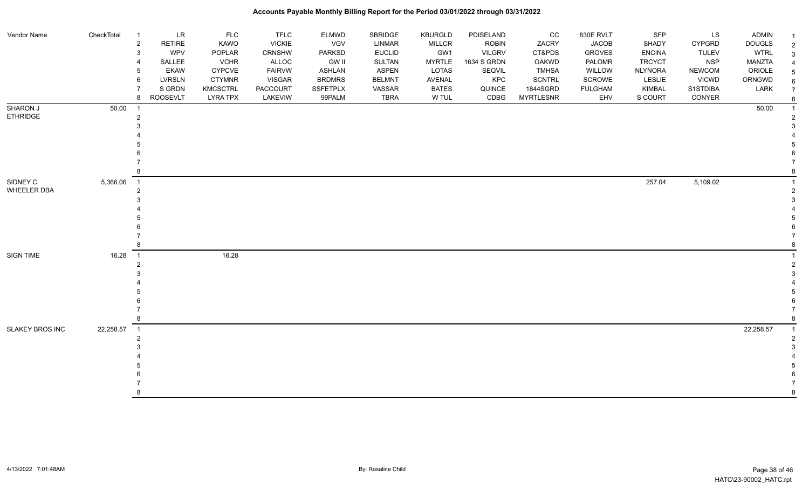| Vendor Name                 | CheckTotal |                | <b>LR</b>             | <b>FLC</b>                     | <b>TFLC</b>            | <b>ELMWD</b>                   | SBRIDGE                       | <b>KBURGLD</b>        | PDISELAND      | CC                            | 830E RVLT             | SFP                      | LS                            | <b>ADMIN</b>     |                |
|-----------------------------|------------|----------------|-----------------------|--------------------------------|------------------------|--------------------------------|-------------------------------|-----------------------|----------------|-------------------------------|-----------------------|--------------------------|-------------------------------|------------------|----------------|
|                             |            | $\overline{2}$ | RETIRE                | KAWO                           | <b>VICKIE</b>          | VGV                            | <b>LINMAR</b>                 | <b>MILLCR</b>         | <b>ROBIN</b>   | ZACRY                         | <b>JACOB</b>          | SHADY                    | CYPGRD                        | <b>DOUGLS</b>    | $\overline{2}$ |
|                             |            | 3              | WPV                   | POPLAR                         | CRNSHW                 | PARKSD                         | <b>EUCLID</b>                 | GW1                   | <b>VILGRV</b>  | CT&PDS                        | <b>GROVES</b>         | <b>ENCINA</b>            | <b>TULEV</b>                  | <b>WTRL</b>      | 3              |
|                             |            |                | SALLEE<br><b>EKAW</b> | <b>VCHR</b>                    | ALLOC<br><b>FAIRVW</b> | <b>GW II</b>                   | <b>SULTAN</b><br><b>ASPEN</b> | <b>MYRTLE</b>         | 1634 S GRDN    | <b>OAKWD</b>                  | PALOMR<br>WILLOW      | <b>TRCYCT</b>            | <b>NSP</b>                    | <b>MANZTA</b>    | $\overline{4}$ |
|                             |            | 6              | <b>LVRSLN</b>         | <b>CYPCVE</b><br><b>CTYMNR</b> | <b>VISGAR</b>          | <b>ASHLAN</b><br><b>BRDMRS</b> | <b>BELMNT</b>                 | LOTAS<br>AVENAL       | SEQVIL<br>KPC  | <b>TMHSA</b><br><b>SCNTRL</b> | SCROWE                | <b>NLYNORA</b><br>LESLIE | <b>NEWCOM</b><br><b>VICWD</b> | ORIOLE<br>ORNGWD | 5              |
|                             |            |                | S GRDN                |                                |                        | <b>SSFETPLX</b>                |                               |                       |                | 1844SGRD                      |                       |                          | S1STDIBA                      |                  | 6              |
|                             |            | 8              | <b>ROOSEVLT</b>       | KMCSCTRL<br><b>LYRA TPX</b>    | PACCOURT<br>LAKEVIW    | 99PALM                         | VASSAR<br><b>TBRA</b>         | <b>BATES</b><br>W TUL | QUINCE<br>CDBG | <b>MYRTLESNR</b>              | <b>FULGHAM</b><br>EHV | <b>KIMBAL</b><br>S COURT | CONYER                        | LARK             | $\overline{7}$ |
|                             |            |                |                       |                                |                        |                                |                               |                       |                |                               |                       |                          |                               |                  | 8              |
| SHARON J<br><b>ETHRIDGE</b> | 50.00      | $\overline{1}$ |                       |                                |                        |                                |                               |                       |                |                               |                       |                          |                               | 50.00            |                |
|                             |            | 2              |                       |                                |                        |                                |                               |                       |                |                               |                       |                          |                               |                  |                |
|                             |            |                |                       |                                |                        |                                |                               |                       |                |                               |                       |                          |                               |                  |                |
|                             |            |                |                       |                                |                        |                                |                               |                       |                |                               |                       |                          |                               |                  |                |
|                             |            |                |                       |                                |                        |                                |                               |                       |                |                               |                       |                          |                               |                  |                |
|                             |            |                |                       |                                |                        |                                |                               |                       |                |                               |                       |                          |                               |                  |                |
|                             |            |                |                       |                                |                        |                                |                               |                       |                |                               |                       |                          |                               |                  |                |
|                             |            |                |                       |                                |                        |                                |                               |                       |                |                               |                       |                          |                               |                  |                |
| SIDNEY C                    | 5,366.06   | $\overline{1}$ |                       |                                |                        |                                |                               |                       |                |                               |                       | 257.04                   | 5,109.02                      |                  |                |
| WHEELER DBA                 |            | $\mathfrak{p}$ |                       |                                |                        |                                |                               |                       |                |                               |                       |                          |                               |                  | 2              |
|                             |            |                |                       |                                |                        |                                |                               |                       |                |                               |                       |                          |                               |                  | 3              |
|                             |            |                |                       |                                |                        |                                |                               |                       |                |                               |                       |                          |                               |                  |                |
|                             |            |                |                       |                                |                        |                                |                               |                       |                |                               |                       |                          |                               |                  |                |
|                             |            |                |                       |                                |                        |                                |                               |                       |                |                               |                       |                          |                               |                  |                |
|                             |            |                |                       |                                |                        |                                |                               |                       |                |                               |                       |                          |                               |                  |                |
|                             |            |                |                       |                                |                        |                                |                               |                       |                |                               |                       |                          |                               |                  |                |
| SIGN TIME                   | 16.28      | $\overline{1}$ |                       | 16.28                          |                        |                                |                               |                       |                |                               |                       |                          |                               |                  |                |
|                             |            | $\mathfrak{p}$ |                       |                                |                        |                                |                               |                       |                |                               |                       |                          |                               |                  |                |
|                             |            |                |                       |                                |                        |                                |                               |                       |                |                               |                       |                          |                               |                  | 3              |
|                             |            |                |                       |                                |                        |                                |                               |                       |                |                               |                       |                          |                               |                  |                |
|                             |            |                |                       |                                |                        |                                |                               |                       |                |                               |                       |                          |                               |                  |                |
|                             |            |                |                       |                                |                        |                                |                               |                       |                |                               |                       |                          |                               |                  |                |
|                             |            |                |                       |                                |                        |                                |                               |                       |                |                               |                       |                          |                               |                  |                |
|                             |            |                |                       |                                |                        |                                |                               |                       |                |                               |                       |                          |                               |                  |                |
| SLAKEY BROS INC             | 22,258.57  | $\overline{1}$ |                       |                                |                        |                                |                               |                       |                |                               |                       |                          |                               | 22,258.57        |                |
|                             |            |                |                       |                                |                        |                                |                               |                       |                |                               |                       |                          |                               |                  |                |
|                             |            |                |                       |                                |                        |                                |                               |                       |                |                               |                       |                          |                               |                  | 3              |
|                             |            |                |                       |                                |                        |                                |                               |                       |                |                               |                       |                          |                               |                  |                |
|                             |            |                |                       |                                |                        |                                |                               |                       |                |                               |                       |                          |                               |                  |                |
|                             |            |                |                       |                                |                        |                                |                               |                       |                |                               |                       |                          |                               |                  |                |
|                             |            |                |                       |                                |                        |                                |                               |                       |                |                               |                       |                          |                               |                  |                |
|                             |            |                |                       |                                |                        |                                |                               |                       |                |                               |                       |                          |                               |                  | 8              |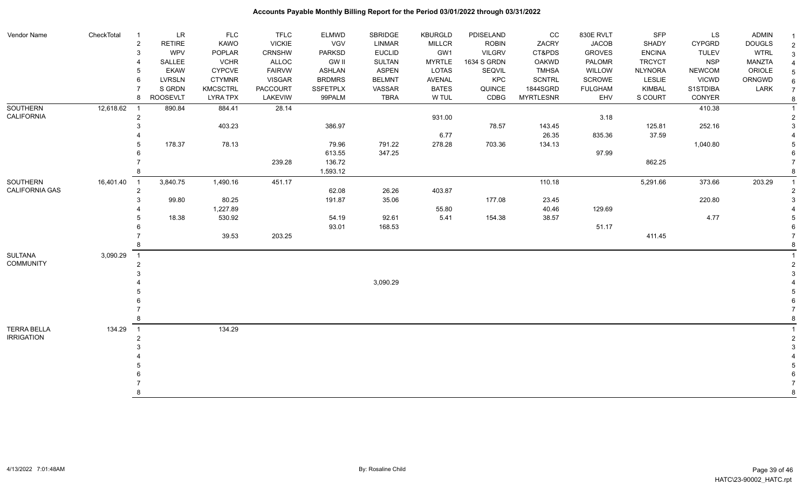#### Vendor Name CheckTotal 1 LR FLC FLC ELMWD SBRIDGE KBURGLD PDISELAND CC 830E RVLT SFP LS ADMIN <sub>1</sub> 2 RETIRE KAWO VICKIE VGV LINMAR MILLCR ROBIN ZACRY JACOB SHADY CYPGRD DOUGLS 2 3 WPV POPLAR CRNSHW PARKSD EUCLID GW1 VILGRV CT&PDS GROVES ENCINA TULEV WTRL 3 4 SALLEE VCHR ALLOC GW II SULTAN MYRTLE 1634 S GRDN OAKWD PALOMR TRCYCT NSP MANZTA 4 5 EKAW CYPCVE FAIRVW ASHLAN ASPEN LOTAS SEQVIL TMHSA WILLOW NLYNORA NEWCOM ORIOLE 5 6 LVRSLN CTYMNR VISGAR BRDMRS BELMNT AVENAL KPC SCNTRL SCROWE LESLIE VICWD ORNGWD  $_{6}$ 7 SIGRDN KMCSCTRL PACCOURT SSFETPLX VASSAR BATES QUINCE 1844SGRD FULGHAM KIMBAL S1STDIBA LARK 7 8 ROOSEVLT LYRA TPX LAKEVIW 99PALM TBRA W TUL CDBG MYRTLESNR EHV S COURT CONYER <sub>8</sub> **SOUTHERN** CALIFORNIA 12,618.62 1 890.84 884.41 28.14 410.38 1  $931.00$   $3.18$   $2$  3 403.23 386.97 78.57 143.45 125.81 252.16 3 4 6.77 26.35 835.36 37.59 4 5 178.37 78.13 79.96 791.22 278.28 703.36 134.13 1,040.80 5 6 613.55 347.25 97.99 6 7 в том на народно производство на 136.72 в том на 136.72 в том на 136.72 в том на 136.72 в том на 136.72 в то е в селото в селото в 1,593.12 в селото в 1,593.12 в селото в селото в селото в селото в селото в селото в село SOUTHERN CALIFORNIA GAS 16,401.40 1 3,840.75 1,490.16 451.17 110.18 5,291.66 373.66 203.29 1 2 62.08 26.26 403.87 2 3 99.80 80.25 191.87 35.06 177.08 23.45 220.80 3 4 1,227.89 55.80 40.46 129.69 4 5 18.38 530.92 54.19 92.61 5.41 154.38 38.57 4.77 5 6 93.01 168.53 51.17 6 7 39.53 203.25 411.45 7 8 8 SULTANA COMMUNITY 3,090.29 1 1 2 2  $3<sup>3</sup>$  4 3,090.29 4 5 5  $6$  7 7 8 8 TERRA BELLA IRRIGATION 134.29 1 134.29 1 2 2  $3<sup>3</sup>$  4 4 5 5  $6$  7 7 8 8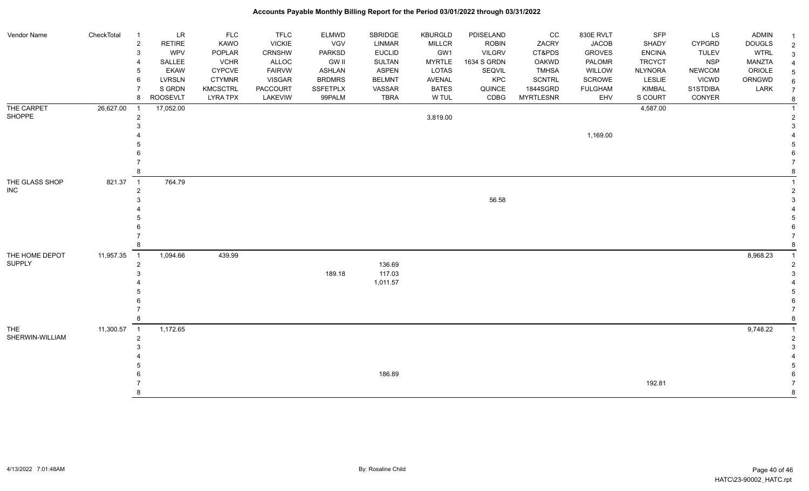| Vendor Name     | CheckTotal | $\overline{1}$ | LR              | FLC             | <b>TFLC</b>     | <b>ELMWD</b>  | <b>SBRIDGE</b> | <b>KBURGLD</b> | PDISELAND     | cc               | 830E RVLT      | SFP            | LS            | <b>ADMIN</b>  |   |
|-----------------|------------|----------------|-----------------|-----------------|-----------------|---------------|----------------|----------------|---------------|------------------|----------------|----------------|---------------|---------------|---|
|                 |            | $\overline{2}$ | <b>RETIRE</b>   | KAWO            | <b>VICKIE</b>   | <b>VGV</b>    | <b>LINMAR</b>  | <b>MILLCR</b>  | <b>ROBIN</b>  | ZACRY            | <b>JACOB</b>   | SHADY          | <b>CYPGRD</b> | <b>DOUGLS</b> | 2 |
|                 |            | 3              | WPV             | POPLAR          | CRNSHW          | PARKSD        | <b>EUCLID</b>  | GW1            | <b>VILGRV</b> | CT&PDS           | <b>GROVES</b>  | <b>ENCINA</b>  | <b>TULEV</b>  | <b>WTRL</b>   | 3 |
|                 |            | $\overline{4}$ | SALLEE          | <b>VCHR</b>     | ALLOC           | GW II         | <b>SULTAN</b>  | <b>MYRTLE</b>  | 1634 S GRDN   | OAKWD            | PALOMR         | <b>TRCYCT</b>  | <b>NSP</b>    | MANZTA        |   |
|                 |            | 5              | <b>EKAW</b>     | <b>CYPCVE</b>   | <b>FAIRVW</b>   | <b>ASHLAN</b> | <b>ASPEN</b>   | <b>LOTAS</b>   | SEQVIL        | <b>TMHSA</b>     | WILLOW         | <b>NLYNORA</b> | NEWCOM        | ORIOLE        |   |
|                 |            | 6              | <b>LVRSLN</b>   | <b>CTYMNR</b>   | <b>VISGAR</b>   | <b>BRDMRS</b> | <b>BELMNT</b>  | <b>AVENAL</b>  | KPC           | <b>SCNTRL</b>    | SCROWE         | LESLIE         | <b>VICWD</b>  | ORNGWD        |   |
|                 |            | $\overline{7}$ | S GRDN          | <b>KMCSCTRL</b> | <b>PACCOURT</b> | SSFETPLX      | VASSAR         | <b>BATES</b>   | QUINCE        | 1844SGRD         | <b>FULGHAM</b> | <b>KIMBAL</b>  | S1STDIBA      | LARK          |   |
|                 |            | 8              | <b>ROOSEVLT</b> | <b>LYRA TPX</b> | LAKEVIW         | 99PALM        | <b>TBRA</b>    | W TUL          | CDBG          | <b>MYRTLESNR</b> | EHV            | S COURT        | CONYER        |               | 8 |
| THE CARPET      | 26,627.00  | $\overline{1}$ | 17,052.00       |                 |                 |               |                |                |               |                  |                | 4,587.00       |               |               |   |
| <b>SHOPPE</b>   |            | $\overline{2}$ |                 |                 |                 |               |                | 3,819.00       |               |                  |                |                |               |               |   |
|                 |            | 3              |                 |                 |                 |               |                |                |               |                  |                |                |               |               |   |
|                 |            |                |                 |                 |                 |               |                |                |               |                  | 1,169.00       |                |               |               |   |
|                 |            |                |                 |                 |                 |               |                |                |               |                  |                |                |               |               |   |
|                 |            |                |                 |                 |                 |               |                |                |               |                  |                |                |               |               |   |
|                 |            |                |                 |                 |                 |               |                |                |               |                  |                |                |               |               |   |
|                 |            | 8              |                 |                 |                 |               |                |                |               |                  |                |                |               |               |   |
| THE GLASS SHOP  | 821.37     | $\overline{1}$ | 764.79          |                 |                 |               |                |                |               |                  |                |                |               |               |   |
| <b>INC</b>      |            | $\overline{2}$ |                 |                 |                 |               |                |                |               |                  |                |                |               |               |   |
|                 |            | 3              |                 |                 |                 |               |                |                | 56.58         |                  |                |                |               |               |   |
|                 |            |                |                 |                 |                 |               |                |                |               |                  |                |                |               |               |   |
|                 |            |                |                 |                 |                 |               |                |                |               |                  |                |                |               |               |   |
|                 |            |                |                 |                 |                 |               |                |                |               |                  |                |                |               |               |   |
|                 |            |                |                 |                 |                 |               |                |                |               |                  |                |                |               |               |   |
|                 |            | 8              |                 |                 |                 |               |                |                |               |                  |                |                |               |               |   |
| THE HOME DEPOT  | 11,957.35  | $\overline{1}$ | 1,094.66        | 439.99          |                 |               |                |                |               |                  |                |                |               | 8,968.23      |   |
| <b>SUPPLY</b>   |            | $\overline{2}$ |                 |                 |                 |               | 136.69         |                |               |                  |                |                |               |               |   |
|                 |            | 3              |                 |                 |                 | 189.18        | 117.03         |                |               |                  |                |                |               |               |   |
|                 |            |                |                 |                 |                 |               | 1,011.57       |                |               |                  |                |                |               |               |   |
|                 |            |                |                 |                 |                 |               |                |                |               |                  |                |                |               |               |   |
|                 |            |                |                 |                 |                 |               |                |                |               |                  |                |                |               |               |   |
|                 |            |                |                 |                 |                 |               |                |                |               |                  |                |                |               |               |   |
|                 |            | 8              |                 |                 |                 |               |                |                |               |                  |                |                |               |               |   |
| THE             | 11,300.57  | $\overline{1}$ | 1,172.65        |                 |                 |               |                |                |               |                  |                |                |               | 9,748.22      |   |
| SHERWIN-WILLIAM |            | $\overline{2}$ |                 |                 |                 |               |                |                |               |                  |                |                |               |               |   |
|                 |            | 3              |                 |                 |                 |               |                |                |               |                  |                |                |               |               |   |
|                 |            |                |                 |                 |                 |               |                |                |               |                  |                |                |               |               |   |
|                 |            |                |                 |                 |                 |               |                |                |               |                  |                |                |               |               |   |
|                 |            |                |                 |                 |                 |               | 186.89         |                |               |                  |                |                |               |               |   |
|                 |            |                |                 |                 |                 |               |                |                |               |                  |                | 192.81         |               |               |   |
|                 |            | 8              |                 |                 |                 |               |                |                |               |                  |                |                |               |               | 8 |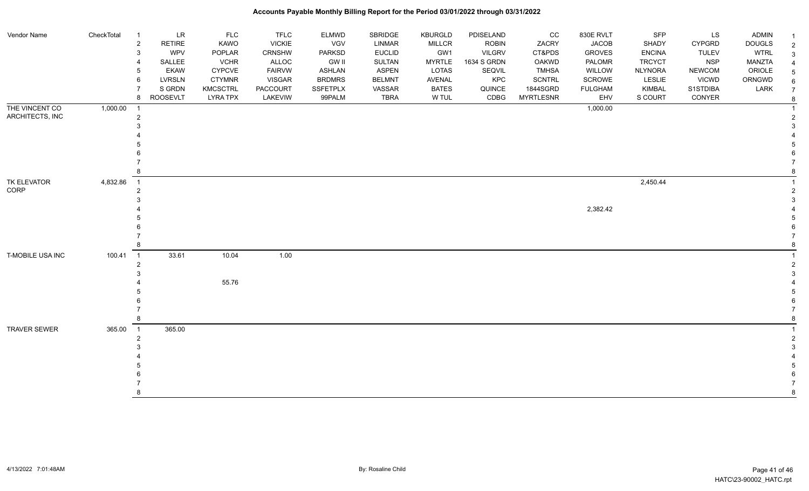| Vendor Name         | CheckTotal | LR<br>$\overline{1}$            | <b>FLC</b>      | <b>TFLC</b>     | <b>ELMWD</b>  | SBRIDGE       | <b>KBURGLD</b> | PDISELAND     | CC               | 830E RVLT      | <b>SFP</b>     | LS            | <b>ADMIN</b>  |                |
|---------------------|------------|---------------------------------|-----------------|-----------------|---------------|---------------|----------------|---------------|------------------|----------------|----------------|---------------|---------------|----------------|
|                     |            | <b>RETIRE</b><br>$\overline{c}$ | KAWO            | <b>VICKIE</b>   | VGV           | LINMAR        | <b>MILLCR</b>  | <b>ROBIN</b>  | ZACRY            | <b>JACOB</b>   | SHADY          | <b>CYPGRD</b> | <b>DOUGLS</b> | $\overline{2}$ |
|                     |            | <b>WPV</b><br>3                 | POPLAR          | CRNSHW          | PARKSD        | <b>EUCLID</b> | GW1            | <b>VILGRV</b> | CT&PDS           | <b>GROVES</b>  | <b>ENCINA</b>  | <b>TULEV</b>  | <b>WTRL</b>   | 3              |
|                     |            | SALLEE                          | <b>VCHR</b>     | <b>ALLOC</b>    | <b>GW II</b>  | SULTAN        | <b>MYRTLE</b>  | 1634 S GRDN   | <b>OAKWD</b>     | PALOMR         | <b>TRCYCT</b>  | <b>NSP</b>    | MANZTA        |                |
|                     |            | <b>EKAW</b>                     | <b>CYPCVE</b>   | <b>FAIRVW</b>   | <b>ASHLAN</b> | <b>ASPEN</b>  | <b>LOTAS</b>   | SEQVIL        | <b>TMHSA</b>     | WILLOW         | <b>NLYNORA</b> | <b>NEWCOM</b> | ORIOLE        | 5              |
|                     |            | <b>LVRSLN</b><br>6              | <b>CTYMNR</b>   | <b>VISGAR</b>   | <b>BRDMRS</b> | <b>BELMNT</b> | AVENAL         | KPC           | <b>SCNTRL</b>    | SCROWE         | LESLIE         | VICWD         | ORNGWD        | 6              |
|                     |            | S GRDN                          | <b>KMCSCTRL</b> | <b>PACCOURT</b> | SSFETPLX      | VASSAR        | <b>BATES</b>   | QUINCE        | 1844SGRD         | <b>FULGHAM</b> | <b>KIMBAL</b>  | S1STDIBA      | LARK          | $\overline{7}$ |
|                     |            | <b>ROOSEVLT</b><br>8            | <b>LYRA TPX</b> | LAKEVIW         | 99PALM        | <b>TBRA</b>   | W TUL          | CDBG          | <b>MYRTLESNR</b> | EHV            | S COURT        | CONYER        |               | 8              |
| THE VINCENT CO      | 1,000.00   | $\overline{1}$                  |                 |                 |               |               |                |               |                  | 1,000.00       |                |               |               |                |
| ARCHITECTS, INC     |            | 2                               |                 |                 |               |               |                |               |                  |                |                |               |               | $\overline{2}$ |
|                     |            |                                 |                 |                 |               |               |                |               |                  |                |                |               |               |                |
|                     |            |                                 |                 |                 |               |               |                |               |                  |                |                |               |               |                |
|                     |            |                                 |                 |                 |               |               |                |               |                  |                |                |               |               |                |
|                     |            |                                 |                 |                 |               |               |                |               |                  |                |                |               |               |                |
|                     |            |                                 |                 |                 |               |               |                |               |                  |                |                |               |               |                |
|                     |            |                                 |                 |                 |               |               |                |               |                  |                |                |               |               |                |
| TK ELEVATOR         | 4,832.86   | $\overline{1}$                  |                 |                 |               |               |                |               |                  |                | 2,450.44       |               |               |                |
| CORP                |            | 2                               |                 |                 |               |               |                |               |                  |                |                |               |               | $\overline{2}$ |
|                     |            |                                 |                 |                 |               |               |                |               |                  |                |                |               |               | 3              |
|                     |            |                                 |                 |                 |               |               |                |               |                  | 2,382.42       |                |               |               |                |
|                     |            |                                 |                 |                 |               |               |                |               |                  |                |                |               |               |                |
|                     |            |                                 |                 |                 |               |               |                |               |                  |                |                |               |               |                |
|                     |            |                                 |                 |                 |               |               |                |               |                  |                |                |               |               |                |
|                     |            |                                 |                 |                 |               |               |                |               |                  |                |                |               |               |                |
| T-MOBILE USA INC    | 100.41     | $\overline{1}$<br>33.61         | 10.04           | 1.00            |               |               |                |               |                  |                |                |               |               |                |
|                     |            | 2                               |                 |                 |               |               |                |               |                  |                |                |               |               | $\overline{2}$ |
|                     |            |                                 |                 |                 |               |               |                |               |                  |                |                |               |               |                |
|                     |            |                                 | 55.76           |                 |               |               |                |               |                  |                |                |               |               |                |
|                     |            |                                 |                 |                 |               |               |                |               |                  |                |                |               |               |                |
|                     |            |                                 |                 |                 |               |               |                |               |                  |                |                |               |               |                |
|                     |            |                                 |                 |                 |               |               |                |               |                  |                |                |               |               |                |
|                     |            |                                 |                 |                 |               |               |                |               |                  |                |                |               |               |                |
| <b>TRAVER SEWER</b> | 365.00     | 365.00<br>$\overline{1}$        |                 |                 |               |               |                |               |                  |                |                |               |               |                |
|                     |            | 2                               |                 |                 |               |               |                |               |                  |                |                |               |               | $\overline{2}$ |
|                     |            |                                 |                 |                 |               |               |                |               |                  |                |                |               |               |                |
|                     |            |                                 |                 |                 |               |               |                |               |                  |                |                |               |               |                |
|                     |            |                                 |                 |                 |               |               |                |               |                  |                |                |               |               |                |
|                     |            |                                 |                 |                 |               |               |                |               |                  |                |                |               |               |                |
|                     |            |                                 |                 |                 |               |               |                |               |                  |                |                |               |               |                |
|                     |            |                                 |                 |                 |               |               |                |               |                  |                |                |               |               | 8              |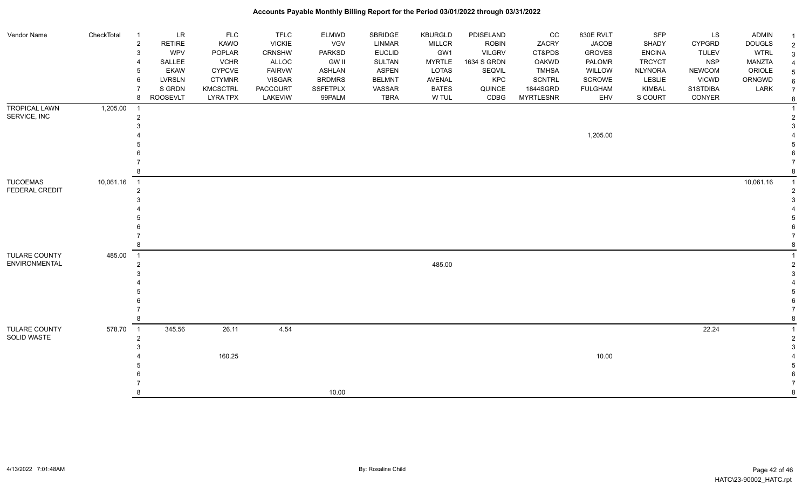| Vendor Name          | CheckTotal  | $\overline{1}$               | LR<br><b>RETIRE</b> | <b>FLC</b><br>KAWO | <b>TFLC</b><br><b>VICKIE</b> | <b>ELMWD</b><br>VGV | SBRIDGE<br>LINMAR | <b>KBURGLD</b>       | PDISELAND<br><b>ROBIN</b> | CC<br>ZACRY      | 830E RVLT<br><b>JACOB</b> | SFP<br>SHADY   | LS<br><b>CYPGRD</b> | ADMIN                        |                     |
|----------------------|-------------|------------------------------|---------------------|--------------------|------------------------------|---------------------|-------------------|----------------------|---------------------------|------------------|---------------------------|----------------|---------------------|------------------------------|---------------------|
|                      |             | $\overline{\mathbf{c}}$<br>3 | WPV                 | POPLAR             | <b>CRNSHW</b>                | <b>PARKSD</b>       | <b>EUCLID</b>     | <b>MILLCR</b><br>GW1 | <b>VILGRV</b>             | CT&PDS           | <b>GROVES</b>             | <b>ENCINA</b>  | <b>TULEV</b>        | <b>DOUGLS</b><br><b>WTRL</b> | $\overline{2}$      |
|                      |             |                              | SALLEE              | <b>VCHR</b>        | ALLOC                        | <b>GW II</b>        | SULTAN            | <b>MYRTLE</b>        | 1634 S GRDN               | <b>OAKWD</b>     | PALOMR                    | <b>TRCYCT</b>  | <b>NSP</b>          | MANZTA                       | 3                   |
|                      |             |                              | EKAW                | <b>CYPCVE</b>      | <b>FAIRVW</b>                | <b>ASHLAN</b>       | <b>ASPEN</b>      | LOTAS                | SEQVIL                    | <b>TMHSA</b>     | WILLOW                    | <b>NLYNORA</b> | <b>NEWCOM</b>       | ORIOLE                       |                     |
|                      |             | 6                            | LVRSLN              | <b>CTYMNR</b>      | <b>VISGAR</b>                | <b>BRDMRS</b>       | <b>BELMNT</b>     | AVENAL               | KPC                       | <b>SCNTRL</b>    | SCROWE                    | LESLIE         | <b>VICWD</b>        | ORNGWD                       | $\overline{5}$      |
|                      |             |                              | S GRDN              | <b>KMCSCTRL</b>    | <b>PACCOURT</b>              | <b>SSFETPLX</b>     | VASSAR            | <b>BATES</b>         | QUINCE                    | 1844SGRD         | <b>FULGHAM</b>            | <b>KIMBAL</b>  | S1STDIBA            | LARK                         | 6<br>$\overline{7}$ |
|                      |             | 8                            | <b>ROOSEVLT</b>     | <b>LYRA TPX</b>    | LAKEVIW                      | 99PALM              | <b>TBRA</b>       | W TUL                | CDBG                      | <b>MYRTLESNR</b> | EHV                       | S COURT        | CONYER              |                              | -8                  |
| <b>TROPICAL LAWN</b> | 1,205.00    | -1                           |                     |                    |                              |                     |                   |                      |                           |                  |                           |                |                     |                              |                     |
| SERVICE, INC         |             | $\overline{2}$               |                     |                    |                              |                     |                   |                      |                           |                  |                           |                |                     |                              |                     |
|                      |             |                              |                     |                    |                              |                     |                   |                      |                           |                  |                           |                |                     |                              |                     |
|                      |             |                              |                     |                    |                              |                     |                   |                      |                           |                  | 1,205.00                  |                |                     |                              |                     |
|                      |             |                              |                     |                    |                              |                     |                   |                      |                           |                  |                           |                |                     |                              |                     |
|                      |             |                              |                     |                    |                              |                     |                   |                      |                           |                  |                           |                |                     |                              |                     |
|                      |             |                              |                     |                    |                              |                     |                   |                      |                           |                  |                           |                |                     |                              |                     |
|                      |             |                              |                     |                    |                              |                     |                   |                      |                           |                  |                           |                |                     |                              |                     |
| <b>TUCOEMAS</b>      | 10,061.16 1 |                              |                     |                    |                              |                     |                   |                      |                           |                  |                           |                |                     | 10,061.16                    |                     |
| FEDERAL CREDIT       |             | $\overline{2}$               |                     |                    |                              |                     |                   |                      |                           |                  |                           |                |                     |                              |                     |
|                      |             |                              |                     |                    |                              |                     |                   |                      |                           |                  |                           |                |                     |                              |                     |
|                      |             |                              |                     |                    |                              |                     |                   |                      |                           |                  |                           |                |                     |                              |                     |
|                      |             |                              |                     |                    |                              |                     |                   |                      |                           |                  |                           |                |                     |                              |                     |
|                      |             |                              |                     |                    |                              |                     |                   |                      |                           |                  |                           |                |                     |                              |                     |
|                      |             |                              |                     |                    |                              |                     |                   |                      |                           |                  |                           |                |                     |                              |                     |
|                      |             |                              |                     |                    |                              |                     |                   |                      |                           |                  |                           |                |                     |                              |                     |
| <b>TULARE COUNTY</b> | 485.00      | $\overline{1}$               |                     |                    |                              |                     |                   |                      |                           |                  |                           |                |                     |                              |                     |
| <b>ENVIRONMENTAL</b> |             | 2                            |                     |                    |                              |                     |                   | 485.00               |                           |                  |                           |                |                     |                              |                     |
|                      |             |                              |                     |                    |                              |                     |                   |                      |                           |                  |                           |                |                     |                              |                     |
|                      |             |                              |                     |                    |                              |                     |                   |                      |                           |                  |                           |                |                     |                              |                     |
|                      |             |                              |                     |                    |                              |                     |                   |                      |                           |                  |                           |                |                     |                              |                     |
|                      |             |                              |                     |                    |                              |                     |                   |                      |                           |                  |                           |                |                     |                              |                     |
|                      |             |                              |                     |                    |                              |                     |                   |                      |                           |                  |                           |                |                     |                              |                     |
|                      |             |                              |                     |                    |                              |                     |                   |                      |                           |                  |                           |                |                     |                              |                     |
| TULARE COUNTY        | 578.70      | $\overline{1}$               | 345.56              | 26.11              | 4.54                         |                     |                   |                      |                           |                  |                           |                | 22.24               |                              |                     |
| SOLID WASTE          |             | 2                            |                     |                    |                              |                     |                   |                      |                           |                  |                           |                |                     |                              |                     |
|                      |             |                              |                     |                    |                              |                     |                   |                      |                           |                  |                           |                |                     |                              |                     |
|                      |             |                              |                     | 160.25             |                              |                     |                   |                      |                           |                  | 10.00                     |                |                     |                              |                     |
|                      |             |                              |                     |                    |                              |                     |                   |                      |                           |                  |                           |                |                     |                              |                     |
|                      |             |                              |                     |                    |                              |                     |                   |                      |                           |                  |                           |                |                     |                              |                     |
|                      |             |                              |                     |                    |                              | 10.00               |                   |                      |                           |                  |                           |                |                     |                              | 8                   |
|                      |             |                              |                     |                    |                              |                     |                   |                      |                           |                  |                           |                |                     |                              |                     |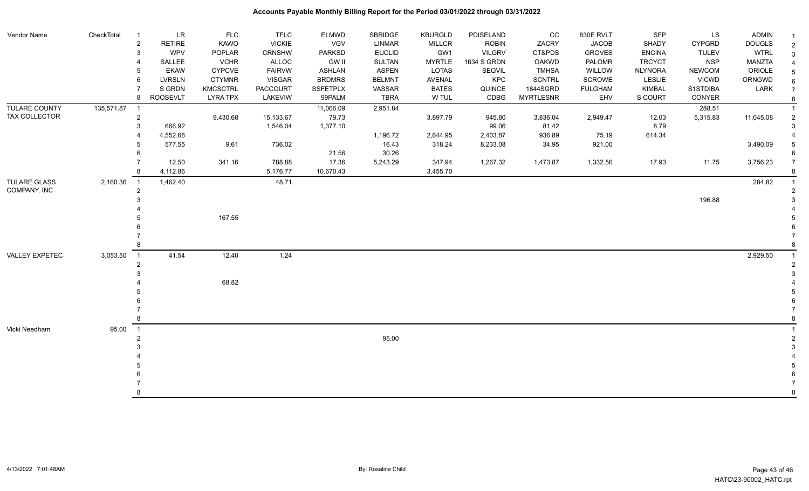| Vendor Name          | CheckTotal | $\overline{1}$ | LR              | <b>FLC</b>      | <b>TFLC</b>    | <b>ELMWD</b>    | SBRIDGE       | <b>KBURGLD</b> | PDISELAND     | CC               | 830E RVLT      | SFP            | LS            | ADMIN         |                |
|----------------------|------------|----------------|-----------------|-----------------|----------------|-----------------|---------------|----------------|---------------|------------------|----------------|----------------|---------------|---------------|----------------|
|                      |            | $\overline{2}$ | <b>RETIRE</b>   | KAWO            | <b>VICKIE</b>  | <b>VGV</b>      | <b>LINMAR</b> | <b>MILLCR</b>  | <b>ROBIN</b>  | ZACRY            | <b>JACOB</b>   | SHADY          | <b>CYPGRD</b> | <b>DOUGLS</b> | $\overline{2}$ |
|                      |            | 3              | <b>WPV</b>      | POPLAR          | <b>CRNSHW</b>  | <b>PARKSD</b>   | <b>EUCLID</b> | GW1            | <b>VILGRV</b> | CT&PDS           | <b>GROVES</b>  | <b>ENCINA</b>  | <b>TULEV</b>  | <b>WTRL</b>   | $\overline{3}$ |
|                      |            |                | SALLEE          | <b>VCHR</b>     | ALLOC          | <b>GW II</b>    | <b>SULTAN</b> | <b>MYRTLE</b>  | 1634 S GRDN   | <b>OAKWD</b>     | PALOMR         | <b>TRCYCT</b>  | <b>NSP</b>    | MANZTA        |                |
|                      |            | 5              | <b>EKAW</b>     | <b>CYPCVE</b>   | <b>FAIRVW</b>  | <b>ASHLAN</b>   | <b>ASPEN</b>  | LOTAS          | SEQVIL        | <b>TMHSA</b>     | WILLOW         | <b>NLYNORA</b> | <b>NEWCOM</b> | ORIOLE        | 5              |
|                      |            | 6              | <b>LVRSLN</b>   | <b>CTYMNR</b>   | <b>VISGAR</b>  | <b>BRDMRS</b>   | <b>BELMNT</b> | <b>AVENAL</b>  | KPC           | <b>SCNTRL</b>    | SCROWE         | LESLIE         | <b>VICWD</b>  | ORNGWD        | 6              |
|                      |            |                | S GRDN          | KMCSCTRL        | PACCOURT       | <b>SSFETPLX</b> | VASSAR        | <b>BATES</b>   | QUINCE        | 1844SGRD         | <b>FULGHAM</b> | <b>KIMBAL</b>  | S1STDIBA      | LARK          | $\overline{7}$ |
|                      |            | 8              | <b>ROOSEVLT</b> | <b>LYRA TPX</b> | <b>LAKEVIW</b> | 99PALM          | <b>TBRA</b>   | W TUL          | CDBG          | <b>MYRTLESNR</b> | EHV            | S COURT        | CONYER        |               |                |
| <b>TULARE COUNTY</b> | 135,571.87 | $\overline{1}$ |                 |                 |                | 11,066.09       | 2,951.84      |                |               |                  |                |                | 288.51        |               |                |
| TAX COLLECTOR        |            | $\overline{2}$ |                 | 9,430.68        | 15,133.67      | 79.73           |               | 3,897.79       | 945.80        | 3,836.04         | 2,949.47       | 12.03          | 5,315.83      | 11,045.08     |                |
|                      |            |                | 666.92          |                 | 1,546.04       | 1,377.10        |               |                | 99.06         | 81.42            |                | 8.79           |               |               | -3             |
|                      |            |                | 4,552.68        |                 |                |                 | 1,196.72      | 2,644.95       | 2,403.87      | 936.89           | 75.19          | 614.34         |               |               |                |
|                      |            |                | 577.55          | 9.61            | 736.02         |                 | 16.43         | 318.24         | 8,233.08      | 34.95            | 921.00         |                |               | 3,490.09      |                |
|                      |            |                |                 |                 |                | 21.56           | 30.26         |                |               |                  |                |                |               |               |                |
|                      |            |                | 12.50           | 341.16          | 788.88         | 17.36           | 5,243.29      | 347.94         | 1,267.32      | 1,473.87         | 1,332.56       | 17.93          | 11.75         | 3,756.23      | $\overline{7}$ |
|                      |            |                | 4,112.86        |                 | 5,176.77       | 10,670.43       |               | 3,455.70       |               |                  |                |                |               |               |                |
| <b>TULARE GLASS</b>  | 2,160.36   | $\overline{1}$ | 1,462.40        |                 | 48.71          |                 |               |                |               |                  |                |                |               | 284.82        |                |
| COMPANY, INC         |            | $\overline{2}$ |                 |                 |                |                 |               |                |               |                  |                |                |               |               |                |
|                      |            |                |                 |                 |                |                 |               |                |               |                  |                |                | 196.88        |               |                |
|                      |            |                |                 |                 |                |                 |               |                |               |                  |                |                |               |               |                |
|                      |            |                |                 | 167.55          |                |                 |               |                |               |                  |                |                |               |               |                |
|                      |            |                |                 |                 |                |                 |               |                |               |                  |                |                |               |               |                |
|                      |            |                |                 |                 |                |                 |               |                |               |                  |                |                |               |               |                |
|                      |            |                |                 |                 |                |                 |               |                |               |                  |                |                |               |               |                |
| VALLEY EXPETEC       | 3,053.50   | $\overline{1}$ | 41.54           | 12.40           | 1.24           |                 |               |                |               |                  |                |                |               | 2,929.50      |                |
|                      |            | $\overline{2}$ |                 |                 |                |                 |               |                |               |                  |                |                |               |               |                |
|                      |            |                |                 |                 |                |                 |               |                |               |                  |                |                |               |               |                |
|                      |            |                |                 | 68.82           |                |                 |               |                |               |                  |                |                |               |               |                |
|                      |            |                |                 |                 |                |                 |               |                |               |                  |                |                |               |               |                |
|                      |            |                |                 |                 |                |                 |               |                |               |                  |                |                |               |               |                |
|                      |            |                |                 |                 |                |                 |               |                |               |                  |                |                |               |               |                |
|                      |            |                |                 |                 |                |                 |               |                |               |                  |                |                |               |               |                |
| Vicki Needham        | 95.00      | $\overline{1}$ |                 |                 |                |                 |               |                |               |                  |                |                |               |               |                |
|                      |            |                |                 |                 |                |                 | 95.00         |                |               |                  |                |                |               |               |                |
|                      |            |                |                 |                 |                |                 |               |                |               |                  |                |                |               |               |                |
|                      |            |                |                 |                 |                |                 |               |                |               |                  |                |                |               |               |                |
|                      |            |                |                 |                 |                |                 |               |                |               |                  |                |                |               |               |                |
|                      |            |                |                 |                 |                |                 |               |                |               |                  |                |                |               |               |                |
|                      |            |                |                 |                 |                |                 |               |                |               |                  |                |                |               |               |                |
|                      |            |                |                 |                 |                |                 |               |                |               |                  |                |                |               |               | 8              |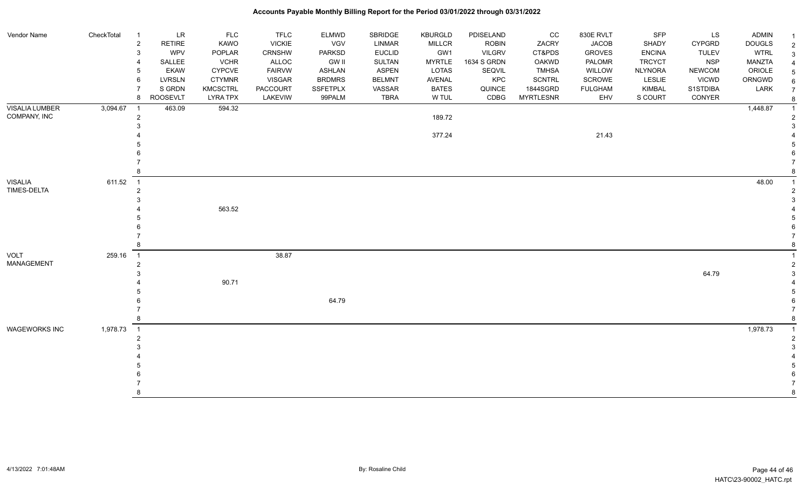| <b>Vendor Name</b>            | CheckTotal | $\overline{1}$             | <b>LR</b>       | <b>FLC</b>      | <b>TFLC</b>   | <b>ELMWD</b>    | <b>SBRIDGE</b> | KBURGLD       | PDISELAND     | CC               | 830E RVLT      | SFP            | <b>LS</b>     | <b>ADMIN</b>  | -1             |
|-------------------------------|------------|----------------------------|-----------------|-----------------|---------------|-----------------|----------------|---------------|---------------|------------------|----------------|----------------|---------------|---------------|----------------|
|                               |            | $\overline{c}$             | <b>RETIRE</b>   | <b>KAWO</b>     | <b>VICKIE</b> | <b>VGV</b>      | LINMAR         | <b>MILLCR</b> | <b>ROBIN</b>  | ZACRY            | <b>JACOB</b>   | SHADY          | <b>CYPGRD</b> | <b>DOUGLS</b> | $\overline{2}$ |
|                               |            | 3                          | <b>WPV</b>      | POPLAR          | <b>CRNSHW</b> | <b>PARKSD</b>   | <b>EUCLID</b>  | GW1           | <b>VILGRV</b> | CT&PDS           | <b>GROVES</b>  | <b>ENCINA</b>  | <b>TULEV</b>  | <b>WTRL</b>   | $\mathbf{3}$   |
|                               |            |                            | SALLEE          | <b>VCHR</b>     | ALLOC         | <b>GW II</b>    | <b>SULTAN</b>  | <b>MYRTLE</b> | 1634 S GRDN   | <b>OAKWD</b>     | PALOMR         | <b>TRCYCT</b>  | <b>NSP</b>    | <b>MANZTA</b> | 4              |
|                               |            | 5                          | <b>EKAW</b>     | <b>CYPCVE</b>   | <b>FAIRVW</b> | <b>ASHLAN</b>   | <b>ASPEN</b>   | LOTAS         | SEQVIL        | <b>TMHSA</b>     | WILLOW         | <b>NLYNORA</b> | <b>NEWCOM</b> | ORIOLE        | $\sqrt{5}$     |
|                               |            | 6                          | <b>LVRSLN</b>   | <b>CTYMNR</b>   | <b>VISGAR</b> | <b>BRDMRS</b>   | <b>BELMNT</b>  | AVENAL        | KPC           | <b>SCNTRL</b>    | SCROWE         | LESLIE         | <b>VICWD</b>  | ORNGWD        | 6              |
|                               |            | 7                          | S GRDN          | <b>KMCSCTRL</b> | PACCOURT      | <b>SSFETPLX</b> | VASSAR         | <b>BATES</b>  | QUINCE        | 1844SGRD         | <b>FULGHAM</b> | <b>KIMBAL</b>  | S1STDIBA      | LARK          | $\overline{7}$ |
|                               |            | 8                          | <b>ROOSEVLT</b> | <b>LYRA TPX</b> | LAKEVIW       | 99PALM          | <b>TBRA</b>    | W TUL         | CDBG          | <b>MYRTLESNR</b> | EHV            | S COURT        | CONYER        |               | $\bf 8$        |
| <b>VISALIA LUMBER</b>         | 3,094.67   | $\overline{1}$             | 463.09          | 594.32          |               |                 |                |               |               |                  |                |                |               | 1,448.87      | $\overline{1}$ |
| COMPANY, INC                  |            | $\overline{2}$             |                 |                 |               |                 |                | 189.72        |               |                  |                |                |               |               | $\overline{c}$ |
|                               |            |                            |                 |                 |               |                 |                |               |               |                  |                |                |               |               | 3              |
|                               |            |                            |                 |                 |               |                 |                | 377.24        |               |                  | 21.43          |                |               |               |                |
|                               |            |                            |                 |                 |               |                 |                |               |               |                  |                |                |               |               | 5              |
|                               |            |                            |                 |                 |               |                 |                |               |               |                  |                |                |               |               | 6              |
|                               |            |                            |                 |                 |               |                 |                |               |               |                  |                |                |               |               |                |
|                               |            |                            |                 |                 |               |                 |                |               |               |                  |                |                |               |               | 8              |
| <b>VISALIA</b><br>TIMES-DELTA | 611.52     | $\overline{1}$             |                 |                 |               |                 |                |               |               |                  |                |                |               | 48.00         |                |
|                               |            | $\overline{2}$             |                 |                 |               |                 |                |               |               |                  |                |                |               |               | 2              |
|                               |            |                            |                 |                 |               |                 |                |               |               |                  |                |                |               |               | 3              |
|                               |            |                            |                 | 563.52          |               |                 |                |               |               |                  |                |                |               |               |                |
|                               |            |                            |                 |                 |               |                 |                |               |               |                  |                |                |               |               | 5              |
|                               |            |                            |                 |                 |               |                 |                |               |               |                  |                |                |               |               | 6              |
|                               |            |                            |                 |                 |               |                 |                |               |               |                  |                |                |               |               | $\overline{7}$ |
|                               |            |                            |                 |                 |               |                 |                |               |               |                  |                |                |               |               | 8              |
| <b>VOLT</b>                   | 259.16     | $\overline{\phantom{0}}$ 1 |                 |                 | 38.87         |                 |                |               |               |                  |                |                |               |               |                |
| MANAGEMENT                    |            | $\overline{2}$             |                 |                 |               |                 |                |               |               |                  |                |                |               |               | $\overline{c}$ |
|                               |            |                            |                 |                 |               |                 |                |               |               |                  |                |                | 64.79         |               | $\mathsf 3$    |
|                               |            |                            |                 | 90.71           |               |                 |                |               |               |                  |                |                |               |               |                |
|                               |            |                            |                 |                 |               |                 |                |               |               |                  |                |                |               |               | 5              |
|                               |            |                            |                 |                 |               | 64.79           |                |               |               |                  |                |                |               |               | 6              |
|                               |            |                            |                 |                 |               |                 |                |               |               |                  |                |                |               |               |                |
|                               |            |                            |                 |                 |               |                 |                |               |               |                  |                |                |               |               | 8              |
| <b>WAGEWORKS INC</b>          | 1,978.73   | $\overline{1}$             |                 |                 |               |                 |                |               |               |                  |                |                |               | 1,978.73      | -1             |
|                               |            | 2                          |                 |                 |               |                 |                |               |               |                  |                |                |               |               | $\overline{2}$ |
|                               |            |                            |                 |                 |               |                 |                |               |               |                  |                |                |               |               | 3              |
|                               |            |                            |                 |                 |               |                 |                |               |               |                  |                |                |               |               |                |
|                               |            |                            |                 |                 |               |                 |                |               |               |                  |                |                |               |               | 5              |
|                               |            |                            |                 |                 |               |                 |                |               |               |                  |                |                |               |               | 6              |
|                               |            |                            |                 |                 |               |                 |                |               |               |                  |                |                |               |               | $\overline{7}$ |
|                               |            |                            |                 |                 |               |                 |                |               |               |                  |                |                |               |               | 8              |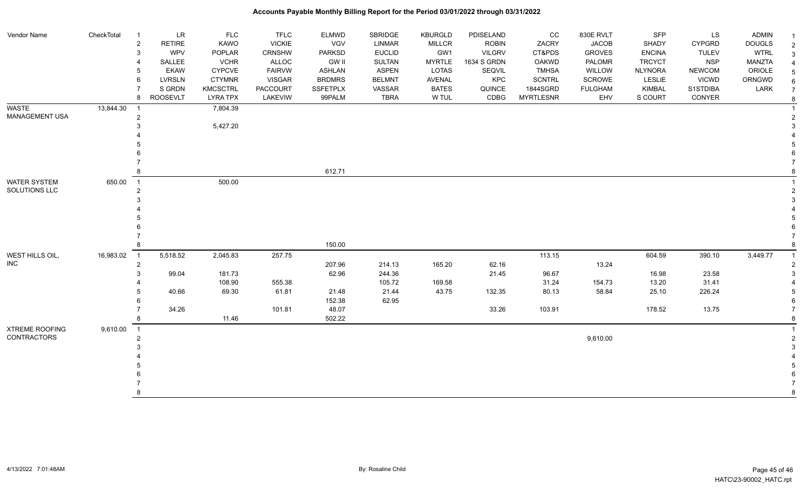| Vendor Name           | CheckTotal | <b>LR</b><br>$\overline{1}$     | <b>FLC</b>      | <b>TFLC</b>     | <b>ELMWD</b>    | <b>SBRIDGE</b> | <b>KBURGLD</b> | PDISELAND     | cc               | 830E RVLT      | <b>SFP</b>     | LS            | <b>ADMIN</b>  |                |
|-----------------------|------------|---------------------------------|-----------------|-----------------|-----------------|----------------|----------------|---------------|------------------|----------------|----------------|---------------|---------------|----------------|
|                       |            | $\overline{a}$<br><b>RETIRE</b> | KAWO            | <b>VICKIE</b>   | VGV             | LINMAR         | <b>MILLCR</b>  | <b>ROBIN</b>  | ZACRY            | <b>JACOB</b>   | SHADY          | <b>CYPGRD</b> | <b>DOUGLS</b> | $\overline{2}$ |
|                       |            | 3<br><b>WPV</b>                 | POPLAR          | CRNSHW          | <b>PARKSD</b>   | <b>EUCLID</b>  | GW1            | <b>VILGRV</b> | CT&PDS           | <b>GROVES</b>  | <b>ENCINA</b>  | <b>TULEV</b>  | <b>WTRL</b>   | 3              |
|                       |            | SALLEE<br>$\overline{4}$        | <b>VCHR</b>     | ALLOC           | <b>GW II</b>    | <b>SULTAN</b>  | <b>MYRTLE</b>  | 1634 S GRDN   | OAKWD            | PALOMR         | <b>TRCYCT</b>  | <b>NSP</b>    | <b>MANZTA</b> |                |
|                       |            | <b>EKAW</b><br>5                | <b>CYPCVE</b>   | <b>FAIRVW</b>   | <b>ASHLAN</b>   | <b>ASPEN</b>   | <b>LOTAS</b>   | SEQVIL        | <b>TMHSA</b>     | WILLOW         | <b>NLYNORA</b> | <b>NEWCOM</b> | ORIOLE        |                |
|                       |            | 6<br><b>LVRSLN</b>              | <b>CTYMNR</b>   | <b>VISGAR</b>   | <b>BRDMRS</b>   | <b>BELMNT</b>  | <b>AVENAL</b>  | KPC           | <b>SCNTRL</b>    | <b>SCROWE</b>  | <b>LESLIE</b>  | <b>VICWD</b>  | ORNGWD        |                |
|                       |            | $\overline{7}$<br>S GRDN        | <b>KMCSCTRL</b> | <b>PACCOURT</b> | <b>SSFETPLX</b> | VASSAR         | <b>BATES</b>   | QUINCE        | 1844SGRD         | <b>FULGHAM</b> | <b>KIMBAL</b>  | S1STDIBA      | LARK          |                |
|                       |            | 8<br><b>ROOSEVLT</b>            | <b>LYRA TPX</b> | LAKEVIW         | 99PALM          | <b>TBRA</b>    | W TUL          | CDBG          | <b>MYRTLESNR</b> | EHV            | S COURT        | CONYER        |               | 8              |
| <b>WASTE</b>          | 13,844.30  | $\overline{1}$                  | 7,804.39        |                 |                 |                |                |               |                  |                |                |               |               |                |
| MANAGEMENT USA        |            | $\overline{a}$                  |                 |                 |                 |                |                |               |                  |                |                |               |               |                |
|                       |            | 3                               | 5,427.20        |                 |                 |                |                |               |                  |                |                |               |               |                |
|                       |            |                                 |                 |                 |                 |                |                |               |                  |                |                |               |               |                |
|                       |            |                                 |                 |                 |                 |                |                |               |                  |                |                |               |               |                |
|                       |            |                                 |                 |                 |                 |                |                |               |                  |                |                |               |               |                |
|                       |            |                                 |                 |                 |                 |                |                |               |                  |                |                |               |               |                |
|                       |            | 8                               |                 |                 | 612.71          |                |                |               |                  |                |                |               |               |                |
| <b>WATER SYSTEM</b>   | 650.00     | $\overline{1}$                  | 500.00          |                 |                 |                |                |               |                  |                |                |               |               |                |
| SOLUTIONS LLC         |            | $\overline{2}$                  |                 |                 |                 |                |                |               |                  |                |                |               |               |                |
|                       |            | 3                               |                 |                 |                 |                |                |               |                  |                |                |               |               |                |
|                       |            |                                 |                 |                 |                 |                |                |               |                  |                |                |               |               |                |
|                       |            |                                 |                 |                 |                 |                |                |               |                  |                |                |               |               |                |
|                       |            |                                 |                 |                 |                 |                |                |               |                  |                |                |               |               |                |
|                       |            |                                 |                 |                 |                 |                |                |               |                  |                |                |               |               |                |
|                       |            | 8                               |                 |                 | 150.00          |                |                |               |                  |                |                |               |               |                |
| WEST HILLS OIL,       | 16,983.02  | 5,518.52<br>$\overline{1}$      | 2,045.83        | 257.75          |                 |                |                |               | 113.15           |                | 604.59         | 390.10        | 3,449.77      |                |
| <b>INC</b>            |            | $\overline{2}$                  |                 |                 | 207.96          | 214.13         | 165.20         | 62.16         |                  | 13.24          |                |               |               |                |
|                       |            | 3<br>99.04                      | 181.73          |                 | 62.96           | 244.36         |                | 21.45         | 96.67            |                | 16.98          | 23.58         |               |                |
|                       |            |                                 | 108.90          | 555.38          |                 | 105.72         | 169.58         |               | 31.24            | 154.73         | 13.20          | 31.41         |               |                |
|                       |            | 40.66                           | 69.30           | 61.81           | 21.48           | 21.44          | 43.75          | 132.35        | 80.13            | 58.84          | 25.10          | 226.24        |               |                |
|                       |            | 6                               |                 |                 | 152.38          | 62.95          |                |               |                  |                |                |               |               |                |
|                       |            | 34.26                           |                 | 101.81          | 48.07           |                |                | 33.26         | 103.91           |                | 178.52         | 13.75         |               |                |
|                       |            | 8                               | 11.46           |                 | 502.22          |                |                |               |                  |                |                |               |               |                |
| <b>XTREME ROOFING</b> | 9,610.00   | $\overline{\phantom{0}}$ 1      |                 |                 |                 |                |                |               |                  |                |                |               |               |                |
| <b>CONTRACTORS</b>    |            | $\overline{2}$                  |                 |                 |                 |                |                |               |                  | 9,610.00       |                |               |               |                |
|                       |            | 3                               |                 |                 |                 |                |                |               |                  |                |                |               |               |                |
|                       |            |                                 |                 |                 |                 |                |                |               |                  |                |                |               |               |                |
|                       |            |                                 |                 |                 |                 |                |                |               |                  |                |                |               |               |                |
|                       |            |                                 |                 |                 |                 |                |                |               |                  |                |                |               |               |                |
|                       |            |                                 |                 |                 |                 |                |                |               |                  |                |                |               |               |                |
|                       |            | 8                               |                 |                 |                 |                |                |               |                  |                |                |               |               |                |